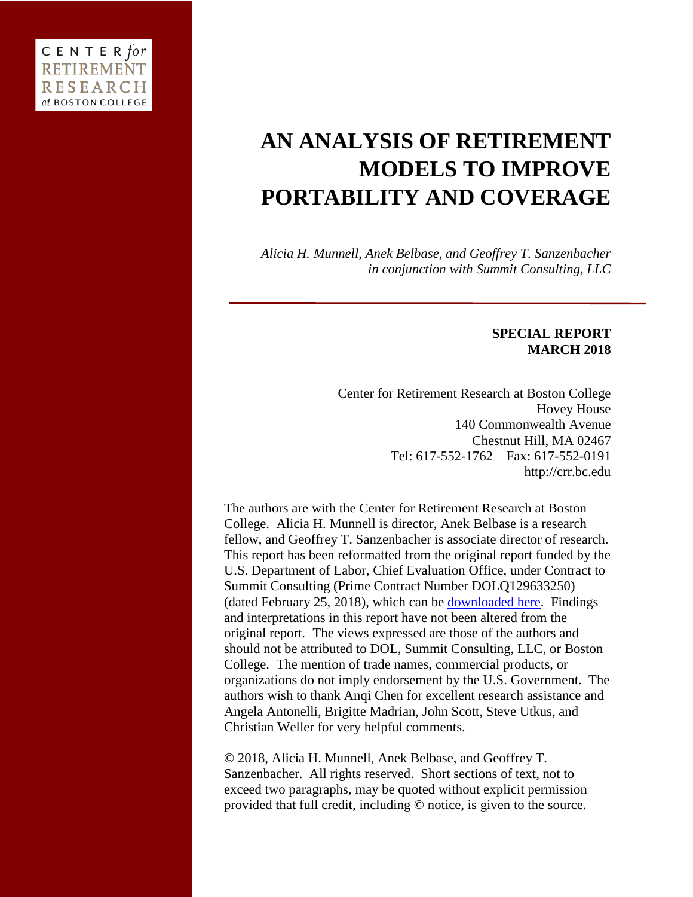# **AN ANALYSIS OF RETIREMENT MODELS TO IMPROVE PORTABILITY AND COVERAGE**

*Alicia H. Munnell, Anek Belbase, and Geoffrey T. Sanzenbacher in conjunction with Summit Consulting, LLC*

# **SPECIAL REPORT MARCH 2018**

Center for Retirement Research at Boston College Hovey House 140 Commonwealth Avenue Chestnut Hill, MA 02467 Tel: 617-552-1762 Fax: 617-552-0191 http://crr.bc.edu

The authors are with the Center for Retirement Research at Boston College. Alicia H. Munnell is director, Anek Belbase is a research fellow, and Geoffrey T. Sanzenbacher is associate director of research. This report has been reformatted from the original report funded by the U.S. Department of Labor, Chief Evaluation Office, under Contract to Summit Consulting (Prime Contract Number DOLQ129633250) (dated February 25, 2018), which can be [downloaded here.](https://www.dol.gov/asp/evaluation/completed-studies/An-Analysis-of-Retirement-Models-to-Improve-Portability-and-Coverage.pdf) Findings and interpretations in this report have not been altered from the original report. The views expressed are those of the authors and should not be attributed to DOL, Summit Consulting, LLC, or Boston College. The mention of trade names, commercial products, or organizations do not imply endorsement by the U.S. Government. The authors wish to thank Anqi Chen for excellent research assistance and Angela Antonelli, Brigitte Madrian, John Scott, Steve Utkus, and Christian Weller for very helpful comments.

© 2018, Alicia H. Munnell, Anek Belbase, and Geoffrey T. Sanzenbacher. All rights reserved. Short sections of text, not to exceed two paragraphs, may be quoted without explicit permission provided that full credit, including © notice, is given to the source.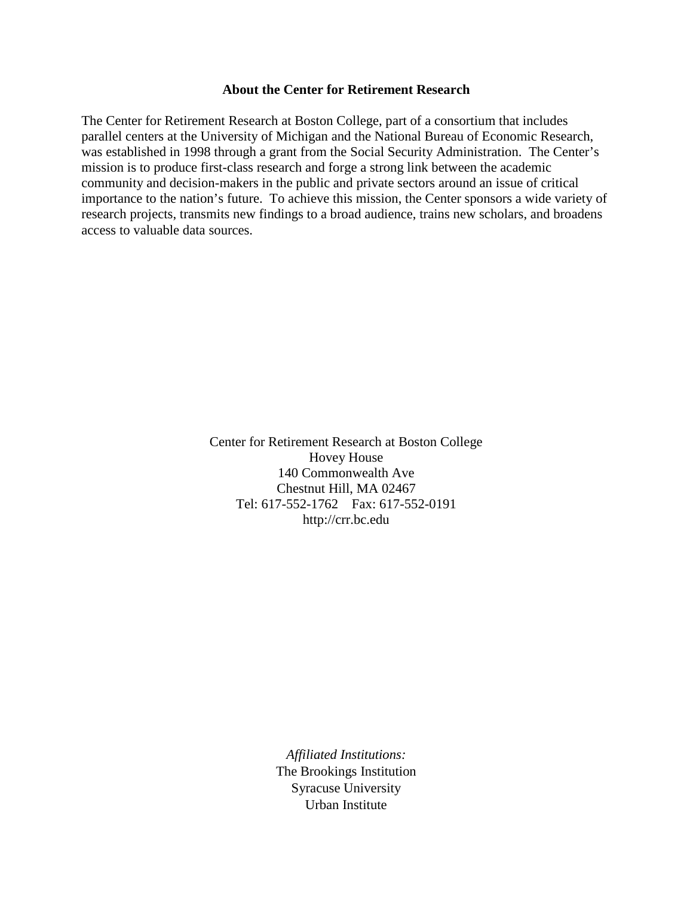# **About the Center for Retirement Research**

The Center for Retirement Research at Boston College, part of a consortium that includes parallel centers at the University of Michigan and the National Bureau of Economic Research, was established in 1998 through a grant from the Social Security Administration. The Center's mission is to produce first-class research and forge a strong link between the academic community and decision-makers in the public and private sectors around an issue of critical importance to the nation's future. To achieve this mission, the Center sponsors a wide variety of research projects, transmits new findings to a broad audience, trains new scholars, and broadens access to valuable data sources.

> Center for Retirement Research at Boston College Hovey House 140 Commonwealth Ave Chestnut Hill, MA 02467 Tel: 617-552-1762 Fax: 617-552-0191 http://crr.bc.edu

> > *Affiliated Institutions:* The Brookings Institution Syracuse University Urban Institute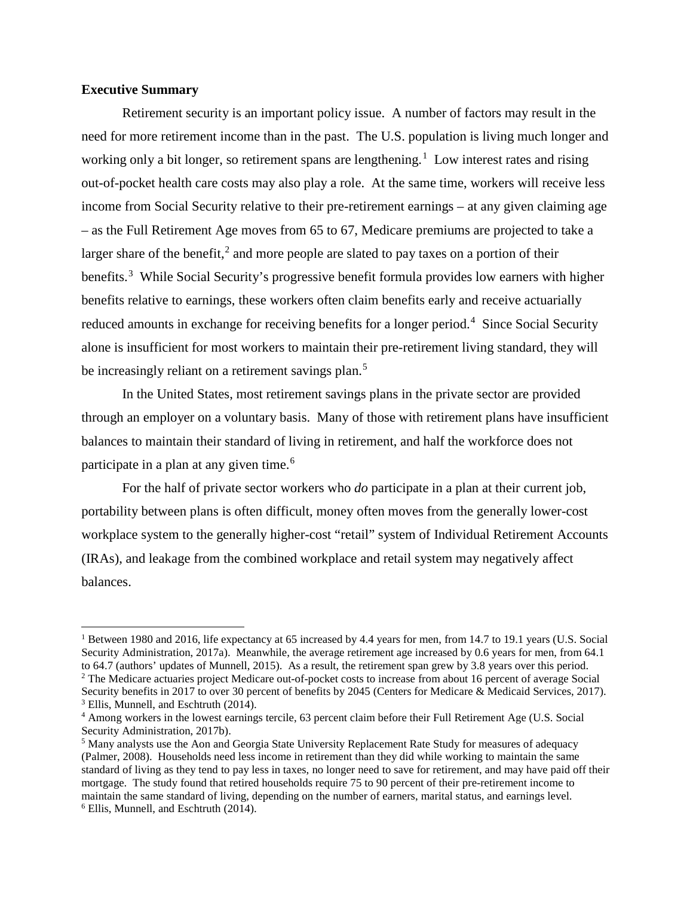# **Executive Summary**

 $\overline{\phantom{a}}$ 

Retirement security is an important policy issue. A number of factors may result in the need for more retirement income than in the past. The U.S. population is living much longer and working only a bit longer, so retirement spans are lengthening.<sup>[1](#page-2-0)</sup> Low interest rates and rising out-of-pocket health care costs may also play a role. At the same time, workers will receive less income from Social Security relative to their pre-retirement earnings – at any given claiming age – as the Full Retirement Age moves from 65 to 67, Medicare premiums are projected to take a larger share of the benefit,<sup>[2](#page-2-1)</sup> and more people are slated to pay taxes on a portion of their benefits.<sup>[3](#page-2-2)</sup> While Social Security's progressive benefit formula provides low earners with higher benefits relative to earnings, these workers often claim benefits early and receive actuarially reduced amounts in exchange for receiving benefits for a longer period.<sup>[4](#page-2-3)</sup> Since Social Security alone is insufficient for most workers to maintain their pre-retirement living standard, they will be increasingly reliant on a retirement savings plan.<sup>[5](#page-2-4)</sup>

In the United States, most retirement savings plans in the private sector are provided through an employer on a voluntary basis. Many of those with retirement plans have insufficient balances to maintain their standard of living in retirement, and half the workforce does not participate in a plan at any given time.<sup>[6](#page-2-5)</sup>

For the half of private sector workers who *do* participate in a plan at their current job, portability between plans is often difficult, money often moves from the generally lower-cost workplace system to the generally higher-cost "retail" system of Individual Retirement Accounts (IRAs), and leakage from the combined workplace and retail system may negatively affect balances.

<span id="page-2-0"></span><sup>&</sup>lt;sup>1</sup> Between 1980 and 2016, life expectancy at 65 increased by 4.4 years for men, from 14.7 to 19.1 years (U.S. Social Security Administration, 2017a). Meanwhile, the average retirement age increased by 0.6 years for men, from 64.1 to 64.7 (authors' updates of Munnell, 2015). As a result, the retirement span grew by 3.8 years over this period. <sup>2</sup> The Medicare actuaries project Medicare out-of-pocket costs to increase from about 16 percent of average Social

<span id="page-2-1"></span>Security benefits in 2017 to over 30 percent of benefits by 2045 (Centers for Medicare & Medicaid Services, 2017). <sup>3</sup> Ellis, Munnell, and Eschtruth (2014).

<span id="page-2-3"></span><span id="page-2-2"></span><sup>4</sup> Among workers in the lowest earnings tercile, 63 percent claim before their Full Retirement Age (U.S. Social Security Administration, 2017b).

<span id="page-2-5"></span><span id="page-2-4"></span><sup>5</sup> Many analysts use the Aon and Georgia State University Replacement Rate Study for measures of adequacy (Palmer, 2008). Households need less income in retirement than they did while working to maintain the same standard of living as they tend to pay less in taxes, no longer need to save for retirement, and may have paid off their mortgage. The study found that retired households require 75 to 90 percent of their pre-retirement income to maintain the same standard of living, depending on the number of earners, marital status, and earnings level. <sup>6</sup> Ellis, Munnell, and Eschtruth (2014).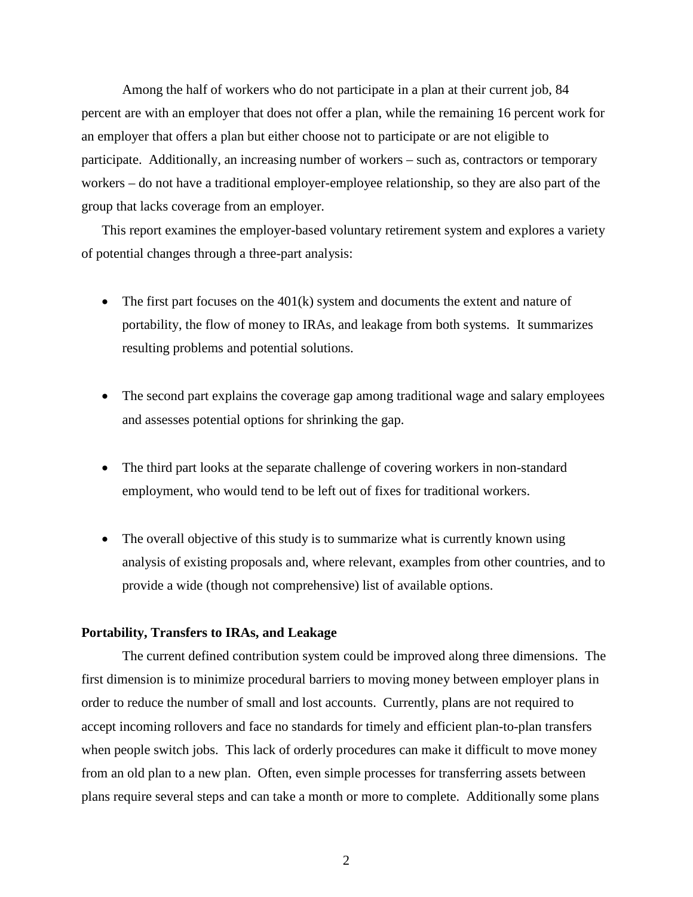Among the half of workers who do not participate in a plan at their current job, 84 percent are with an employer that does not offer a plan, while the remaining 16 percent work for an employer that offers a plan but either choose not to participate or are not eligible to participate. Additionally, an increasing number of workers – such as, contractors or temporary workers – do not have a traditional employer-employee relationship, so they are also part of the group that lacks coverage from an employer.

This report examines the employer-based voluntary retirement system and explores a variety of potential changes through a three-part analysis:

- The first part focuses on the 401(k) system and documents the extent and nature of portability, the flow of money to IRAs, and leakage from both systems. It summarizes resulting problems and potential solutions.
- The second part explains the coverage gap among traditional wage and salary employees and assesses potential options for shrinking the gap.
- The third part looks at the separate challenge of covering workers in non-standard employment, who would tend to be left out of fixes for traditional workers.
- The overall objective of this study is to summarize what is currently known using analysis of existing proposals and, where relevant, examples from other countries, and to provide a wide (though not comprehensive) list of available options.

#### **Portability, Transfers to IRAs, and Leakage**

The current defined contribution system could be improved along three dimensions. The first dimension is to minimize procedural barriers to moving money between employer plans in order to reduce the number of small and lost accounts. Currently, plans are not required to accept incoming rollovers and face no standards for timely and efficient plan-to-plan transfers when people switch jobs. This lack of orderly procedures can make it difficult to move money from an old plan to a new plan. Often, even simple processes for transferring assets between plans require several steps and can take a month or more to complete. Additionally some plans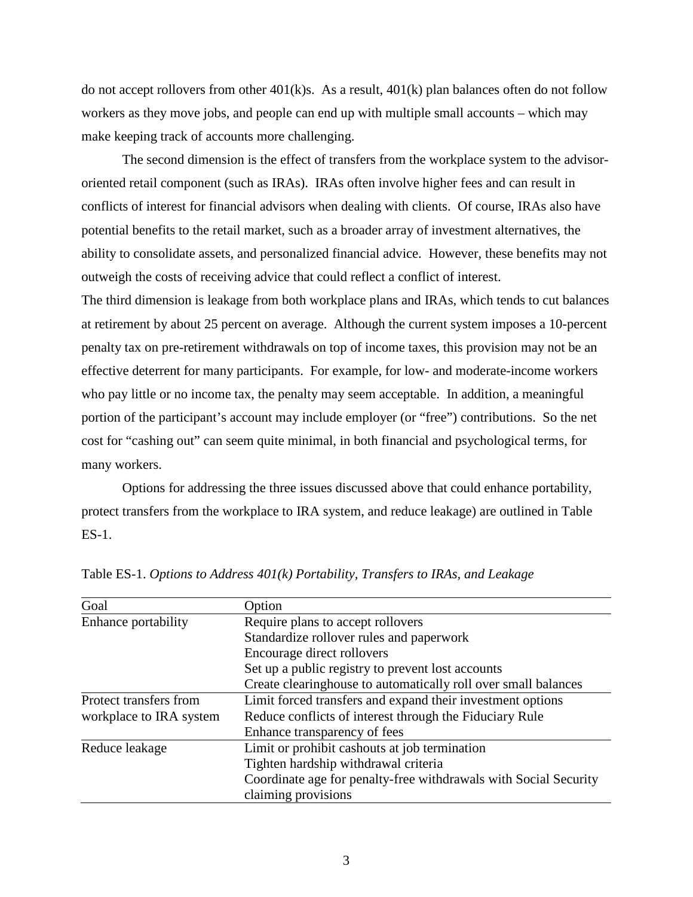do not accept rollovers from other  $401(k)s$ . As a result,  $401(k)$  plan balances often do not follow workers as they move jobs, and people can end up with multiple small accounts – which may make keeping track of accounts more challenging.

The second dimension is the effect of transfers from the workplace system to the advisororiented retail component (such as IRAs). IRAs often involve higher fees and can result in conflicts of interest for financial advisors when dealing with clients. Of course, IRAs also have potential benefits to the retail market, such as a broader array of investment alternatives, the ability to consolidate assets, and personalized financial advice. However, these benefits may not outweigh the costs of receiving advice that could reflect a conflict of interest.

The third dimension is leakage from both workplace plans and IRAs, which tends to cut balances at retirement by about 25 percent on average. Although the current system imposes a 10-percent penalty tax on pre-retirement withdrawals on top of income taxes, this provision may not be an effective deterrent for many participants. For example, for low- and moderate-income workers who pay little or no income tax, the penalty may seem acceptable. In addition, a meaningful portion of the participant's account may include employer (or "free") contributions. So the net cost for "cashing out" can seem quite minimal, in both financial and psychological terms, for many workers.

Options for addressing the three issues discussed above that could enhance portability, protect transfers from the workplace to IRA system, and reduce leakage) are outlined in Table ES-1.

| Goal                    | Option                                                           |  |
|-------------------------|------------------------------------------------------------------|--|
| Enhance portability     | Require plans to accept rollovers                                |  |
|                         | Standardize rollover rules and paperwork                         |  |
|                         | Encourage direct rollovers                                       |  |
|                         | Set up a public registry to prevent lost accounts                |  |
|                         | Create clearinghouse to automatically roll over small balances   |  |
| Protect transfers from  | Limit forced transfers and expand their investment options       |  |
| workplace to IRA system | Reduce conflicts of interest through the Fiduciary Rule          |  |
|                         | Enhance transparency of fees                                     |  |
| Reduce leakage          | Limit or prohibit cashouts at job termination                    |  |
|                         | Tighten hardship withdrawal criteria                             |  |
|                         | Coordinate age for penalty-free withdrawals with Social Security |  |
|                         | claiming provisions                                              |  |

Table ES-1. *Options to Address 401(k) Portability, Transfers to IRAs, and Leakage*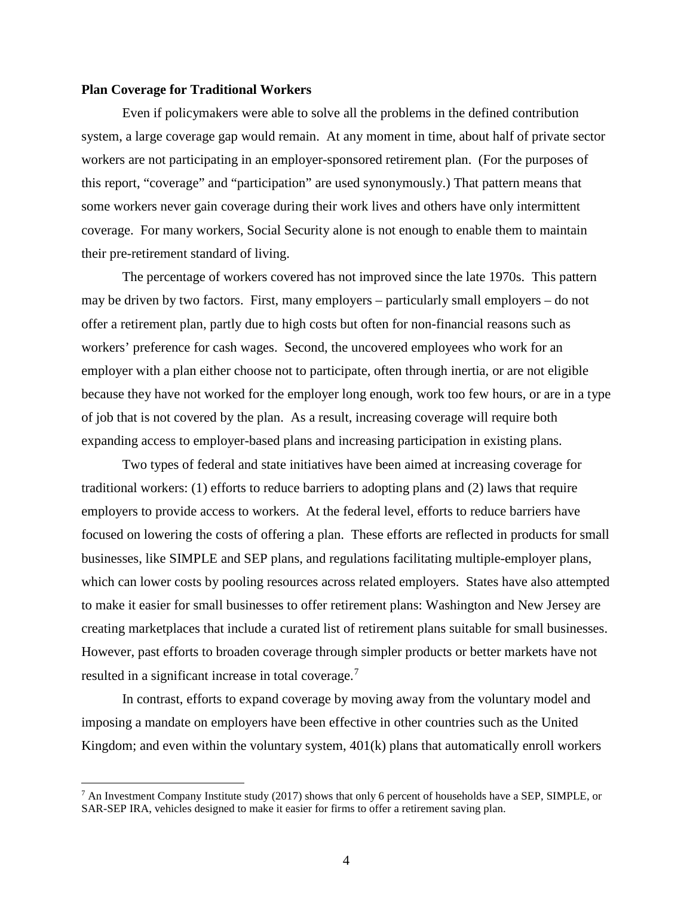## **Plan Coverage for Traditional Workers**

l

Even if policymakers were able to solve all the problems in the defined contribution system, a large coverage gap would remain. At any moment in time, about half of private sector workers are not participating in an employer-sponsored retirement plan. (For the purposes of this report, "coverage" and "participation" are used synonymously.) That pattern means that some workers never gain coverage during their work lives and others have only intermittent coverage. For many workers, Social Security alone is not enough to enable them to maintain their pre-retirement standard of living.

The percentage of workers covered has not improved since the late 1970s. This pattern may be driven by two factors. First, many employers – particularly small employers – do not offer a retirement plan, partly due to high costs but often for non-financial reasons such as workers' preference for cash wages. Second, the uncovered employees who work for an employer with a plan either choose not to participate, often through inertia, or are not eligible because they have not worked for the employer long enough, work too few hours, or are in a type of job that is not covered by the plan. As a result, increasing coverage will require both expanding access to employer-based plans and increasing participation in existing plans.

Two types of federal and state initiatives have been aimed at increasing coverage for traditional workers: (1) efforts to reduce barriers to adopting plans and (2) laws that require employers to provide access to workers. At the federal level, efforts to reduce barriers have focused on lowering the costs of offering a plan. These efforts are reflected in products for small businesses, like SIMPLE and SEP plans, and regulations facilitating multiple-employer plans, which can lower costs by pooling resources across related employers. States have also attempted to make it easier for small businesses to offer retirement plans: Washington and New Jersey are creating marketplaces that include a curated list of retirement plans suitable for small businesses. However, past efforts to broaden coverage through simpler products or better markets have not resulted in a significant increase in total coverage.<sup>[7](#page-5-0)</sup>

In contrast, efforts to expand coverage by moving away from the voluntary model and imposing a mandate on employers have been effective in other countries such as the United Kingdom; and even within the voluntary system, 401(k) plans that automatically enroll workers

<span id="page-5-0"></span> $^7$  An Investment Company Institute study (2017) shows that only 6 percent of households have a SEP, SIMPLE, or SAR-SEP IRA, vehicles designed to make it easier for firms to offer a retirement saving plan.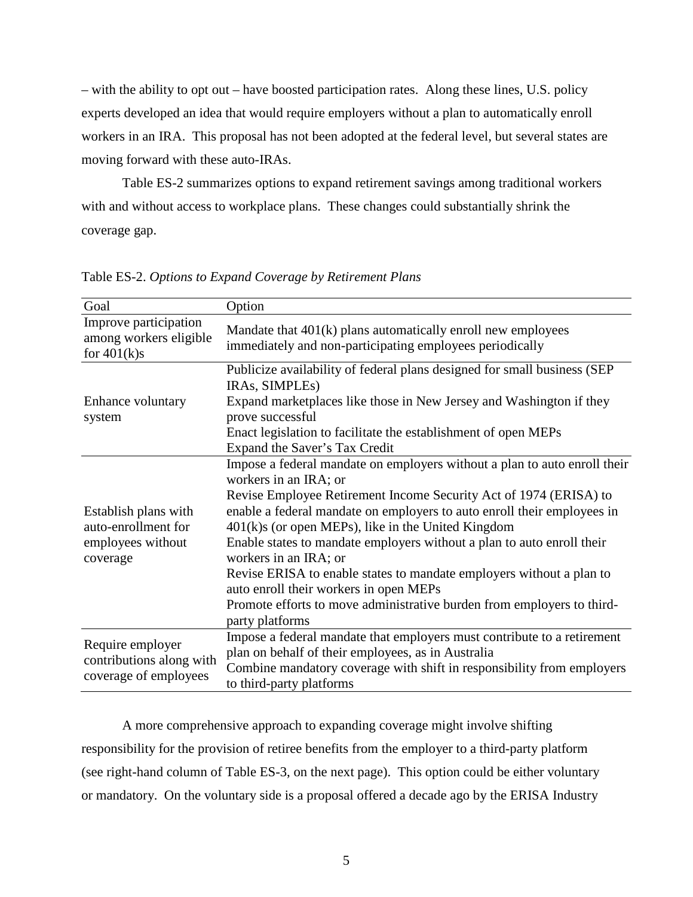– with the ability to opt out – have boosted participation rates. Along these lines, U.S. policy experts developed an idea that would require employers without a plan to automatically enroll workers in an IRA. This proposal has not been adopted at the federal level, but several states are moving forward with these auto-IRAs.

Table ES-2 summarizes options to expand retirement savings among traditional workers with and without access to workplace plans. These changes could substantially shrink the coverage gap.

| Goal                                                                         | Option                                                                                                                                                                                                                                                                                                                                                                                                                                                                                                                                                                                                                        |
|------------------------------------------------------------------------------|-------------------------------------------------------------------------------------------------------------------------------------------------------------------------------------------------------------------------------------------------------------------------------------------------------------------------------------------------------------------------------------------------------------------------------------------------------------------------------------------------------------------------------------------------------------------------------------------------------------------------------|
| Improve participation<br>among workers eligible<br>for $401(k)s$             | Mandate that $401(k)$ plans automatically enroll new employees<br>immediately and non-participating employees periodically                                                                                                                                                                                                                                                                                                                                                                                                                                                                                                    |
| Enhance voluntary<br>system                                                  | Publicize availability of federal plans designed for small business (SEP<br>IRAs, SIMPLEs)<br>Expand market places like those in New Jersey and Washington if they<br>prove successful<br>Enact legislation to facilitate the establishment of open MEPs                                                                                                                                                                                                                                                                                                                                                                      |
|                                                                              | Expand the Saver's Tax Credit                                                                                                                                                                                                                                                                                                                                                                                                                                                                                                                                                                                                 |
| Establish plans with<br>auto-enrollment for<br>employees without<br>coverage | Impose a federal mandate on employers without a plan to auto enroll their<br>workers in an IRA; or<br>Revise Employee Retirement Income Security Act of 1974 (ERISA) to<br>enable a federal mandate on employers to auto enroll their employees in<br>$401(k)$ s (or open MEPs), like in the United Kingdom<br>Enable states to mandate employers without a plan to auto enroll their<br>workers in an IRA; or<br>Revise ERISA to enable states to mandate employers without a plan to<br>auto enroll their workers in open MEPs<br>Promote efforts to move administrative burden from employers to third-<br>party platforms |
| Require employer<br>contributions along with<br>coverage of employees        | Impose a federal mandate that employers must contribute to a retirement<br>plan on behalf of their employees, as in Australia<br>Combine mandatory coverage with shift in responsibility from employers<br>to third-party platforms                                                                                                                                                                                                                                                                                                                                                                                           |

Table ES-2. *Options to Expand Coverage by Retirement Plans*

A more comprehensive approach to expanding coverage might involve shifting responsibility for the provision of retiree benefits from the employer to a third-party platform (see right-hand column of Table ES-3, on the next page). This option could be either voluntary or mandatory. On the voluntary side is a proposal offered a decade ago by the ERISA Industry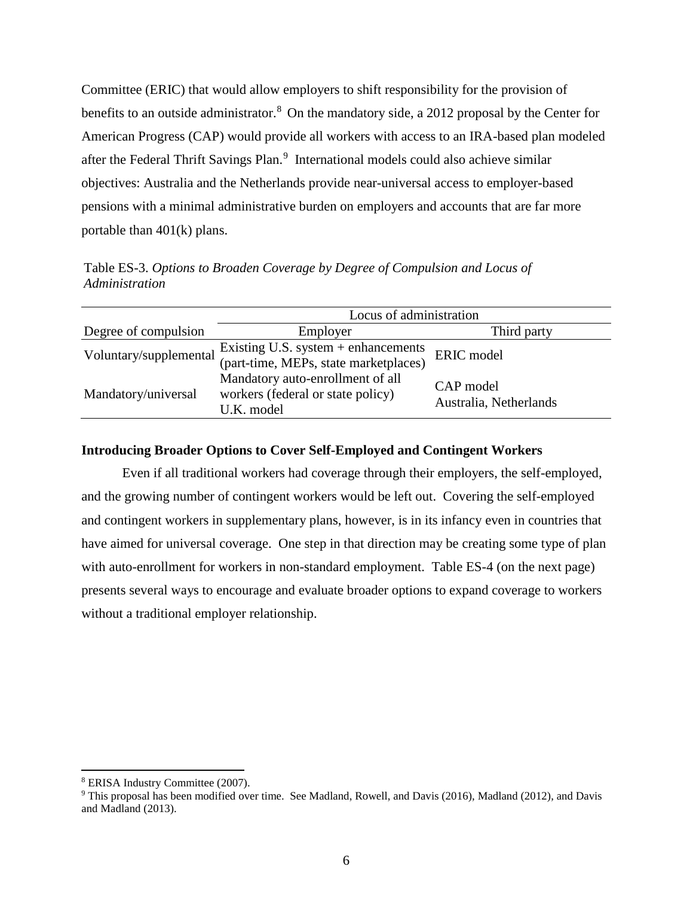Committee (ERIC) that would allow employers to shift responsibility for the provision of benefits to an outside administrator.<sup>[8](#page-7-0)</sup> On the mandatory side, a 2012 proposal by the Center for American Progress (CAP) would provide all workers with access to an IRA-based plan modeled after the Federal Thrift Savings Plan.<sup>[9](#page-7-1)</sup> International models could also achieve similar objectives: Australia and the Netherlands provide near-universal access to employer-based pensions with a minimal administrative burden on employers and accounts that are far more portable than 401(k) plans.

Table ES-3. *Options to Broaden Coverage by Degree of Compulsion and Locus of Administration*

|                        | Locus of administration                                                             |                                     |  |
|------------------------|-------------------------------------------------------------------------------------|-------------------------------------|--|
| Degree of compulsion   | Employer                                                                            | Third party                         |  |
| Voluntary/supplemental | Existing U.S. system $+$ enhancements<br>(part-time, MEPs, state marketplaces)      | ERIC model                          |  |
| Mandatory/universal    | Mandatory auto-enrollment of all<br>workers (federal or state policy)<br>U.K. model | CAP model<br>Australia, Netherlands |  |

# **Introducing Broader Options to Cover Self-Employed and Contingent Workers**

Even if all traditional workers had coverage through their employers, the self-employed, and the growing number of contingent workers would be left out. Covering the self-employed and contingent workers in supplementary plans, however, is in its infancy even in countries that have aimed for universal coverage. One step in that direction may be creating some type of plan with auto-enrollment for workers in non-standard employment. Table ES-4 (on the next page) presents several ways to encourage and evaluate broader options to expand coverage to workers without a traditional employer relationship.

<span id="page-7-0"></span><sup>8</sup> ERISA Industry Committee (2007).

<span id="page-7-1"></span><sup>9</sup> This proposal has been modified over time. See Madland, Rowell, and Davis (2016), Madland (2012), and Davis and Madland (2013).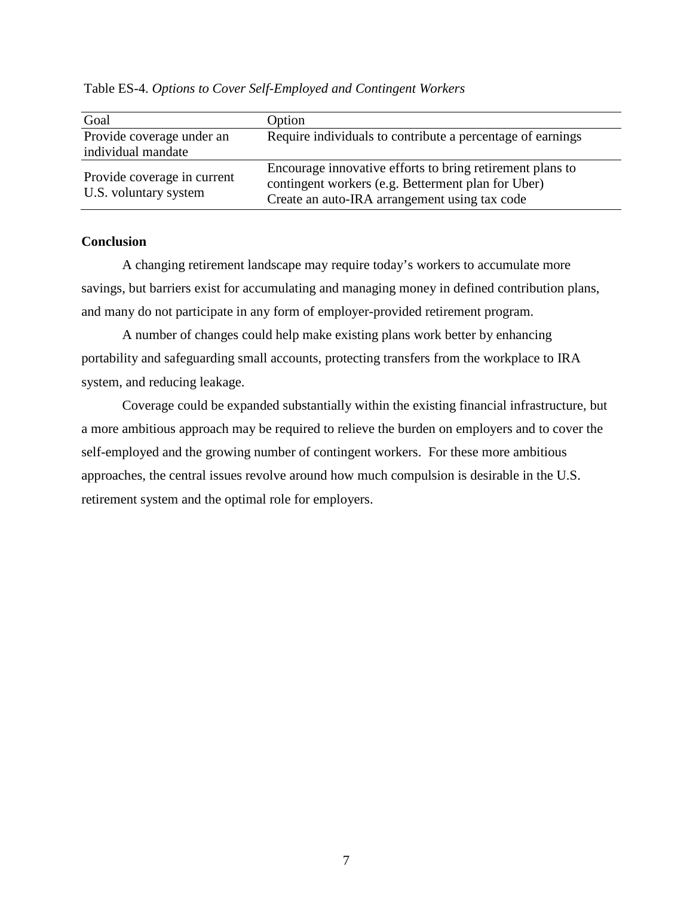| Goal                        | Option                                                     |  |
|-----------------------------|------------------------------------------------------------|--|
| Provide coverage under an   | Require individuals to contribute a percentage of earnings |  |
| individual mandate          |                                                            |  |
|                             | Encourage innovative efforts to bring retirement plans to  |  |
| Provide coverage in current | contingent workers (e.g. Betterment plan for Uber)         |  |
| U.S. voluntary system       | Create an auto-IRA arrangement using tax code              |  |

Table ES-4. *Options to Cover Self-Employed and Contingent Workers*

# **Conclusion**

A changing retirement landscape may require today's workers to accumulate more savings, but barriers exist for accumulating and managing money in defined contribution plans, and many do not participate in any form of employer-provided retirement program.

A number of changes could help make existing plans work better by enhancing portability and safeguarding small accounts, protecting transfers from the workplace to IRA system, and reducing leakage.

Coverage could be expanded substantially within the existing financial infrastructure, but a more ambitious approach may be required to relieve the burden on employers and to cover the self-employed and the growing number of contingent workers. For these more ambitious approaches, the central issues revolve around how much compulsion is desirable in the U.S. retirement system and the optimal role for employers.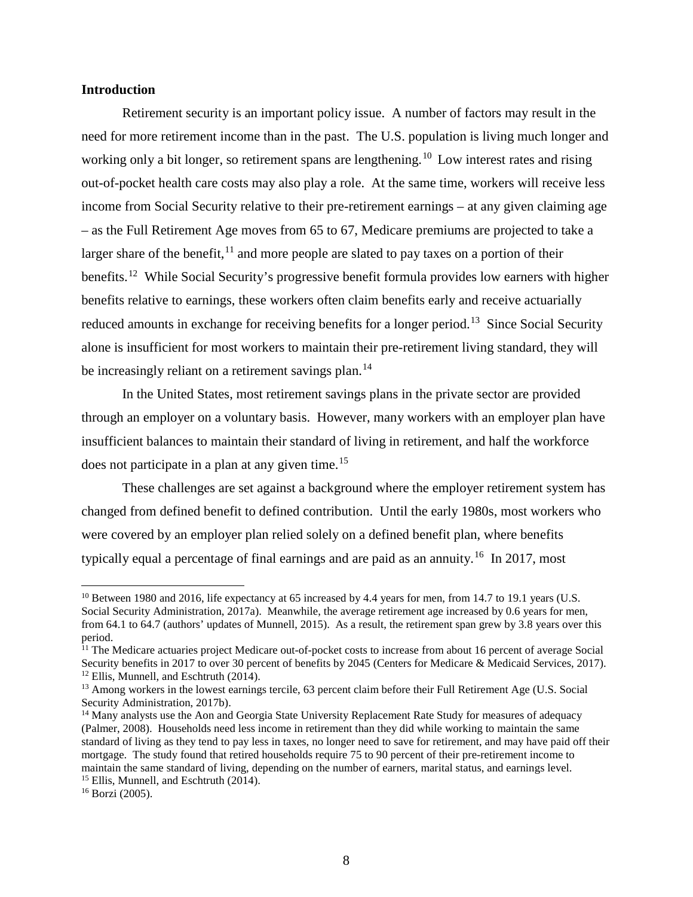# **Introduction**

Retirement security is an important policy issue. A number of factors may result in the need for more retirement income than in the past. The U.S. population is living much longer and working only a bit longer, so retirement spans are lengthening.<sup>[10](#page-9-0)</sup> Low interest rates and rising out-of-pocket health care costs may also play a role. At the same time, workers will receive less income from Social Security relative to their pre-retirement earnings – at any given claiming age – as the Full Retirement Age moves from 65 to 67, Medicare premiums are projected to take a larger share of the benefit, $^{11}$  $^{11}$  $^{11}$  and more people are slated to pay taxes on a portion of their benefits.<sup>[12](#page-9-2)</sup> While Social Security's progressive benefit formula provides low earners with higher benefits relative to earnings, these workers often claim benefits early and receive actuarially reduced amounts in exchange for receiving benefits for a longer period.<sup>[13](#page-9-3)</sup> Since Social Security alone is insufficient for most workers to maintain their pre-retirement living standard, they will be increasingly reliant on a retirement savings plan.<sup>[14](#page-9-4)</sup>

In the United States, most retirement savings plans in the private sector are provided through an employer on a voluntary basis. However, many workers with an employer plan have insufficient balances to maintain their standard of living in retirement, and half the workforce does not participate in a plan at any given time.[15](#page-9-5)

These challenges are set against a background where the employer retirement system has changed from defined benefit to defined contribution. Until the early 1980s, most workers who were covered by an employer plan relied solely on a defined benefit plan, where benefits typically equal a percentage of final earnings and are paid as an annuity.[16](#page-9-6) In 2017, most

<span id="page-9-0"></span><sup>&</sup>lt;sup>10</sup> Between 1980 and 2016, life expectancy at 65 increased by 4.4 years for men, from 14.7 to 19.1 years (U.S. Social Security Administration, 2017a). Meanwhile, the average retirement age increased by 0.6 years for men, from 64.1 to 64.7 (authors' updates of Munnell, 2015). As a result, the retirement span grew by 3.8 years over this period.

<span id="page-9-1"></span> $11$  The Medicare actuaries project Medicare out-of-pocket costs to increase from about 16 percent of average Social Security benefits in 2017 to over 30 percent of benefits by 2045 (Centers for Medicare & Medicaid Services, 2017).  $12$  Ellis, Munnell, and Eschtruth (2014).

<span id="page-9-3"></span><span id="page-9-2"></span><sup>&</sup>lt;sup>13</sup> Among workers in the lowest earnings tercile, 63 percent claim before their Full Retirement Age (U.S. Social Security Administration, 2017b).

<span id="page-9-4"></span><sup>&</sup>lt;sup>14</sup> Many analysts use the Aon and Georgia State University Replacement Rate Study for measures of adequacy (Palmer, 2008). Households need less income in retirement than they did while working to maintain the same standard of living as they tend to pay less in taxes, no longer need to save for retirement, and may have paid off their mortgage. The study found that retired households require 75 to 90 percent of their pre-retirement income to maintain the same standard of living, depending on the number of earners, marital status, and earnings level. <sup>15</sup> Ellis, Munnell, and Eschtruth (2014).

<span id="page-9-6"></span><span id="page-9-5"></span><sup>16</sup> Borzi (2005).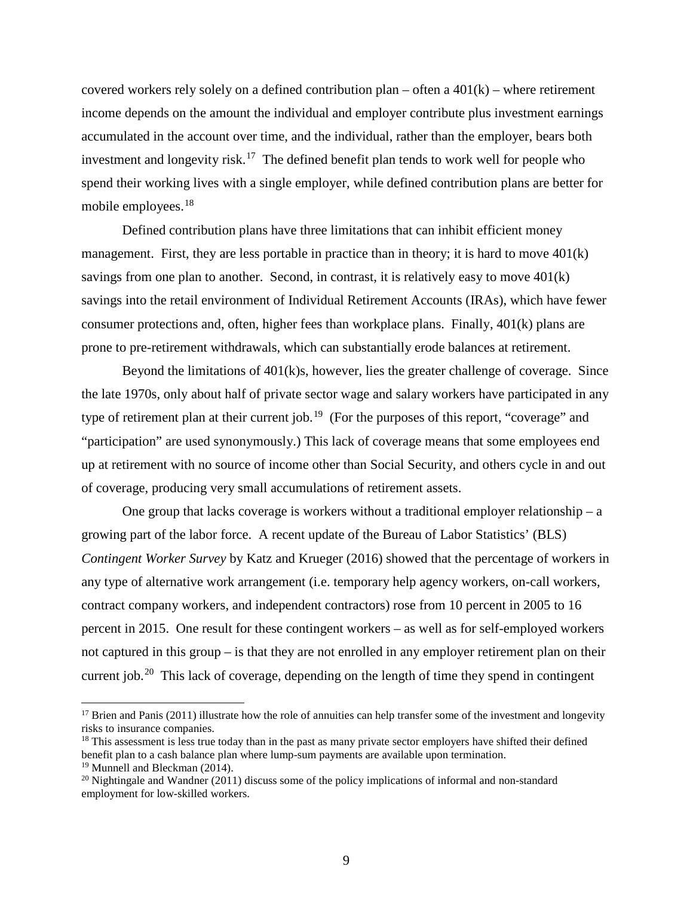covered workers rely solely on a defined contribution plan – often a  $401(k)$  – where retirement income depends on the amount the individual and employer contribute plus investment earnings accumulated in the account over time, and the individual, rather than the employer, bears both investment and longevity risk.<sup>[17](#page-10-0)</sup> The defined benefit plan tends to work well for people who spend their working lives with a single employer, while defined contribution plans are better for mobile employees.<sup>[18](#page-10-1)</sup>

Defined contribution plans have three limitations that can inhibit efficient money management. First, they are less portable in practice than in theory; it is hard to move 401(k) savings from one plan to another. Second, in contrast, it is relatively easy to move 401(k) savings into the retail environment of Individual Retirement Accounts (IRAs), which have fewer consumer protections and, often, higher fees than workplace plans. Finally, 401(k) plans are prone to pre-retirement withdrawals, which can substantially erode balances at retirement.

Beyond the limitations of 401(k)s, however, lies the greater challenge of coverage. Since the late 1970s, only about half of private sector wage and salary workers have participated in any type of retirement plan at their current job.<sup>[19](#page-10-2)</sup> (For the purposes of this report, "coverage" and "participation" are used synonymously.) This lack of coverage means that some employees end up at retirement with no source of income other than Social Security, and others cycle in and out of coverage, producing very small accumulations of retirement assets.

One group that lacks coverage is workers without a traditional employer relationship – a growing part of the labor force. A recent update of the Bureau of Labor Statistics' (BLS) *Contingent Worker Survey* by Katz and Krueger (2016) showed that the percentage of workers in any type of alternative work arrangement (i.e. temporary help agency workers, on-call workers, contract company workers, and independent contractors) rose from 10 percent in 2005 to 16 percent in 2015. One result for these contingent workers – as well as for self-employed workers not captured in this group – is that they are not enrolled in any employer retirement plan on their current job.<sup>[20](#page-10-3)</sup> This lack of coverage, depending on the length of time they spend in contingent

<span id="page-10-0"></span> $17$  Brien and Panis (2011) illustrate how the role of annuities can help transfer some of the investment and longevity risks to insurance companies.

<span id="page-10-1"></span> $18$  This assessment is less true today than in the past as many private sector employers have shifted their defined benefit plan to a cash balance plan where lump-sum payments are available upon termination. <sup>19</sup> Munnell and Bleckman (2014).

<span id="page-10-3"></span><span id="page-10-2"></span> $^{20}$  Nightingale and Wandner (2011) discuss some of the policy implications of informal and non-standard employment for low-skilled workers.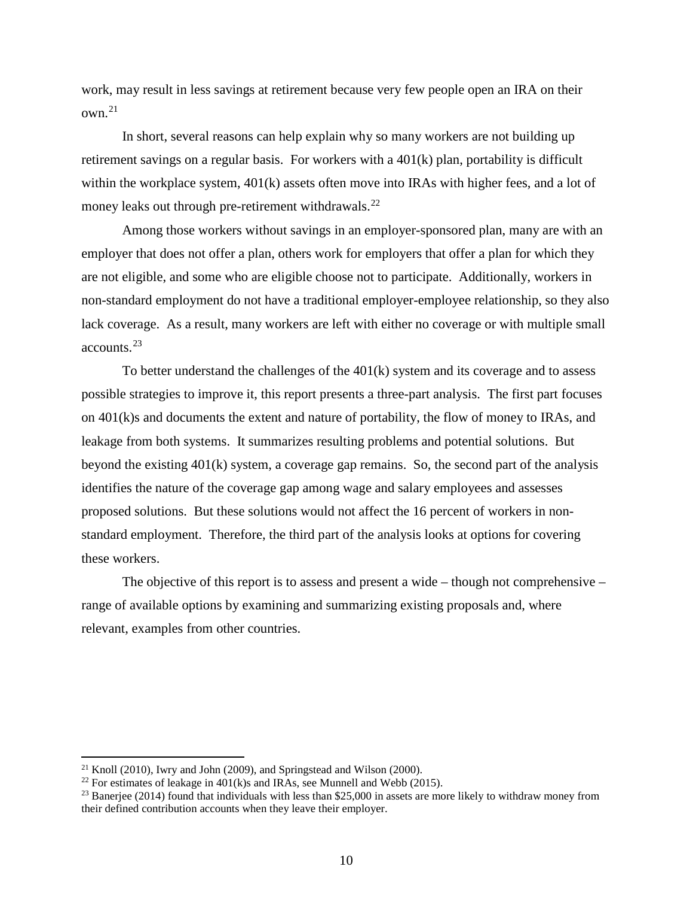work, may result in less savings at retirement because very few people open an IRA on their own.[21](#page-11-0)

In short, several reasons can help explain why so many workers are not building up retirement savings on a regular basis. For workers with a 401(k) plan, portability is difficult within the workplace system,  $401(k)$  assets often move into IRAs with higher fees, and a lot of money leaks out through pre-retirement withdrawals.<sup>[22](#page-11-1)</sup>

Among those workers without savings in an employer-sponsored plan, many are with an employer that does not offer a plan, others work for employers that offer a plan for which they are not eligible, and some who are eligible choose not to participate. Additionally, workers in non-standard employment do not have a traditional employer-employee relationship, so they also lack coverage. As a result, many workers are left with either no coverage or with multiple small accounts.[23](#page-11-2)

To better understand the challenges of the  $401(k)$  system and its coverage and to assess possible strategies to improve it, this report presents a three-part analysis. The first part focuses on 401(k)s and documents the extent and nature of portability, the flow of money to IRAs, and leakage from both systems. It summarizes resulting problems and potential solutions. But beyond the existing 401(k) system, a coverage gap remains. So, the second part of the analysis identifies the nature of the coverage gap among wage and salary employees and assesses proposed solutions. But these solutions would not affect the 16 percent of workers in nonstandard employment. Therefore, the third part of the analysis looks at options for covering these workers.

The objective of this report is to assess and present a wide – though not comprehensive – range of available options by examining and summarizing existing proposals and, where relevant, examples from other countries.

<span id="page-11-0"></span> $21$  Knoll (2010), Iwry and John (2009), and Springstead and Wilson (2000).

<span id="page-11-1"></span><sup>&</sup>lt;sup>22</sup> For estimates of leakage in  $401(k)$ s and IRAs, see Munnell and Webb (2015).

<span id="page-11-2"></span><sup>&</sup>lt;sup>23</sup> Banerjee (2014) found that individuals with less than \$25,000 in assets are more likely to withdraw money from their defined contribution accounts when they leave their employer.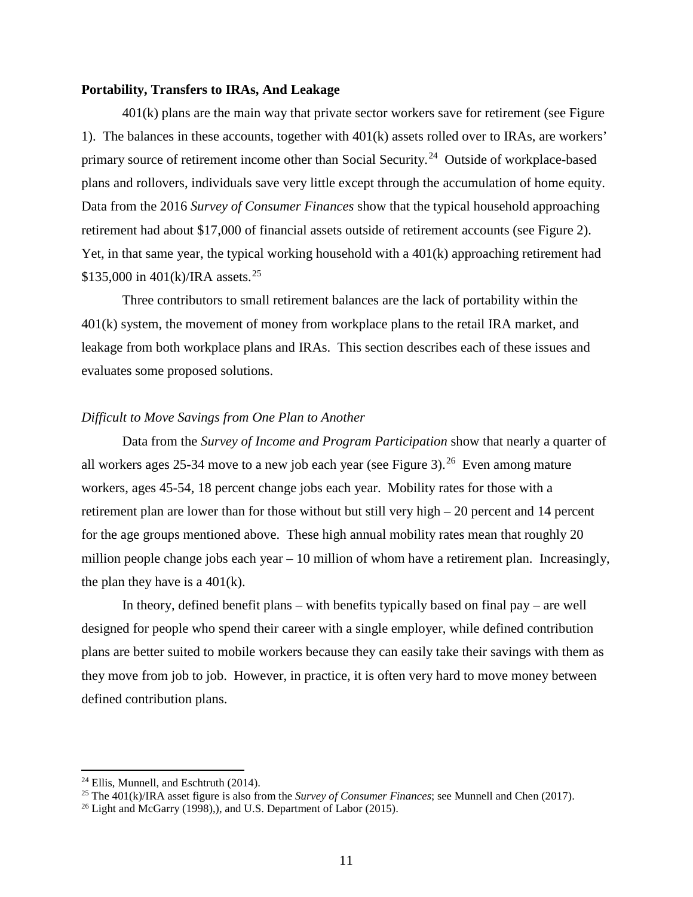## **Portability, Transfers to IRAs, And Leakage**

401(k) plans are the main way that private sector workers save for retirement (see Figure 1). The balances in these accounts, together with 401(k) assets rolled over to IRAs, are workers' primary source of retirement income other than Social Security.<sup>[24](#page-12-0)</sup> Outside of workplace-based plans and rollovers, individuals save very little except through the accumulation of home equity. Data from the 2016 *Survey of Consumer Finances* show that the typical household approaching retirement had about \$17,000 of financial assets outside of retirement accounts (see Figure 2). Yet, in that same year, the typical working household with a 401(k) approaching retirement had \$135,000 in  $401(k)/\text{IRA}$  assets.<sup>[25](#page-12-1)</sup>

Three contributors to small retirement balances are the lack of portability within the 401(k) system, the movement of money from workplace plans to the retail IRA market, and leakage from both workplace plans and IRAs. This section describes each of these issues and evaluates some proposed solutions.

# *Difficult to Move Savings from One Plan to Another*

Data from the *Survey of Income and Program Participation* show that nearly a quarter of all workers ages 25-34 move to a new job each year (see Figure 3).<sup>[26](#page-12-2)</sup> Even among mature workers, ages 45-54, 18 percent change jobs each year. Mobility rates for those with a retirement plan are lower than for those without but still very high – 20 percent and 14 percent for the age groups mentioned above. These high annual mobility rates mean that roughly 20 million people change jobs each year  $-10$  million of whom have a retirement plan. Increasingly, the plan they have is a  $401(k)$ .

In theory, defined benefit plans – with benefits typically based on final pay – are well designed for people who spend their career with a single employer, while defined contribution plans are better suited to mobile workers because they can easily take their savings with them as they move from job to job. However, in practice, it is often very hard to move money between defined contribution plans.

<span id="page-12-0"></span><sup>&</sup>lt;sup>24</sup> Ellis, Munnell, and Eschtruth (2014).

<span id="page-12-1"></span><sup>25</sup> The 401(k)/IRA asset figure is also from the *Survey of Consumer Finances*; see Munnell and Chen (2017).

<span id="page-12-2"></span> $26$  Light and McGarry (1998), and U.S. Department of Labor (2015).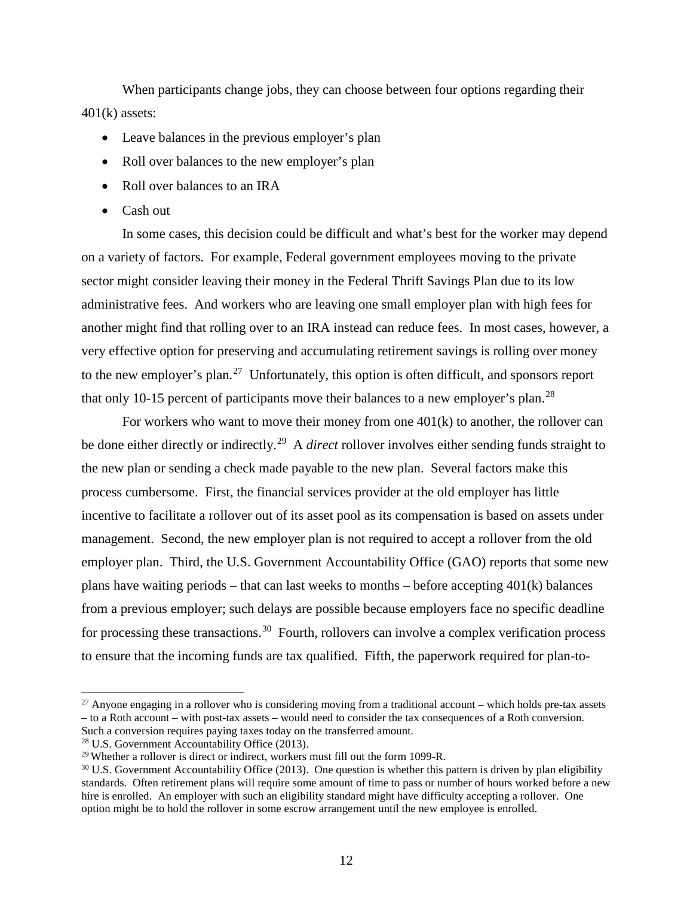When participants change jobs, they can choose between four options regarding their 401(k) assets:

- Leave balances in the previous employer's plan
- Roll over balances to the new employer's plan
- Roll over balances to an IRA
- Cash out

In some cases, this decision could be difficult and what's best for the worker may depend on a variety of factors. For example, Federal government employees moving to the private sector might consider leaving their money in the Federal Thrift Savings Plan due to its low administrative fees. And workers who are leaving one small employer plan with high fees for another might find that rolling over to an IRA instead can reduce fees. In most cases, however, a very effective option for preserving and accumulating retirement savings is rolling over money to the new employer's plan.<sup>[27](#page-13-0)</sup> Unfortunately, this option is often difficult, and sponsors report that only 10-15 percent of participants move their balances to a new employer's plan.<sup>[28](#page-13-1)</sup>

For workers who want to move their money from one 401(k) to another, the rollover can be done either directly or indirectly.[29](#page-13-2) A *direct* rollover involves either sending funds straight to the new plan or sending a check made payable to the new plan. Several factors make this process cumbersome. First, the financial services provider at the old employer has little incentive to facilitate a rollover out of its asset pool as its compensation is based on assets under management. Second, the new employer plan is not required to accept a rollover from the old employer plan. Third, the U.S. Government Accountability Office (GAO) reports that some new plans have waiting periods – that can last weeks to months – before accepting  $401(k)$  balances from a previous employer; such delays are possible because employers face no specific deadline for processing these transactions.<sup>[30](#page-13-3)</sup> Fourth, rollovers can involve a complex verification process to ensure that the incoming funds are tax qualified. Fifth, the paperwork required for plan-to-

<span id="page-13-0"></span> $27$  Anyone engaging in a rollover who is considering moving from a traditional account – which holds pre-tax assets – to a Roth account – with post-tax assets – would need to consider the tax consequences of a Roth conversion. Such a conversion requires paying taxes today on the transferred amount.<br><sup>28</sup> U.S. Government Accountability Office (2013).<br><sup>29</sup> Whether a rollover is direct or indirect, workers must fill out the form 1099-R.

<span id="page-13-1"></span>

<span id="page-13-2"></span>

<span id="page-13-3"></span> $30$  U.S. Government Accountability Office (2013). One question is whether this pattern is driven by plan eligibility standards. Often retirement plans will require some amount of time to pass or number of hours worked before a new hire is enrolled. An employer with such an eligibility standard might have difficulty accepting a rollover. One option might be to hold the rollover in some escrow arrangement until the new employee is enrolled.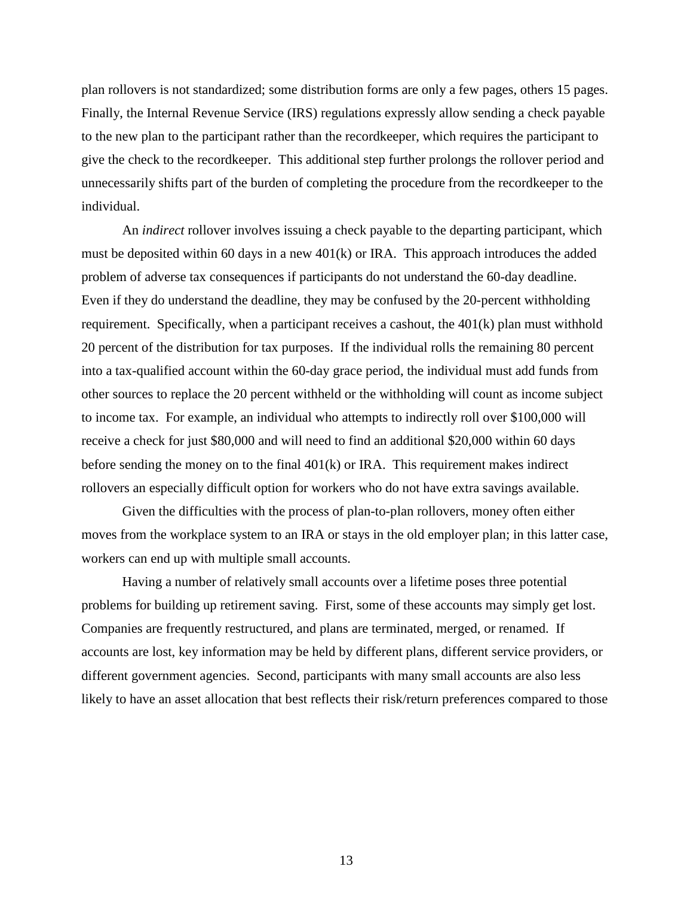plan rollovers is not standardized; some distribution forms are only a few pages, others 15 pages. Finally, the Internal Revenue Service (IRS) regulations expressly allow sending a check payable to the new plan to the participant rather than the recordkeeper, which requires the participant to give the check to the recordkeeper. This additional step further prolongs the rollover period and unnecessarily shifts part of the burden of completing the procedure from the recordkeeper to the individual.

An *indirect* rollover involves issuing a check payable to the departing participant, which must be deposited within 60 days in a new 401(k) or IRA. This approach introduces the added problem of adverse tax consequences if participants do not understand the 60-day deadline. Even if they do understand the deadline, they may be confused by the 20-percent withholding requirement. Specifically, when a participant receives a cashout, the 401(k) plan must withhold 20 percent of the distribution for tax purposes. If the individual rolls the remaining 80 percent into a tax-qualified account within the 60-day grace period, the individual must add funds from other sources to replace the 20 percent withheld or the withholding will count as income subject to income tax. For example, an individual who attempts to indirectly roll over \$100,000 will receive a check for just \$80,000 and will need to find an additional \$20,000 within 60 days before sending the money on to the final  $401(k)$  or IRA. This requirement makes indirect rollovers an especially difficult option for workers who do not have extra savings available.

Given the difficulties with the process of plan-to-plan rollovers, money often either moves from the workplace system to an IRA or stays in the old employer plan; in this latter case, workers can end up with multiple small accounts.

Having a number of relatively small accounts over a lifetime poses three potential problems for building up retirement saving. First, some of these accounts may simply get lost. Companies are frequently restructured, and plans are terminated, merged, or renamed. If accounts are lost, key information may be held by different plans, different service providers, or different government agencies. Second, participants with many small accounts are also less likely to have an asset allocation that best reflects their risk/return preferences compared to those

13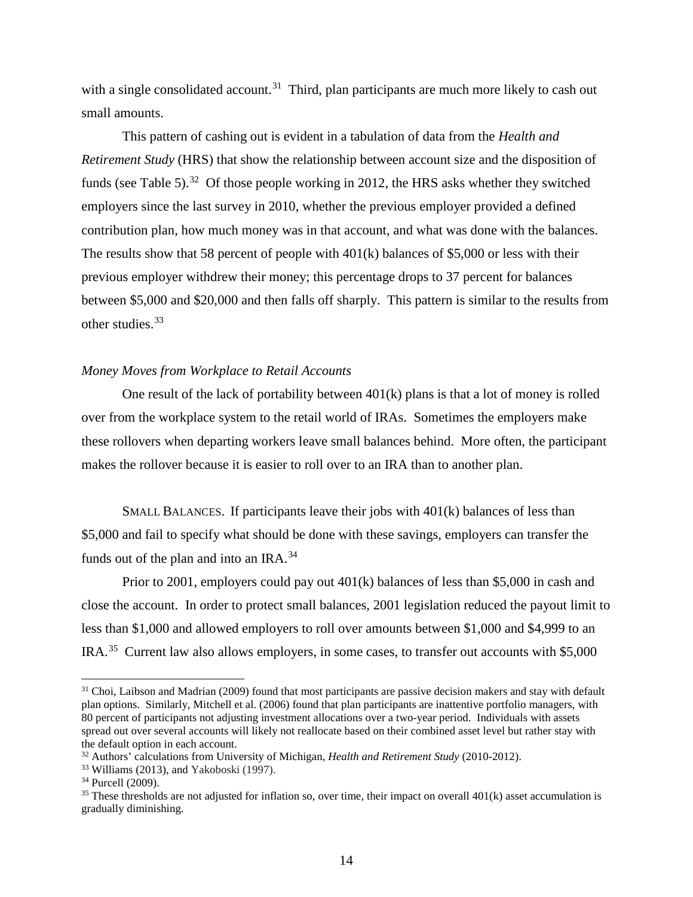with a single consolidated account.<sup>[31](#page-15-0)</sup> Third, plan participants are much more likely to cash out small amounts.

This pattern of cashing out is evident in a tabulation of data from the *Health and Retirement Study* (HRS) that show the relationship between account size and the disposition of funds (see Table 5).<sup>[32](#page-15-1)</sup> Of those people working in 2012, the HRS asks whether they switched employers since the last survey in 2010, whether the previous employer provided a defined contribution plan, how much money was in that account, and what was done with the balances. The results show that 58 percent of people with  $401(k)$  balances of \$5,000 or less with their previous employer withdrew their money; this percentage drops to 37 percent for balances between \$5,000 and \$20,000 and then falls off sharply. This pattern is similar to the results from other studies.<sup>[33](#page-15-2)</sup>

# *Money Moves from Workplace to Retail Accounts*

One result of the lack of portability between  $401(k)$  plans is that a lot of money is rolled over from the workplace system to the retail world of IRAs. Sometimes the employers make these rollovers when departing workers leave small balances behind. More often, the participant makes the rollover because it is easier to roll over to an IRA than to another plan.

SMALL BALANCES. If participants leave their jobs with  $401(k)$  balances of less than \$5,000 and fail to specify what should be done with these savings, employers can transfer the funds out of the plan and into an IRA.<sup>[34](#page-15-3)</sup>

Prior to 2001, employers could pay out 401(k) balances of less than \$5,000 in cash and close the account. In order to protect small balances, 2001 legislation reduced the payout limit to less than \$1,000 and allowed employers to roll over amounts between \$1,000 and \$4,999 to an IRA.[35](#page-15-4) Current law also allows employers, in some cases, to transfer out accounts with \$5,000

<span id="page-15-0"></span><sup>&</sup>lt;sup>31</sup> Choi, Laibson and Madrian (2009) found that most participants are passive decision makers and stay with default plan options. Similarly, Mitchell et al. (2006) found that plan participants are inattentive portfolio managers, with 80 percent of participants not adjusting investment allocations over a two-year period. Individuals with assets spread out over several accounts will likely not reallocate based on their combined asset level but rather stay with the default option in each account. 32 Authors' calculations from University of Michigan, *Health and Retirement Study* (2010-2012).

<span id="page-15-3"></span><span id="page-15-2"></span><span id="page-15-1"></span> $33$  Williams (2013), and Yakoboski (1997).<br> $34$  Purcell (2009).

<span id="page-15-4"></span><sup>&</sup>lt;sup>35</sup> These thresholds are not adjusted for inflation so, over time, their impact on overall  $401(k)$  asset accumulation is gradually diminishing.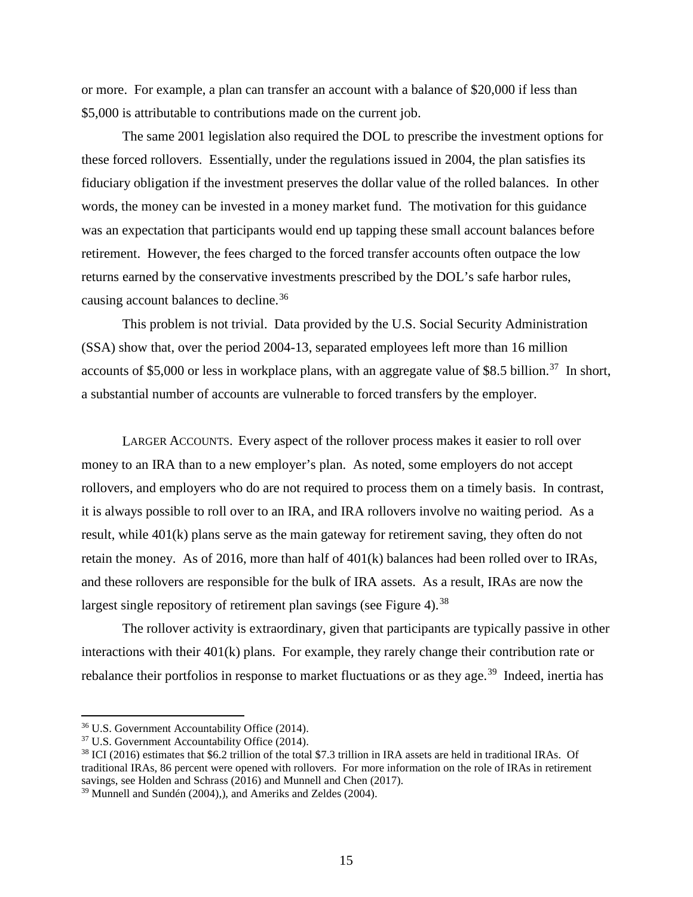or more. For example, a plan can transfer an account with a balance of \$20,000 if less than \$5,000 is attributable to contributions made on the current job.

The same 2001 legislation also required the DOL to prescribe the investment options for these forced rollovers. Essentially, under the regulations issued in 2004, the plan satisfies its fiduciary obligation if the investment preserves the dollar value of the rolled balances. In other words, the money can be invested in a money market fund. The motivation for this guidance was an expectation that participants would end up tapping these small account balances before retirement. However, the fees charged to the forced transfer accounts often outpace the low returns earned by the conservative investments prescribed by the DOL's safe harbor rules, causing account balances to decline.[36](#page-16-0)

This problem is not trivial. Data provided by the U.S. Social Security Administration (SSA) show that, over the period 2004-13, separated employees left more than 16 million accounts of \$5,000 or less in workplace plans, with an aggregate value of \$8.5 billion.<sup>37</sup> In short, a substantial number of accounts are vulnerable to forced transfers by the employer.

LARGER ACCOUNTS. Every aspect of the rollover process makes it easier to roll over money to an IRA than to a new employer's plan. As noted, some employers do not accept rollovers, and employers who do are not required to process them on a timely basis. In contrast, it is always possible to roll over to an IRA, and IRA rollovers involve no waiting period. As a result, while 401(k) plans serve as the main gateway for retirement saving, they often do not retain the money. As of 2016, more than half of 401(k) balances had been rolled over to IRAs, and these rollovers are responsible for the bulk of IRA assets. As a result, IRAs are now the largest single repository of retirement plan savings (see Figure 4).<sup>[38](#page-16-2)</sup>

The rollover activity is extraordinary, given that participants are typically passive in other interactions with their 401(k) plans. For example, they rarely change their contribution rate or rebalance their portfolios in response to market fluctuations or as they age.<sup>[39](#page-16-3)</sup> Indeed, inertia has

<span id="page-16-0"></span><sup>36</sup> U.S. Government Accountability Office (2014).

<span id="page-16-1"></span><sup>37</sup> U.S. Government Accountability Office (2014).

<span id="page-16-2"></span><sup>38</sup> ICI (2016) estimates that \$6.2 trillion of the total \$7.3 trillion in IRA assets are held in traditional IRAs. Of traditional IRAs, 86 percent were opened with rollovers. For more information on the role of IRAs in retirement savings, see Holden and Schrass (2016) and Munnell and Chen (2017).

<span id="page-16-3"></span> $39$  Munnell and Sundén (2004),), and Ameriks and Zeldes (2004).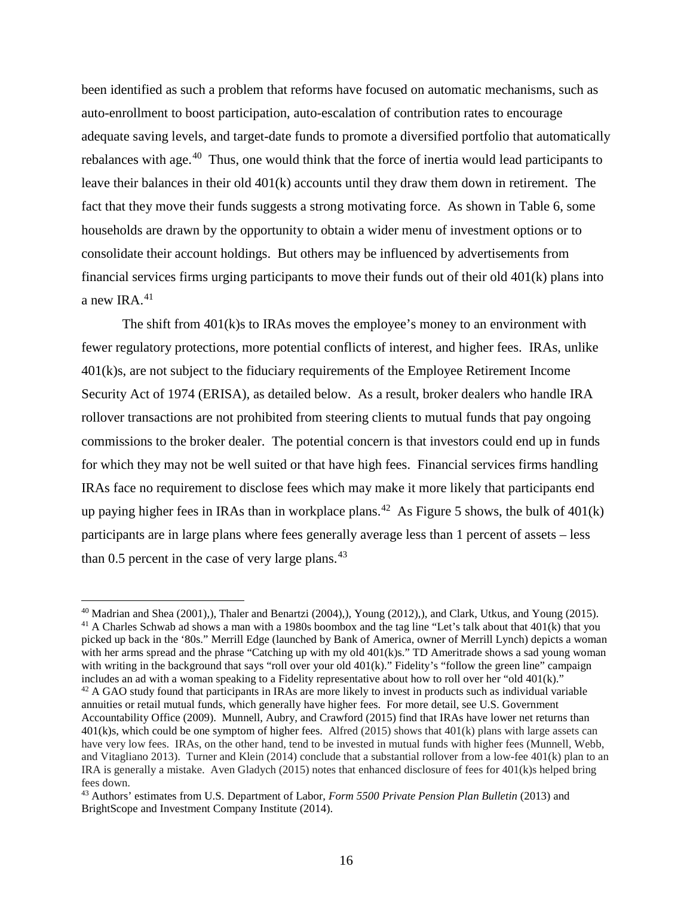been identified as such a problem that reforms have focused on automatic mechanisms, such as auto-enrollment to boost participation, auto-escalation of contribution rates to encourage adequate saving levels, and target-date funds to promote a diversified portfolio that automatically rebalances with age.<sup>[40](#page-17-0)</sup> Thus, one would think that the force of inertia would lead participants to leave their balances in their old 401(k) accounts until they draw them down in retirement. The fact that they move their funds suggests a strong motivating force. As shown in Table 6, some households are drawn by the opportunity to obtain a wider menu of investment options or to consolidate their account holdings. But others may be influenced by advertisements from financial services firms urging participants to move their funds out of their old 401(k) plans into a new IRA.<sup>41</sup>

The shift from 401(k)s to IRAs moves the employee's money to an environment with fewer regulatory protections, more potential conflicts of interest, and higher fees. IRAs, unlike 401(k)s, are not subject to the fiduciary requirements of the Employee Retirement Income Security Act of 1974 (ERISA), as detailed below. As a result, broker dealers who handle IRA rollover transactions are not prohibited from steering clients to mutual funds that pay ongoing commissions to the broker dealer. The potential concern is that investors could end up in funds for which they may not be well suited or that have high fees. Financial services firms handling IRAs face no requirement to disclose fees which may make it more likely that participants end up paying higher fees in IRAs than in workplace plans.<sup>[42](#page-17-2)</sup> As Figure 5 shows, the bulk of  $401(k)$ participants are in large plans where fees generally average less than 1 percent of assets – less than  $0.5$  percent in the case of very large plans.<sup>[43](#page-17-3)</sup>

<span id="page-17-1"></span><span id="page-17-0"></span><sup>40</sup> Madrian and Shea (2001),), Thaler and Benartzi (2004),), Young (2012),), and Clark, Utkus, and Young (2015). <sup>41</sup> A Charles Schwab ad shows a man with a 1980s boombox and the tag line "Let's talk about that 401(k) that you picked up back in the '80s." Merrill Edge (launched by Bank of America, owner of Merrill Lynch) depicts a woman with her arms spread and the phrase "Catching up with my old  $401(k)s$ ." TD Ameritrade shows a sad young woman with writing in the background that says "roll over your old  $401(k)$ ." Fidelity's "follow the green line" campaign includes an ad with a woman speaking to a Fidelity representative about how to roll over her "old 401(k)."

<span id="page-17-2"></span><sup>&</sup>lt;sup>42</sup> A GAO study found that participants in IRAs are more likely to invest in products such as individual variable annuities or retail mutual funds, which generally have higher fees. For more detail, see U.S. Government Accountability Office (2009). Munnell, Aubry, and Crawford (2015) find that IRAs have lower net returns than 401(k)s, which could be one symptom of higher fees. Alfred (2015) shows that 401(k) plans with large assets can have very low fees. IRAs, on the other hand, tend to be invested in mutual funds with higher fees (Munnell, Webb, and Vitagliano 2013). Turner and Klein (2014) conclude that a substantial rollover from a low-fee 401(k) plan to an IRA is generally a mistake. Aven Gladych (2015) notes that enhanced disclosure of fees for 401(k)s helped bring fees down.

<span id="page-17-3"></span><sup>43</sup> Authors' estimates from U.S. Department of Labor, *Form 5500 Private Pension Plan Bulletin* (2013) and BrightScope and Investment Company Institute (2014).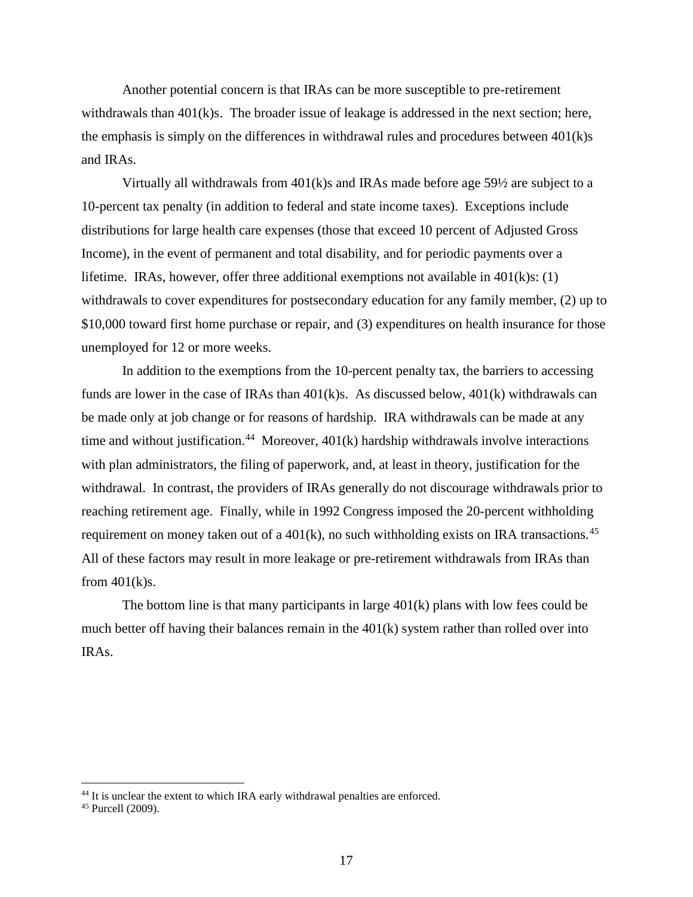Another potential concern is that IRAs can be more susceptible to pre-retirement withdrawals than  $401(k)s$ . The broader issue of leakage is addressed in the next section; here, the emphasis is simply on the differences in withdrawal rules and procedures between  $401(k)s$ and IRAs.

Virtually all withdrawals from  $401(k)s$  and IRAs made before age  $59\frac{1}{2}$  are subject to a 10-percent tax penalty (in addition to federal and state income taxes). Exceptions include distributions for large health care expenses (those that exceed 10 percent of Adjusted Gross Income), in the event of permanent and total disability, and for periodic payments over a lifetime. IRAs, however, offer three additional exemptions not available in  $401(k)s$ : (1) withdrawals to cover expenditures for postsecondary education for any family member, (2) up to \$10,000 toward first home purchase or repair, and (3) expenditures on health insurance for those unemployed for 12 or more weeks.

In addition to the exemptions from the 10-percent penalty tax, the barriers to accessing funds are lower in the case of IRAs than  $401(k)s$ . As discussed below,  $401(k)$  withdrawals can be made only at job change or for reasons of hardship. IRA withdrawals can be made at any time and without justification.<sup>[44](#page-18-0)</sup> Moreover,  $401(k)$  hardship withdrawals involve interactions with plan administrators, the filing of paperwork, and, at least in theory, justification for the withdrawal. In contrast, the providers of IRAs generally do not discourage withdrawals prior to reaching retirement age. Finally, while in 1992 Congress imposed the 20-percent withholding requirement on money taken out of a  $401(k)$ , no such withholding exists on IRA transactions.<sup>[45](#page-18-1)</sup> All of these factors may result in more leakage or pre-retirement withdrawals from IRAs than from  $401(k)s$ .

The bottom line is that many participants in large 401(k) plans with low fees could be much better off having their balances remain in the 401(k) system rather than rolled over into IRAs.

<span id="page-18-0"></span><sup>&</sup>lt;sup>44</sup> It is unclear the extent to which IRA early withdrawal penalties are enforced.

<span id="page-18-1"></span><sup>45</sup> Purcell (2009).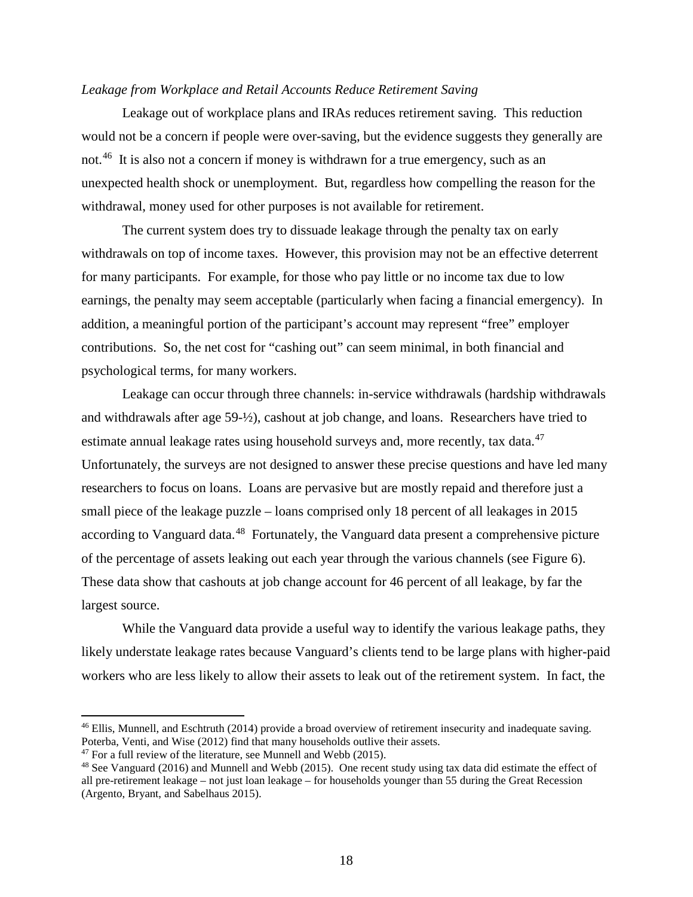# *Leakage from Workplace and Retail Accounts Reduce Retirement Saving*

Leakage out of workplace plans and IRAs reduces retirement saving. This reduction would not be a concern if people were over-saving, but the evidence suggests they generally are not.<sup>[46](#page-19-0)</sup> It is also not a concern if money is withdrawn for a true emergency, such as an unexpected health shock or unemployment. But, regardless how compelling the reason for the withdrawal, money used for other purposes is not available for retirement.

The current system does try to dissuade leakage through the penalty tax on early withdrawals on top of income taxes. However, this provision may not be an effective deterrent for many participants. For example, for those who pay little or no income tax due to low earnings, the penalty may seem acceptable (particularly when facing a financial emergency). In addition, a meaningful portion of the participant's account may represent "free" employer contributions. So, the net cost for "cashing out" can seem minimal, in both financial and psychological terms, for many workers.

Leakage can occur through three channels: in-service withdrawals (hardship withdrawals and withdrawals after age 59-½), cashout at job change, and loans. Researchers have tried to estimate annual leakage rates using household surveys and, more recently, tax data.<sup>[47](#page-19-1)</sup> Unfortunately, the surveys are not designed to answer these precise questions and have led many researchers to focus on loans. Loans are pervasive but are mostly repaid and therefore just a small piece of the leakage puzzle – loans comprised only 18 percent of all leakages in 2015 according to Vanguard data.<sup>[48](#page-19-2)</sup> Fortunately, the Vanguard data present a comprehensive picture of the percentage of assets leaking out each year through the various channels (see Figure 6). These data show that cashouts at job change account for 46 percent of all leakage, by far the largest source.

While the Vanguard data provide a useful way to identify the various leakage paths, they likely understate leakage rates because Vanguard's clients tend to be large plans with higher-paid workers who are less likely to allow their assets to leak out of the retirement system. In fact, the

<span id="page-19-0"></span><sup>&</sup>lt;sup>46</sup> Ellis, Munnell, and Eschtruth (2014) provide a broad overview of retirement insecurity and inadequate saving. Poterba, Venti, and Wise (2012) find that many households outlive their assets.

<span id="page-19-1"></span> $47$  For a full review of the literature, see Munnell and Webb (2015).

<span id="page-19-2"></span><sup>48</sup> See Vanguard (2016) and Munnell and Webb (2015). One recent study using tax data did estimate the effect of all pre-retirement leakage – not just loan leakage – for households younger than 55 during the Great Recession (Argento, Bryant, and Sabelhaus 2015).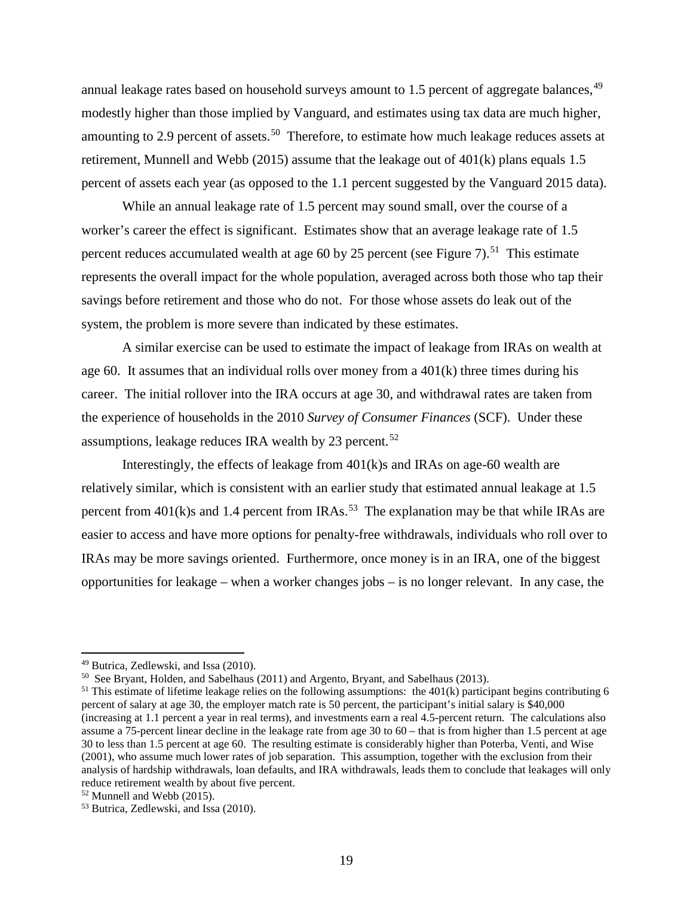annual leakage rates based on household surveys amount to 1.5 percent of aggregate balances, <sup>[49](#page-20-0)</sup> modestly higher than those implied by Vanguard, and estimates using tax data are much higher, amounting to 2.9 percent of assets.<sup>[50](#page-20-1)</sup> Therefore, to estimate how much leakage reduces assets at retirement, Munnell and Webb (2015) assume that the leakage out of 401(k) plans equals 1.5 percent of assets each year (as opposed to the 1.1 percent suggested by the Vanguard 2015 data).

While an annual leakage rate of 1.5 percent may sound small, over the course of a worker's career the effect is significant. Estimates show that an average leakage rate of 1.5 percent reduces accumulated wealth at age 60 by 25 percent (see Figure 7).<sup>[51](#page-20-2)</sup> This estimate represents the overall impact for the whole population, averaged across both those who tap their savings before retirement and those who do not. For those whose assets do leak out of the system, the problem is more severe than indicated by these estimates.

A similar exercise can be used to estimate the impact of leakage from IRAs on wealth at age 60. It assumes that an individual rolls over money from a  $401(k)$  three times during his career. The initial rollover into the IRA occurs at age 30, and withdrawal rates are taken from the experience of households in the 2010 *Survey of Consumer Finances* (SCF). Under these assumptions, leakage reduces IRA wealth by 23 percent.<sup>[52](#page-20-3)</sup>

Interestingly, the effects of leakage from 401(k)s and IRAs on age-60 wealth are relatively similar, which is consistent with an earlier study that estimated annual leakage at 1.5 percent from  $401(k)$ s and 1.4 percent from IRAs.<sup>[53](#page-20-4)</sup> The explanation may be that while IRAs are easier to access and have more options for penalty-free withdrawals, individuals who roll over to IRAs may be more savings oriented. Furthermore, once money is in an IRA, one of the biggest opportunities for leakage – when a worker changes jobs – is no longer relevant. In any case, the

<span id="page-20-0"></span><sup>49</sup> Butrica, Zedlewski, and Issa (2010).

<span id="page-20-1"></span><sup>50</sup> See Bryant, Holden, and Sabelhaus (2011) and Argento, Bryant, and Sabelhaus (2013).

<span id="page-20-2"></span><sup>&</sup>lt;sup>51</sup> This estimate of lifetime leakage relies on the following assumptions: the  $401(k)$  participant begins contributing 6 percent of salary at age 30, the employer match rate is 50 percent, the participant's initial salary is \$40,000 (increasing at 1.1 percent a year in real terms), and investments earn a real 4.5-percent return. The calculations also assume a 75-percent linear decline in the leakage rate from age 30 to 60 – that is from higher than 1.5 percent at age 30 to less than 1.5 percent at age 60. The resulting estimate is considerably higher than Poterba, Venti, and Wise (2001), who assume much lower rates of job separation. This assumption, together with the exclusion from their analysis of hardship withdrawals, loan defaults, and IRA withdrawals, leads them to conclude that leakages will only reduce retirement wealth by about five percent.

<span id="page-20-3"></span> $52$  Munnell and Webb (2015).

<span id="page-20-4"></span><sup>53</sup> Butrica, Zedlewski, and Issa (2010).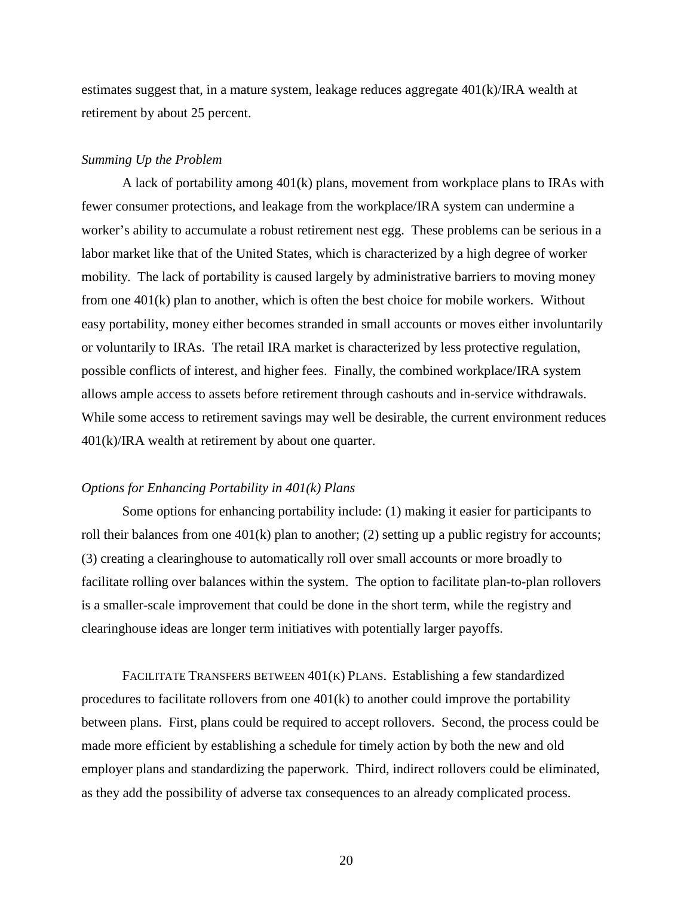estimates suggest that, in a mature system, leakage reduces aggregate 401(k)/IRA wealth at retirement by about 25 percent.

#### *Summing Up the Problem*

A lack of portability among 401(k) plans, movement from workplace plans to IRAs with fewer consumer protections, and leakage from the workplace/IRA system can undermine a worker's ability to accumulate a robust retirement nest egg. These problems can be serious in a labor market like that of the United States, which is characterized by a high degree of worker mobility. The lack of portability is caused largely by administrative barriers to moving money from one 401(k) plan to another, which is often the best choice for mobile workers. Without easy portability, money either becomes stranded in small accounts or moves either involuntarily or voluntarily to IRAs. The retail IRA market is characterized by less protective regulation, possible conflicts of interest, and higher fees. Finally, the combined workplace/IRA system allows ample access to assets before retirement through cashouts and in-service withdrawals. While some access to retirement savings may well be desirable, the current environment reduces 401(k)/IRA wealth at retirement by about one quarter.

## *Options for Enhancing Portability in 401(k) Plans*

Some options for enhancing portability include: (1) making it easier for participants to roll their balances from one 401(k) plan to another; (2) setting up a public registry for accounts; (3) creating a clearinghouse to automatically roll over small accounts or more broadly to facilitate rolling over balances within the system. The option to facilitate plan-to-plan rollovers is a smaller-scale improvement that could be done in the short term, while the registry and clearinghouse ideas are longer term initiatives with potentially larger payoffs.

FACILITATE TRANSFERS BETWEEN 401(K) PLANS. Establishing a few standardized procedures to facilitate rollovers from one  $401(k)$  to another could improve the portability between plans. First, plans could be required to accept rollovers. Second, the process could be made more efficient by establishing a schedule for timely action by both the new and old employer plans and standardizing the paperwork. Third, indirect rollovers could be eliminated, as they add the possibility of adverse tax consequences to an already complicated process.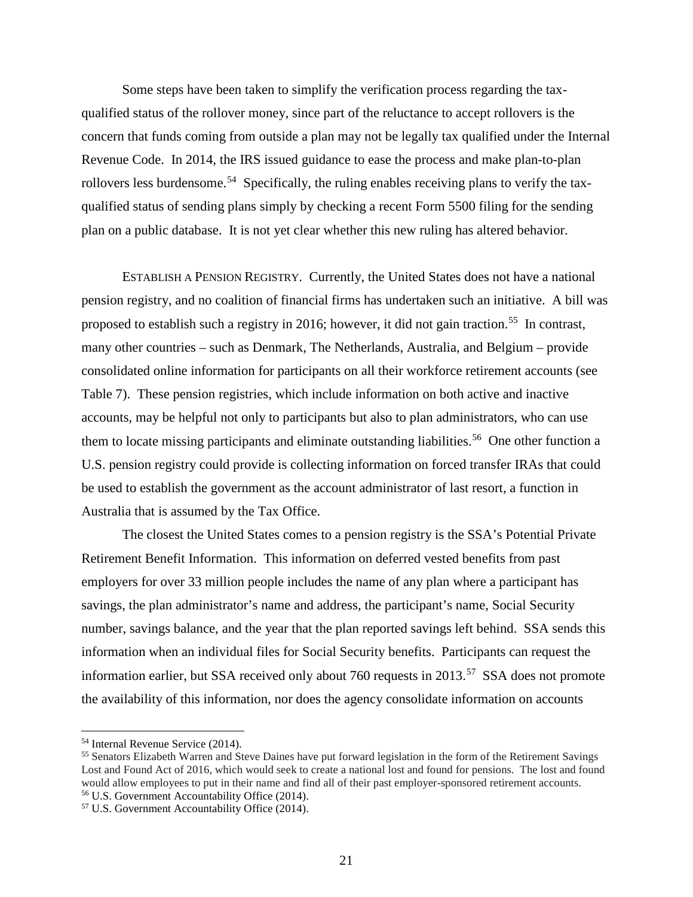Some steps have been taken to simplify the verification process regarding the taxqualified status of the rollover money, since part of the reluctance to accept rollovers is the concern that funds coming from outside a plan may not be legally tax qualified under the Internal Revenue Code. In 2014, the IRS issued guidance to ease the process and make plan-to-plan rollovers less burdensome.<sup>[54](#page-22-0)</sup> Specifically, the ruling enables receiving plans to verify the taxqualified status of sending plans simply by checking a recent Form 5500 filing for the sending plan on a public database. It is not yet clear whether this new ruling has altered behavior.

ESTABLISH A PENSION REGISTRY. Currently, the United States does not have a national pension registry, and no coalition of financial firms has undertaken such an initiative. A bill was proposed to establish such a registry in 2016; however, it did not gain traction.[55](#page-22-1) In contrast, many other countries – such as Denmark, The Netherlands, Australia, and Belgium – provide consolidated online information for participants on all their workforce retirement accounts (see Table 7). These pension registries, which include information on both active and inactive accounts, may be helpful not only to participants but also to plan administrators, who can use them to locate missing participants and eliminate outstanding liabilities.<sup>[56](#page-22-2)</sup> One other function a U.S. pension registry could provide is collecting information on forced transfer IRAs that could be used to establish the government as the account administrator of last resort, a function in Australia that is assumed by the Tax Office.

The closest the United States comes to a pension registry is the SSA's Potential Private Retirement Benefit Information. This information on deferred vested benefits from past employers for over 33 million people includes the name of any plan where a participant has savings, the plan administrator's name and address, the participant's name, Social Security number, savings balance, and the year that the plan reported savings left behind. SSA sends this information when an individual files for Social Security benefits. Participants can request the information earlier, but SSA received only about 760 requests in 2013.<sup>[57](#page-22-3)</sup> SSA does not promote the availability of this information, nor does the agency consolidate information on accounts

<span id="page-22-1"></span>

<span id="page-22-0"></span><sup>&</sup>lt;sup>54</sup> Internal Revenue Service (2014).<br><sup>55</sup> Senators Elizabeth Warren and Steve Daines have put forward legislation in the form of the Retirement Savings Lost and Found Act of 2016, which would seek to create a national lost and found for pensions. The lost and found would allow employees to put in their name and find all of their past employer-sponsored retirement accounts. <sup>56</sup> U.S. Government Accountability Office (2014).

<span id="page-22-3"></span><span id="page-22-2"></span><sup>57</sup> U.S. Government Accountability Office (2014).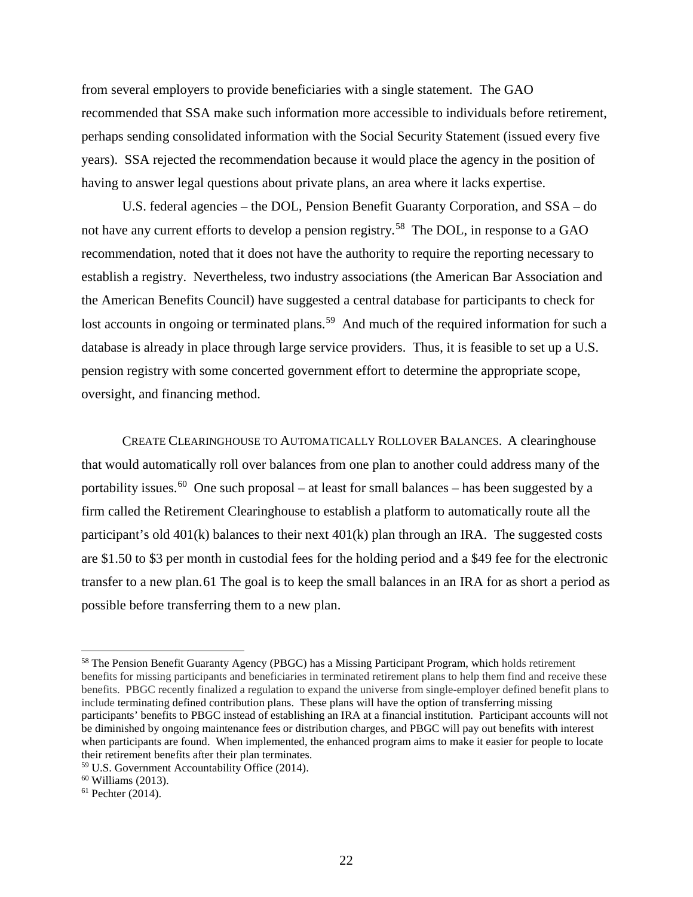from several employers to provide beneficiaries with a single statement. The GAO recommended that SSA make such information more accessible to individuals before retirement, perhaps sending consolidated information with the Social Security Statement (issued every five years). SSA rejected the recommendation because it would place the agency in the position of having to answer legal questions about private plans, an area where it lacks expertise.

U.S. federal agencies – the DOL, Pension Benefit Guaranty Corporation, and SSA – do not have any current efforts to develop a pension registry.<sup>[58](#page-23-0)</sup> The DOL, in response to a GAO recommendation, noted that it does not have the authority to require the reporting necessary to establish a registry. Nevertheless, two industry associations (the American Bar Association and the American Benefits Council) have suggested a central database for participants to check for lost accounts in ongoing or terminated plans.<sup>[59](#page-23-1)</sup> And much of the required information for such a database is already in place through large service providers. Thus, it is feasible to set up a U.S. pension registry with some concerted government effort to determine the appropriate scope, oversight, and financing method.

CREATE CLEARINGHOUSE TO AUTOMATICALLY ROLLOVER BALANCES. A clearinghouse that would automatically roll over balances from one plan to another could address many of the portability issues.<sup>[60](#page-23-2)</sup> One such proposal – at least for small balances – has been suggested by a firm called the Retirement Clearinghouse to establish a platform to automatically route all the participant's old 401(k) balances to their next 401(k) plan through an IRA. The suggested costs are \$1.50 to \$3 per month in custodial fees for the holding period and a \$49 fee for the electronic transfer to a new plan.[61](#page-23-3) The goal is to keep the small balances in an IRA for as short a period as possible before transferring them to a new plan.

<span id="page-23-0"></span><sup>58</sup> The Pension Benefit Guaranty Agency (PBGC) has a Missing Participant Program, which holds retirement benefits for missing participants and beneficiaries in terminated retirement plans to help them find and receive these benefits. PBGC recently finalized a regulation to expand the universe from single-employer defined benefit plans to include terminating defined contribution plans. These plans will have the option of transferring missing participants' benefits to PBGC instead of establishing an IRA at a financial institution. Participant accounts will not be diminished by ongoing maintenance fees or distribution charges, and PBGC will pay out benefits with interest when participants are found. When implemented, the enhanced program aims to make it easier for people to locate their retirement benefits after their plan terminates.

<span id="page-23-1"></span> $59$  U.S. Government Accountability Office (2014).

<span id="page-23-2"></span> $60$  Williams (2013).

<span id="page-23-3"></span> $61$  Pechter (2014).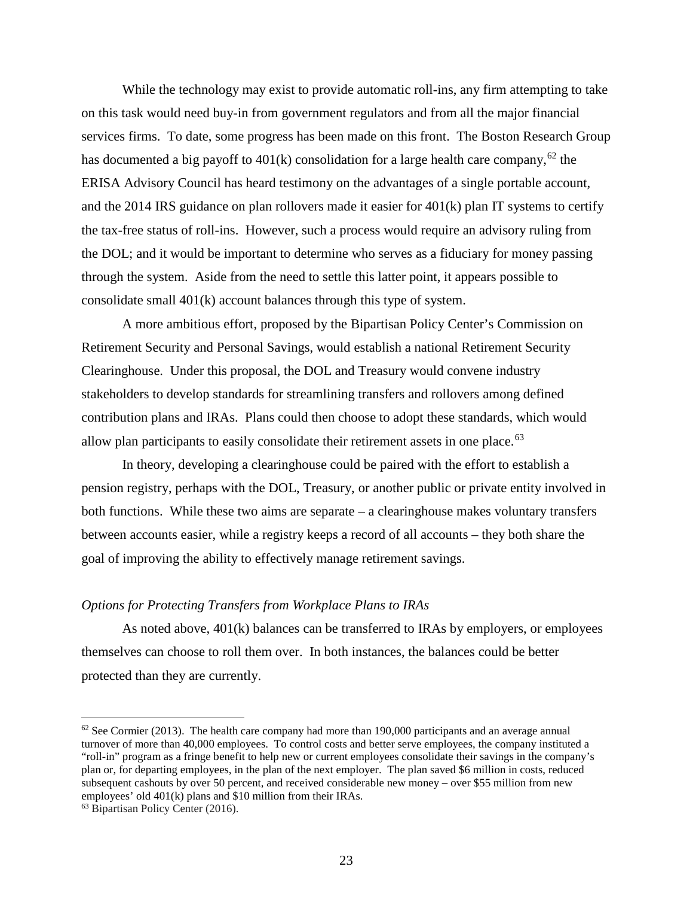While the technology may exist to provide automatic roll-ins, any firm attempting to take on this task would need buy-in from government regulators and from all the major financial services firms. To date, some progress has been made on this front. The Boston Research Group has documented a big payoff to  $401(k)$  consolidation for a large health care company,<sup>[62](#page-24-0)</sup> the ERISA Advisory Council has heard testimony on the advantages of a single portable account, and the 2014 IRS guidance on plan rollovers made it easier for  $401(k)$  plan IT systems to certify the tax-free status of roll-ins. However, such a process would require an advisory ruling from the DOL; and it would be important to determine who serves as a fiduciary for money passing through the system. Aside from the need to settle this latter point, it appears possible to consolidate small 401(k) account balances through this type of system.

A more ambitious effort, proposed by the Bipartisan Policy Center's Commission on Retirement Security and Personal Savings, would establish a national Retirement Security Clearinghouse. Under this proposal, the DOL and Treasury would convene industry stakeholders to develop standards for streamlining transfers and rollovers among defined contribution plans and IRAs. Plans could then choose to adopt these standards, which would allow plan participants to easily consolidate their retirement assets in one place. $63$ 

In theory, developing a clearinghouse could be paired with the effort to establish a pension registry, perhaps with the DOL, Treasury, or another public or private entity involved in both functions. While these two aims are separate – a clearinghouse makes voluntary transfers between accounts easier, while a registry keeps a record of all accounts – they both share the goal of improving the ability to effectively manage retirement savings.

#### *Options for Protecting Transfers from Workplace Plans to IRAs*

As noted above, 401(k) balances can be transferred to IRAs by employers, or employees themselves can choose to roll them over. In both instances, the balances could be better protected than they are currently.

<span id="page-24-0"></span> $62$  See Cormier (2013). The health care company had more than 190,000 participants and an average annual turnover of more than 40,000 employees. To control costs and better serve employees, the company instituted a "roll-in" program as a fringe benefit to help new or current employees consolidate their savings in the company's plan or, for departing employees, in the plan of the next employer. The plan saved \$6 million in costs, reduced subsequent cashouts by over 50 percent, and received considerable new money – over \$55 million from new employees' old 401(k) plans and \$10 million from their IRAs.

<span id="page-24-1"></span><sup>63</sup> Bipartisan Policy Center (2016).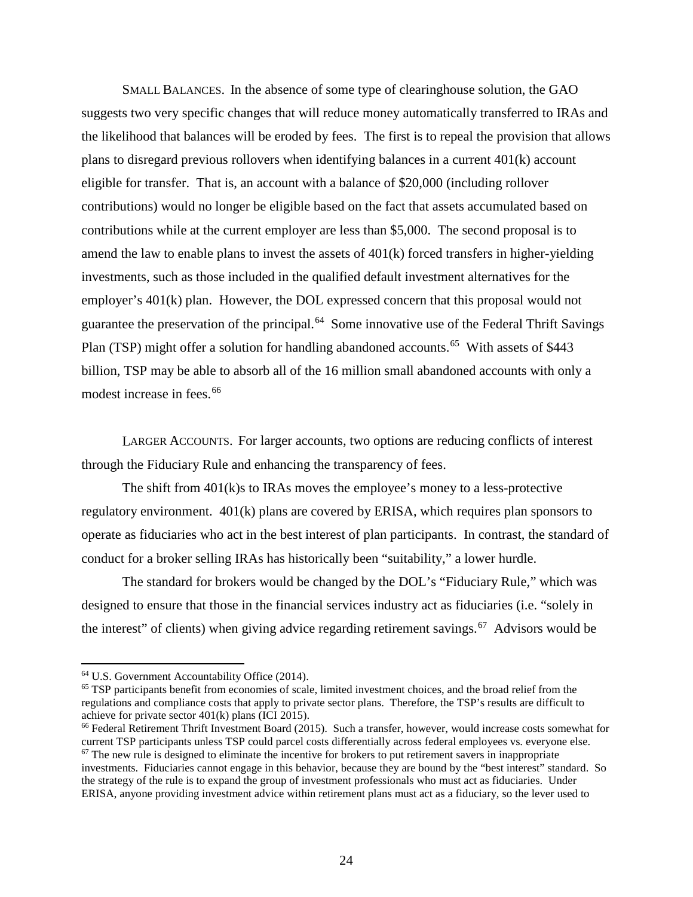SMALL BALANCES. In the absence of some type of clearinghouse solution, the GAO suggests two very specific changes that will reduce money automatically transferred to IRAs and the likelihood that balances will be eroded by fees. The first is to repeal the provision that allows plans to disregard previous rollovers when identifying balances in a current 401(k) account eligible for transfer. That is, an account with a balance of \$20,000 (including rollover contributions) would no longer be eligible based on the fact that assets accumulated based on contributions while at the current employer are less than \$5,000. The second proposal is to amend the law to enable plans to invest the assets of 401(k) forced transfers in higher-yielding investments, such as those included in the qualified default investment alternatives for the employer's 401(k) plan. However, the DOL expressed concern that this proposal would not guarantee the preservation of the principal.[64](#page-25-0) Some innovative use of the Federal Thrift Savings Plan (TSP) might offer a solution for handling abandoned accounts.<sup>[65](#page-25-1)</sup> With assets of \$443 billion, TSP may be able to absorb all of the 16 million small abandoned accounts with only a modest increase in fees.<sup>[66](#page-25-2)</sup>

LARGER ACCOUNTS. For larger accounts, two options are reducing conflicts of interest through the Fiduciary Rule and enhancing the transparency of fees.

The shift from 401(k)s to IRAs moves the employee's money to a less-protective regulatory environment. 401(k) plans are covered by ERISA, which requires plan sponsors to operate as fiduciaries who act in the best interest of plan participants. In contrast, the standard of conduct for a broker selling IRAs has historically been "suitability," a lower hurdle.

The standard for brokers would be changed by the DOL's "Fiduciary Rule," which was designed to ensure that those in the financial services industry act as fiduciaries (i.e. "solely in the interest" of clients) when giving advice regarding retirement savings.<sup>[67](#page-25-3)</sup> Advisors would be

<span id="page-25-0"></span><sup>64</sup> U.S. Government Accountability Office (2014).

<span id="page-25-1"></span><sup>65</sup> TSP participants benefit from economies of scale, limited investment choices, and the broad relief from the regulations and compliance costs that apply to private sector plans. Therefore, the TSP's results are difficult to achieve for private sector 401(k) plans (ICI 2015).<br><sup>66</sup> Federal Retirement Thrift Investment Board (2015). Such a transfer, however, would increase costs somewhat for

<span id="page-25-3"></span><span id="page-25-2"></span>current TSP participants unless TSP could parcel costs differentially across federal employees vs. everyone else.  $67$  The new rule is designed to eliminate the incentive for brokers to put retirement savers in inappropriate investments. Fiduciaries cannot engage in this behavior, because they are bound by the "best interest" standard. So the strategy of the rule is to expand the group of investment professionals who must act as fiduciaries. Under ERISA, anyone providing investment advice within retirement plans must act as a fiduciary, so the lever used to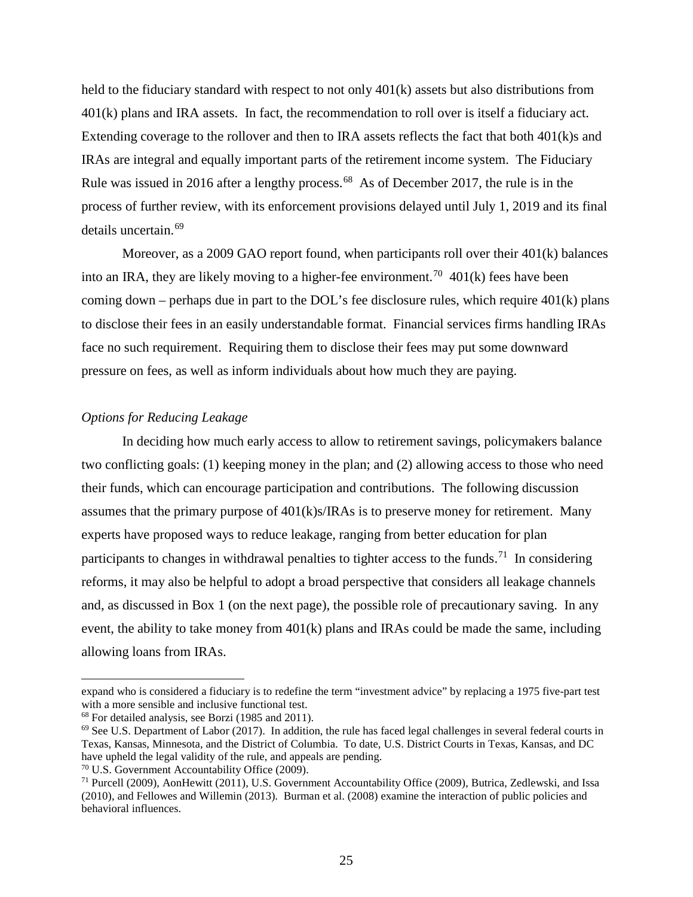held to the fiduciary standard with respect to not only 401(k) assets but also distributions from 401(k) plans and IRA assets. In fact, the recommendation to roll over is itself a fiduciary act. Extending coverage to the rollover and then to IRA assets reflects the fact that both 401(k)s and IRAs are integral and equally important parts of the retirement income system. The Fiduciary Rule was issued in 2016 after a lengthy process.<sup>[68](#page-26-0)</sup> As of December 2017, the rule is in the process of further review, with its enforcement provisions delayed until July 1, 2019 and its final details uncertain.[69](#page-26-1)

Moreover, as a 2009 GAO report found, when participants roll over their 401(k) balances into an IRA, they are likely moving to a higher-fee environment.<sup>[70](#page-26-2)</sup> 401(k) fees have been coming down – perhaps due in part to the DOL's fee disclosure rules, which require  $401(k)$  plans to disclose their fees in an easily understandable format. Financial services firms handling IRAs face no such requirement. Requiring them to disclose their fees may put some downward pressure on fees, as well as inform individuals about how much they are paying.

# *Options for Reducing Leakage*

In deciding how much early access to allow to retirement savings, policymakers balance two conflicting goals: (1) keeping money in the plan; and (2) allowing access to those who need their funds, which can encourage participation and contributions. The following discussion assumes that the primary purpose of  $401(k)s/IRAs$  is to preserve money for retirement. Many experts have proposed ways to reduce leakage, ranging from better education for plan participants to changes in withdrawal penalties to tighter access to the funds.<sup>[71](#page-26-3)</sup> In considering reforms, it may also be helpful to adopt a broad perspective that considers all leakage channels and, as discussed in Box 1 (on the next page), the possible role of precautionary saving. In any event, the ability to take money from 401(k) plans and IRAs could be made the same, including allowing loans from IRAs.

expand who is considered a fiduciary is to redefine the term "investment advice" by replacing a 1975 five-part test with a more sensible and inclusive functional test.<br><sup>68</sup> For detailed analysis, see Borzi (1985 and 2011).

<span id="page-26-0"></span>

<span id="page-26-1"></span> $^{69}$  See U.S. Department of Labor (2017). In addition, the rule has faced legal challenges in several federal courts in Texas, Kansas, Minnesota, and the District of Columbia. To date, U.S. District Courts in Texas, Kansas, and DC have upheld the legal validity of the rule, and appeals are pending.

<span id="page-26-2"></span><sup>70</sup> U.S. Government Accountability Office (2009).

<span id="page-26-3"></span><sup>71</sup> Purcell (2009), AonHewitt (2011), U.S. Government Accountability Office (2009), Butrica, Zedlewski, and Issa (2010), and Fellowes and Willemin (2013). Burman et al. (2008) examine the interaction of public policies and behavioral influences.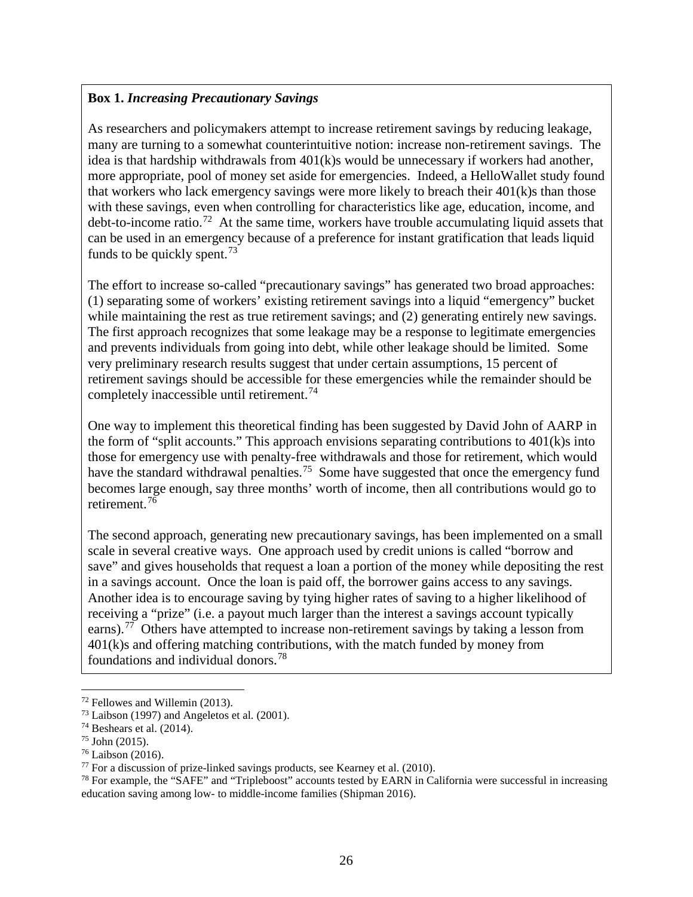# **Box 1.** *Increasing Precautionary Savings*

As researchers and policymakers attempt to increase retirement savings by reducing leakage, many are turning to a somewhat counterintuitive notion: increase non-retirement savings. The idea is that hardship withdrawals from  $401(k)$ s would be unnecessary if workers had another, more appropriate, pool of money set aside for emergencies. Indeed, a HelloWallet study found that workers who lack emergency savings were more likely to breach their  $401(k)$ s than those with these savings, even when controlling for characteristics like age, education, income, and debt-to-income ratio.[72](#page-27-0) At the same time, workers have trouble accumulating liquid assets that can be used in an emergency because of a preference for instant gratification that leads liquid funds to be quickly spent.<sup>[73](#page-27-1)</sup>

The effort to increase so-called "precautionary savings" has generated two broad approaches: (1) separating some of workers' existing retirement savings into a liquid "emergency" bucket while maintaining the rest as true retirement savings; and (2) generating entirely new savings. The first approach recognizes that some leakage may be a response to legitimate emergencies and prevents individuals from going into debt, while other leakage should be limited. Some very preliminary research results suggest that under certain assumptions, 15 percent of retirement savings should be accessible for these emergencies while the remainder should be completely inaccessible until retirement.<sup>[74](#page-27-2)</sup>

One way to implement this theoretical finding has been suggested by David John of AARP in the form of "split accounts." This approach envisions separating contributions to 401(k)s into those for emergency use with penalty-free withdrawals and those for retirement, which would have the standard withdrawal penalties.<sup>[75](#page-27-3)</sup> Some have suggested that once the emergency fund becomes large enough, say three months' worth of income, then all contributions would go to retirement.[76](#page-27-4)

The second approach, generating new precautionary savings, has been implemented on a small scale in several creative ways. One approach used by credit unions is called "borrow and save" and gives households that request a loan a portion of the money while depositing the rest in a savings account. Once the loan is paid off, the borrower gains access to any savings. Another idea is to encourage saving by tying higher rates of saving to a higher likelihood of receiving a "prize" (i.e. a payout much larger than the interest a savings account typically earns).<sup>[77](#page-27-5)</sup> Others have attempted to increase non-retirement savings by taking a lesson from 401(k)s and offering matching contributions, with the match funded by money from foundations and individual donors.[78](#page-27-6)

 $\overline{\phantom{a}}$  $72$  Fellowes and Willemin (2013).

<span id="page-27-1"></span><span id="page-27-0"></span><sup>73</sup> Laibson (1997) and Angeletos et al. (2001).

<span id="page-27-2"></span> $74$  Beshears et al. (2014).

<span id="page-27-3"></span> $75$  John (2015).

<span id="page-27-5"></span><span id="page-27-4"></span><sup>&</sup>lt;sup>76</sup> Laibson (2016).<br><sup>77</sup> For a discussion of prize-linked savings products, see Kearney et al. (2010).

<span id="page-27-6"></span><sup>&</sup>lt;sup>78</sup> For example, the "SAFE" and "Tripleboost" accounts tested by EARN in California were successful in increasing education saving among low- to middle-income families (Shipman 2016).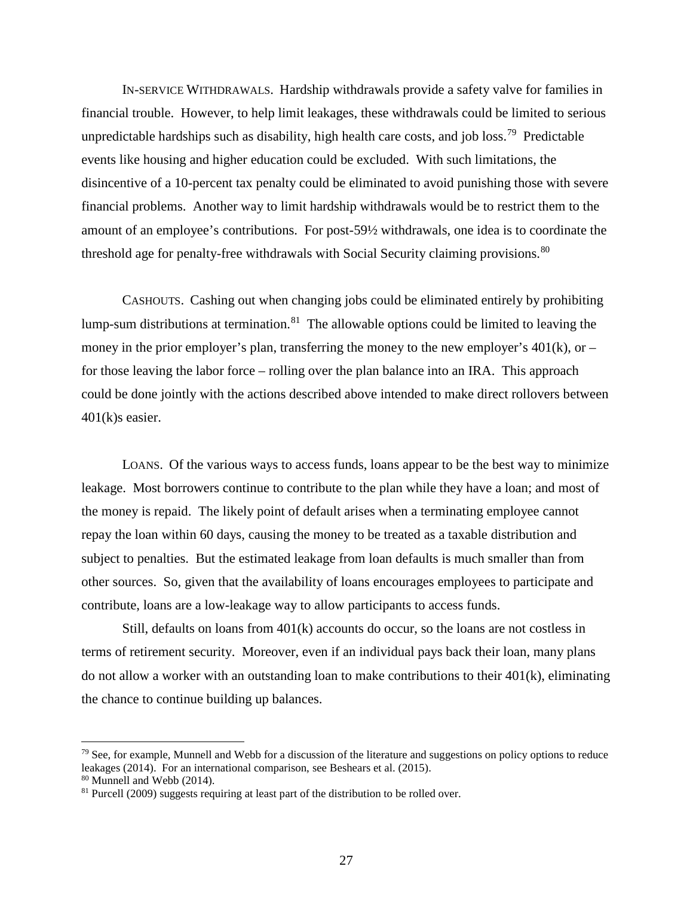IN-SERVICE WITHDRAWALS. Hardship withdrawals provide a safety valve for families in financial trouble. However, to help limit leakages, these withdrawals could be limited to serious unpredictable hardships such as disability, high health care costs, and job loss.<sup>[79](#page-28-0)</sup> Predictable events like housing and higher education could be excluded. With such limitations, the disincentive of a 10-percent tax penalty could be eliminated to avoid punishing those with severe financial problems. Another way to limit hardship withdrawals would be to restrict them to the amount of an employee's contributions. For post-59½ withdrawals, one idea is to coordinate the threshold age for penalty-free withdrawals with Social Security claiming provisions.<sup>[80](#page-28-1)</sup>

CASHOUTS. Cashing out when changing jobs could be eliminated entirely by prohibiting lump-sum distributions at termination. $81$  The allowable options could be limited to leaving the money in the prior employer's plan, transferring the money to the new employer's  $401(k)$ , or – for those leaving the labor force – rolling over the plan balance into an IRA. This approach could be done jointly with the actions described above intended to make direct rollovers between 401(k)s easier.

LOANS. Of the various ways to access funds, loans appear to be the best way to minimize leakage. Most borrowers continue to contribute to the plan while they have a loan; and most of the money is repaid. The likely point of default arises when a terminating employee cannot repay the loan within 60 days, causing the money to be treated as a taxable distribution and subject to penalties. But the estimated leakage from loan defaults is much smaller than from other sources. So, given that the availability of loans encourages employees to participate and contribute, loans are a low-leakage way to allow participants to access funds.

Still, defaults on loans from 401(k) accounts do occur, so the loans are not costless in terms of retirement security. Moreover, even if an individual pays back their loan, many plans do not allow a worker with an outstanding loan to make contributions to their 401(k), eliminating the chance to continue building up balances.

<span id="page-28-0"></span> $79$  See, for example, Munnell and Webb for a discussion of the literature and suggestions on policy options to reduce leakages (2014). For an international comparison, see Beshears et al. (2015). <sup>80</sup> Munnell and Webb (2014).

<span id="page-28-2"></span><span id="page-28-1"></span><sup>&</sup>lt;sup>81</sup> Purcell (2009) suggests requiring at least part of the distribution to be rolled over.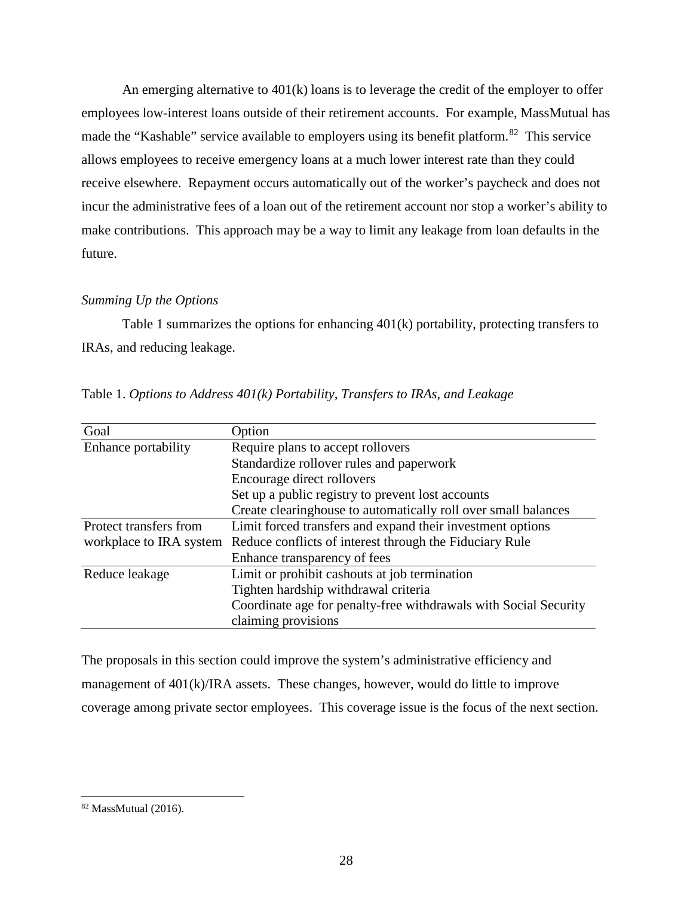An emerging alternative to 401(k) loans is to leverage the credit of the employer to offer employees low-interest loans outside of their retirement accounts. For example, MassMutual has made the "Kashable" service available to employers using its benefit platform.<sup>[82](#page-29-0)</sup> This service allows employees to receive emergency loans at a much lower interest rate than they could receive elsewhere. Repayment occurs automatically out of the worker's paycheck and does not incur the administrative fees of a loan out of the retirement account nor stop a worker's ability to make contributions. This approach may be a way to limit any leakage from loan defaults in the future.

# *Summing Up the Options*

Table 1 summarizes the options for enhancing 401(k) portability, protecting transfers to IRAs, and reducing leakage.

| Goal                    | Option                                                           |  |  |
|-------------------------|------------------------------------------------------------------|--|--|
| Enhance portability     | Require plans to accept rollovers                                |  |  |
|                         | Standardize rollover rules and paperwork                         |  |  |
|                         | Encourage direct rollovers                                       |  |  |
|                         | Set up a public registry to prevent lost accounts                |  |  |
|                         | Create clearinghouse to automatically roll over small balances   |  |  |
| Protect transfers from  | Limit forced transfers and expand their investment options       |  |  |
| workplace to IRA system | Reduce conflicts of interest through the Fiduciary Rule          |  |  |
|                         | Enhance transparency of fees                                     |  |  |
| Reduce leakage          | Limit or prohibit cashouts at job termination                    |  |  |
|                         | Tighten hardship withdrawal criteria                             |  |  |
|                         | Coordinate age for penalty-free withdrawals with Social Security |  |  |
|                         | claiming provisions                                              |  |  |

Table 1. *Options to Address 401(k) Portability, Transfers to IRAs, and Leakage*

The proposals in this section could improve the system's administrative efficiency and management of 401(k)/IRA assets. These changes, however, would do little to improve coverage among private sector employees. This coverage issue is the focus of the next section.

<span id="page-29-0"></span><sup>82</sup> MassMutual (2016).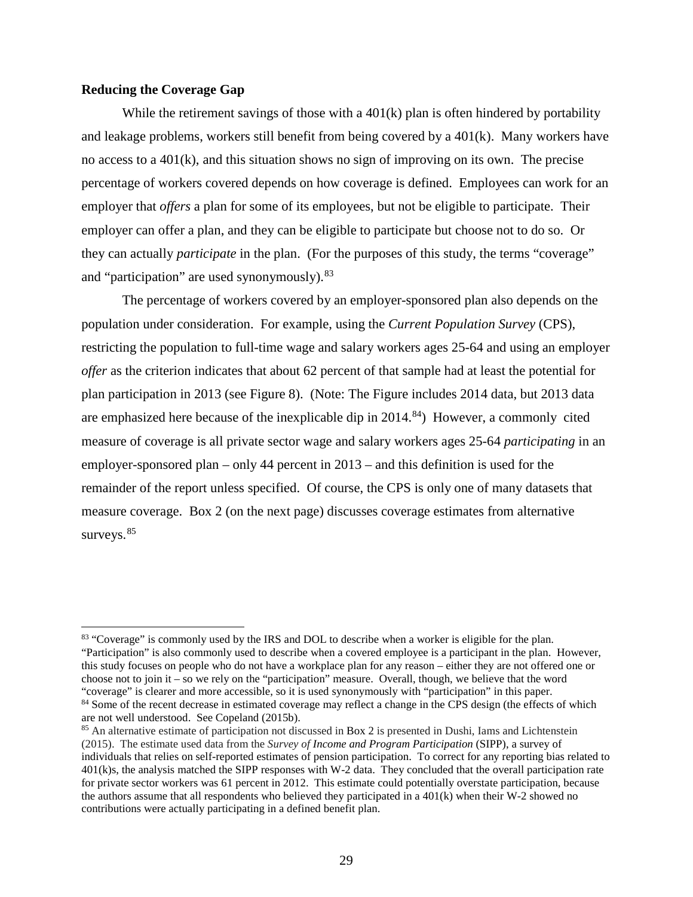# **Reducing the Coverage Gap**

While the retirement savings of those with a  $401(k)$  plan is often hindered by portability and leakage problems, workers still benefit from being covered by a 401(k). Many workers have no access to a 401(k), and this situation shows no sign of improving on its own. The precise percentage of workers covered depends on how coverage is defined. Employees can work for an employer that *offers* a plan for some of its employees, but not be eligible to participate. Their employer can offer a plan, and they can be eligible to participate but choose not to do so. Or they can actually *participate* in the plan. (For the purposes of this study, the terms "coverage" and "participation" are used synonymously). <sup>[83](#page-30-0)</sup>

The percentage of workers covered by an employer-sponsored plan also depends on the population under consideration. For example, using the *Current Population Survey* (CPS), restricting the population to full-time wage and salary workers ages 25-64 and using an employer *offer* as the criterion indicates that about 62 percent of that sample had at least the potential for plan participation in 2013 (see Figure 8). (Note: The Figure includes 2014 data, but 2013 data are emphasized here because of the inexplicable dip in  $2014<sup>84</sup>$ ) However, a commonly cited measure of coverage is all private sector wage and salary workers ages 25-64 *participating* in an employer-sponsored plan – only 44 percent in 2013 – and this definition is used for the remainder of the report unless specified. Of course, the CPS is only one of many datasets that measure coverage. Box 2 (on the next page) discusses coverage estimates from alternative surveys.<sup>[85](#page-30-2)</sup>

<span id="page-30-0"></span><sup>&</sup>lt;sup>83</sup> "Coverage" is commonly used by the IRS and DOL to describe when a worker is eligible for the plan. "Participation" is also commonly used to describe when a covered employee is a participant in the plan. However, this study focuses on people who do not have a workplace plan for any reason – either they are not offered one or choose not to join it – so we rely on the "participation" measure. Overall, though, we believe that the word "coverage" is clearer and more accessible, so it is used synonymously with "participation" in this paper. <sup>84</sup> Some of the recent decrease in estimated coverage may reflect a change in the CPS design (the effects of which

<span id="page-30-1"></span>are not well understood. See Copeland (2015b).

<span id="page-30-2"></span><sup>85</sup> An alternative estimate of participation not discussed in [Box 2](https://summitllc.sharepoint.com/sites/communications/Shared%20Documents/In-progress%20projects/D_2017_003-DOL-RetPort/Revised%20DOL_Summit_May_2017_EDITED.docx#_Hlk484458224) is presented in Dushi, Iams and Lichtenstein (2015). The estimate used data from the *Survey of Income and Program Participation* (SIPP), a survey of individuals that relies on self-reported estimates of pension participation. To correct for any reporting bias related to 401(k)s, the analysis matched the SIPP responses with W-2 data. They concluded that the overall participation rate for private sector workers was 61 percent in 2012. This estimate could potentially overstate participation, because the authors assume that all respondents who believed they participated in a 401(k) when their W-2 showed no contributions were actually participating in a defined benefit plan.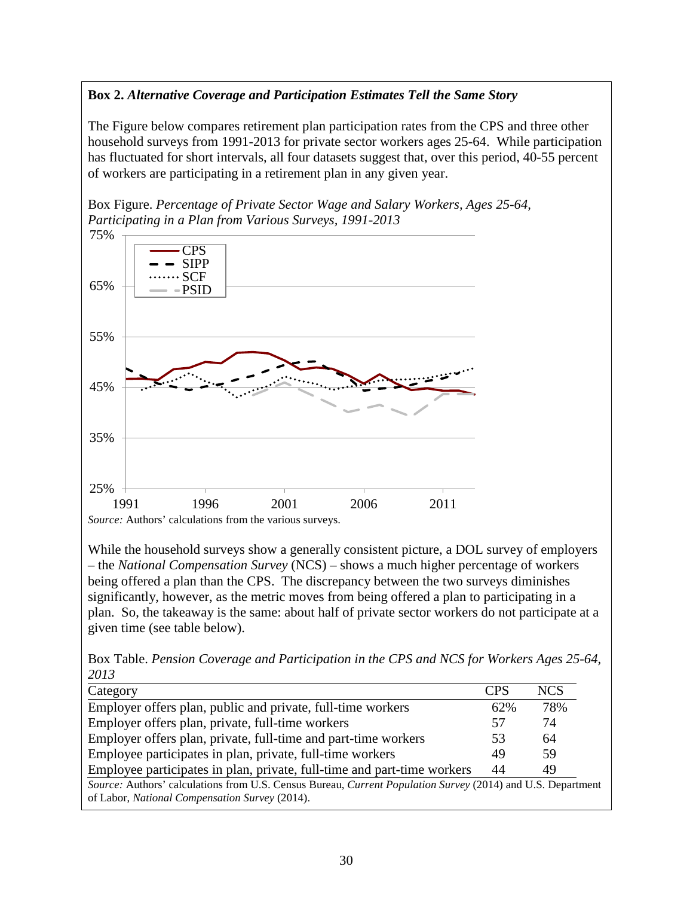# **Box 2.** *Alternative Coverage and Participation Estimates Tell the Same Story*

The Figure below compares retirement plan participation rates from the CPS and three other household surveys from 1991-2013 for private sector workers ages 25-64. While participation has fluctuated for short intervals, all four datasets suggest that, over this period, 40-55 percent of workers are participating in a retirement plan in any given year.



While the household surveys show a generally consistent picture, a DOL survey of employers – the *National Compensation Survey* (NCS) – shows a much higher percentage of workers being offered a plan than the CPS. The discrepancy between the two surveys diminishes significantly, however, as the metric moves from being offered a plan to participating in a plan. So, the takeaway is the same: about half of private sector workers do not participate at a given time (see table below).

Box Table. *Pension Coverage and Participation in the CPS and NCS for Workers Ages 25-64, 2013* 

| Category                                                                                                    | <b>CPS</b> | <b>NCS</b> |
|-------------------------------------------------------------------------------------------------------------|------------|------------|
| Employer offers plan, public and private, full-time workers                                                 | 62%        | 78%        |
| Employer offers plan, private, full-time workers                                                            | 57         | 74         |
| Employer offers plan, private, full-time and part-time workers                                              | 53         | 64         |
| Employee participates in plan, private, full-time workers                                                   | 49         | 59         |
| Employee participates in plan, private, full-time and part-time workers                                     | 44         | 49         |
| Source: Authors' calculations from U.S. Census Bureau, Current Population Survey (2014) and U.S. Department |            |            |
| of Labor, National Compensation Survey (2014).                                                              |            |            |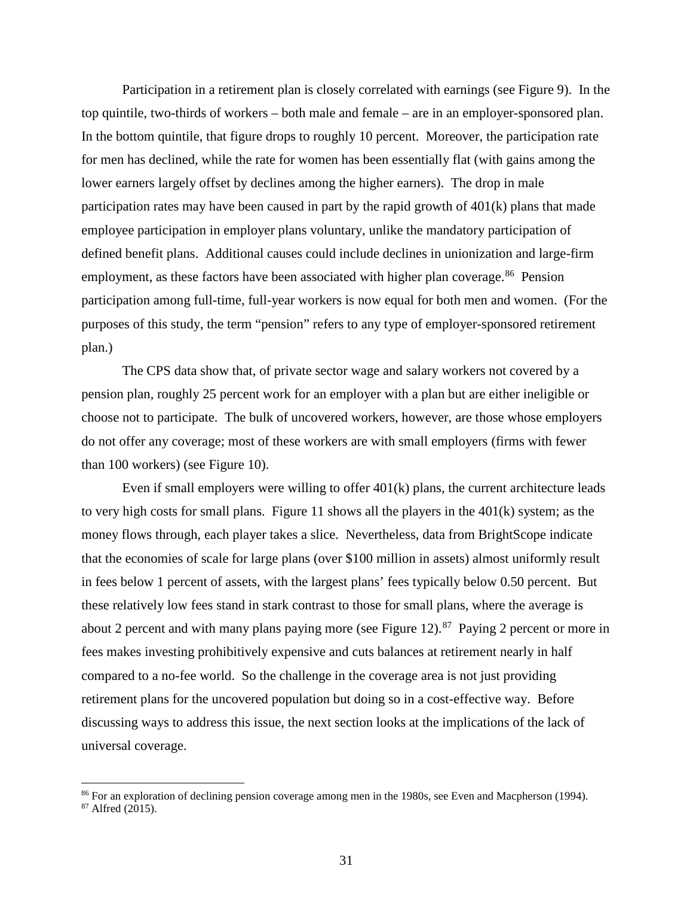Participation in a retirement plan is closely correlated with earnings (see Figure 9). In the top quintile, two-thirds of workers – both male and female – are in an employer-sponsored plan. In the bottom quintile, that figure drops to roughly 10 percent. Moreover, the participation rate for men has declined, while the rate for women has been essentially flat (with gains among the lower earners largely offset by declines among the higher earners). The drop in male participation rates may have been caused in part by the rapid growth of 401(k) plans that made employee participation in employer plans voluntary, unlike the mandatory participation of defined benefit plans. Additional causes could include declines in unionization and large-firm employment, as these factors have been associated with higher plan coverage.<sup>[86](#page-32-0)</sup> Pension participation among full-time, full-year workers is now equal for both men and women. (For the purposes of this study, the term "pension" refers to any type of employer-sponsored retirement plan.)

The CPS data show that, of private sector wage and salary workers not covered by a pension plan, roughly 25 percent work for an employer with a plan but are either ineligible or choose not to participate. The bulk of uncovered workers, however, are those whose employers do not offer any coverage; most of these workers are with small employers (firms with fewer than 100 workers) (see Figure 10).

Even if small employers were willing to offer 401(k) plans, the current architecture leads to very high costs for small plans. Figure 11 shows all the players in the 401(k) system; as the money flows through, each player takes a slice. Nevertheless, data from BrightScope indicate that the economies of scale for large plans (over \$100 million in assets) almost uniformly result in fees below 1 percent of assets, with the largest plans' fees typically below 0.50 percent. But these relatively low fees stand in stark contrast to those for small plans, where the average is about 2 percent and with many plans paying more (see Figure 12).<sup>[87](#page-32-1)</sup> Paying 2 percent or more in fees makes investing prohibitively expensive and cuts balances at retirement nearly in half compared to a no-fee world. So the challenge in the coverage area is not just providing retirement plans for the uncovered population but doing so in a cost-effective way. Before discussing ways to address this issue, the next section looks at the implications of the lack of universal coverage.

<span id="page-32-1"></span><span id="page-32-0"></span> $86$  For an exploration of declining pension coverage among men in the 1980s, see Even and Macpherson (1994).  $87$  Alfred (2015).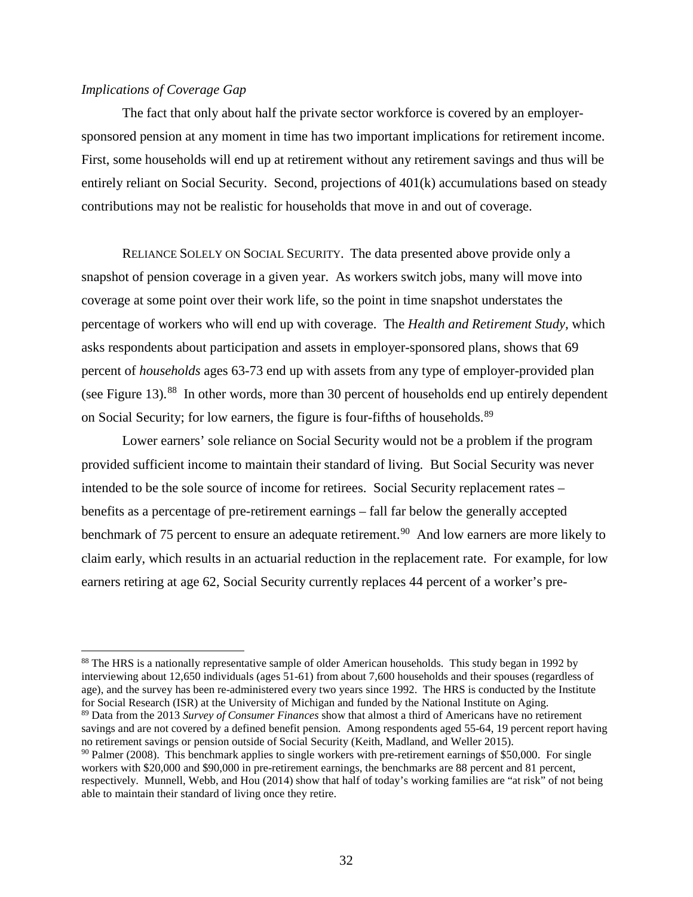# *Implications of Coverage Gap*

 $\overline{\phantom{a}}$ 

The fact that only about half the private sector workforce is covered by an employersponsored pension at any moment in time has two important implications for retirement income. First, some households will end up at retirement without any retirement savings and thus will be entirely reliant on Social Security. Second, projections of 401(k) accumulations based on steady contributions may not be realistic for households that move in and out of coverage.

RELIANCE SOLELY ON SOCIAL SECURITY. The data presented above provide only a snapshot of pension coverage in a given year. As workers switch jobs, many will move into coverage at some point over their work life, so the point in time snapshot understates the percentage of workers who will end up with coverage. The *Health and Retirement Study,* which asks respondents about participation and assets in employer-sponsored plans, shows that 69 percent of *households* ages 63-73 end up with assets from any type of employer-provided plan (see Figure 13).<sup>[88](#page-33-0)</sup> In other words, more than 30 percent of households end up entirely dependent on Social Security; for low earners, the figure is four-fifths of households.<sup>[89](#page-33-1)</sup>

Lower earners' sole reliance on Social Security would not be a problem if the program provided sufficient income to maintain their standard of living. But Social Security was never intended to be the sole source of income for retirees. Social Security replacement rates – benefits as a percentage of pre-retirement earnings – fall far below the generally accepted benchmark of 75 percent to ensure an adequate retirement.<sup>[90](#page-33-2)</sup> And low earners are more likely to claim early, which results in an actuarial reduction in the replacement rate. For example, for low earners retiring at age 62, Social Security currently replaces 44 percent of a worker's pre-

<span id="page-33-1"></span>savings and are not covered by a defined benefit pension. Among respondents aged 55-64, 19 percent report having no retirement savings or pension outside of Social Security (Keith, Madland, and Weller 2015).

<span id="page-33-0"></span><sup>&</sup>lt;sup>88</sup> The HRS is a nationally representative sample of older American households. This study began in 1992 by interviewing about 12,650 individuals (ages 51-61) from about 7,600 households and their spouses (regardless of age), and the survey has been re-administered every two years since 1992. The HRS is conducted by the Institute for Social Research (ISR) at the University of Michigan and funded by the National Institute on Aging. 89 Data from the 2013 *Survey of Consumer Finances* show that almost a third of Americans have no retirement

<span id="page-33-2"></span> $\degree$ <sup>90</sup> Palmer (2008). This benchmark applies to single workers with pre-retirement earnings of \$50,000. For single workers with \$20,000 and \$90,000 in pre-retirement earnings, the benchmarks are 88 percent and 81 percent, respectively. Munnell, Webb, and Hou (2014) show that half of today's working families are "at risk" of not being able to maintain their standard of living once they retire.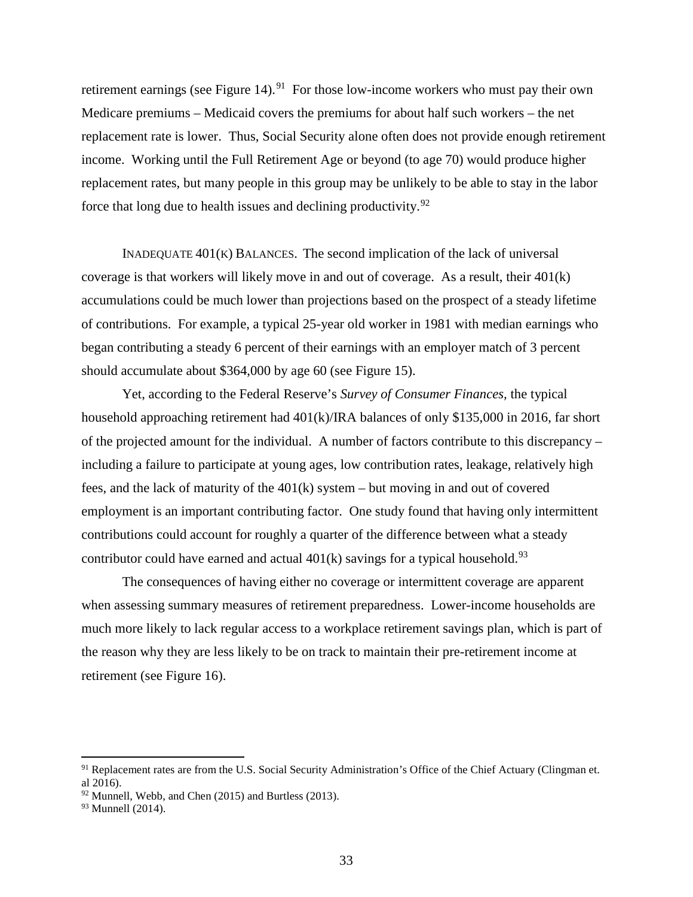retirement earnings (see Figure 14).<sup>[91](#page-34-0)</sup> For those low-income workers who must pay their own Medicare premiums – Medicaid covers the premiums for about half such workers – the net replacement rate is lower. Thus, Social Security alone often does not provide enough retirement income. Working until the Full Retirement Age or beyond (to age 70) would produce higher replacement rates, but many people in this group may be unlikely to be able to stay in the labor force that long due to health issues and declining productivity.<sup>[92](#page-34-1)</sup>

INADEQUATE  $401(K)$  BALANCES. The second implication of the lack of universal coverage is that workers will likely move in and out of coverage. As a result, their 401(k) accumulations could be much lower than projections based on the prospect of a steady lifetime of contributions. For example, a typical 25-year old worker in 1981 with median earnings who began contributing a steady 6 percent of their earnings with an employer match of 3 percent should accumulate about \$364,000 by age 60 (see Figure 15).

Yet, according to the Federal Reserve's *Survey of Consumer Finances,* the typical household approaching retirement had 401(k)/IRA balances of only \$135,000 in 2016, far short of the projected amount for the individual. A number of factors contribute to this discrepancy – including a failure to participate at young ages, low contribution rates, leakage, relatively high fees, and the lack of maturity of the 401(k) system – but moving in and out of covered employment is an important contributing factor. One study found that having only intermittent contributions could account for roughly a quarter of the difference between what a steady contributor could have earned and actual  $401(k)$  savings for a typical household.<sup>[93](#page-34-2)</sup>

The consequences of having either no coverage or intermittent coverage are apparent when assessing summary measures of retirement preparedness. Lower-income households are much more likely to lack regular access to a workplace retirement savings plan, which is part of the reason why they are less likely to be on track to maintain their pre-retirement income at retirement (see Figure 16).

<span id="page-34-0"></span><sup>&</sup>lt;sup>91</sup> Replacement rates are from the U.S. Social Security Administration's Office of the Chief Actuary (Clingman et. al 2016).

<span id="page-34-1"></span> $92$  Munnell, Webb, and Chen (2015) and Burtless (2013).

<span id="page-34-2"></span><sup>&</sup>lt;sup>93</sup> Munnell (2014).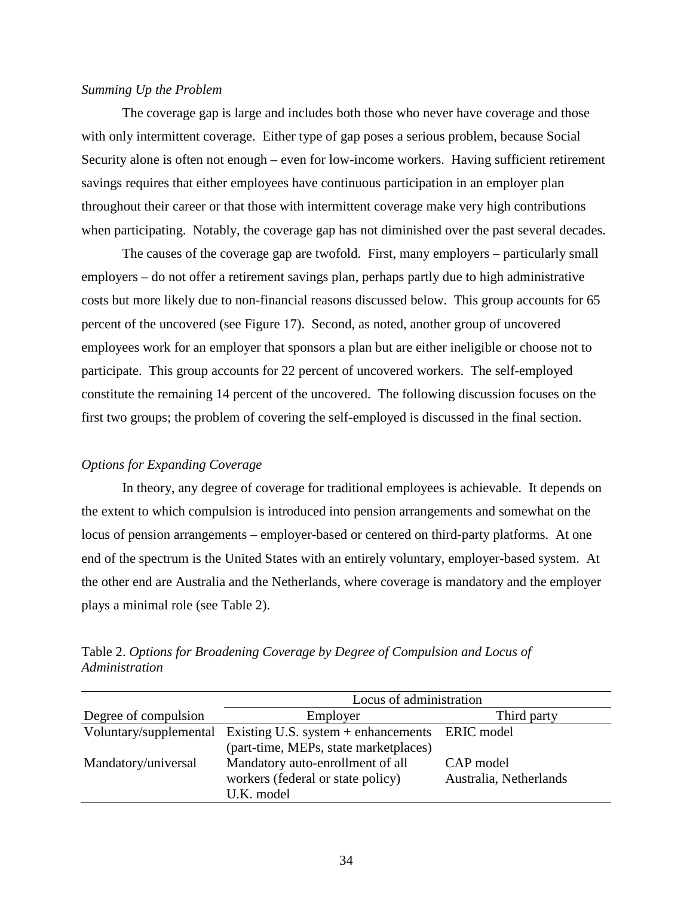# *Summing Up the Problem*

The coverage gap is large and includes both those who never have coverage and those with only intermittent coverage. Either type of gap poses a serious problem, because Social Security alone is often not enough – even for low-income workers. Having sufficient retirement savings requires that either employees have continuous participation in an employer plan throughout their career or that those with intermittent coverage make very high contributions when participating. Notably, the coverage gap has not diminished over the past several decades.

The causes of the coverage gap are twofold. First, many employers – particularly small employers – do not offer a retirement savings plan, perhaps partly due to high administrative costs but more likely due to non-financial reasons discussed below. This group accounts for 65 percent of the uncovered (see Figure 17). Second, as noted, another group of uncovered employees work for an employer that sponsors a plan but are either ineligible or choose not to participate. This group accounts for 22 percent of uncovered workers. The self-employed constitute the remaining 14 percent of the uncovered. The following discussion focuses on the first two groups; the problem of covering the self-employed is discussed in the final section.

# *Options for Expanding Coverage*

In theory, any degree of coverage for traditional employees is achievable. It depends on the extent to which compulsion is introduced into pension arrangements and somewhat on the locus of pension arrangements – employer-based or centered on third-party platforms. At one end of the spectrum is the United States with an entirely voluntary, employer-based system. At the other end are Australia and the Netherlands, where coverage is mandatory and the employer plays a minimal role (see Table 2).

|                      | Locus of administration                                               |                        |  |
|----------------------|-----------------------------------------------------------------------|------------------------|--|
| Degree of compulsion | Employer                                                              | Third party            |  |
|                      | Voluntary/supplemental Existing U.S. system + enhancements ERIC model |                        |  |
|                      | (part-time, MEPs, state marketplaces)                                 |                        |  |
| Mandatory/universal  | Mandatory auto-enrollment of all                                      | CAP model              |  |
|                      | workers (federal or state policy)                                     | Australia, Netherlands |  |
|                      | U.K. model                                                            |                        |  |

Table 2. *Options for Broadening Coverage by Degree of Compulsion and Locus of Administration*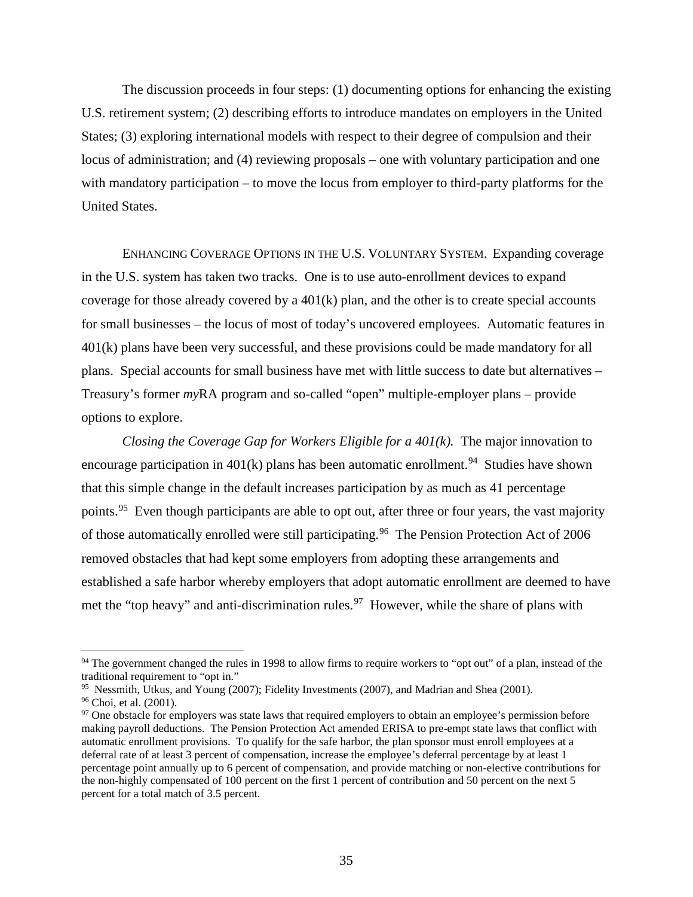The discussion proceeds in four steps: (1) documenting options for enhancing the existing U.S. retirement system; (2) describing efforts to introduce mandates on employers in the United States; (3) exploring international models with respect to their degree of compulsion and their locus of administration; and (4) reviewing proposals – one with voluntary participation and one with mandatory participation – to move the locus from employer to third-party platforms for the United States.

ENHANCING COVERAGE OPTIONS IN THE U.S. VOLUNTARY SYSTEM. Expanding coverage in the U.S. system has taken two tracks. One is to use auto-enrollment devices to expand coverage for those already covered by a 401(k) plan, and the other is to create special accounts for small businesses – the locus of most of today's uncovered employees. Automatic features in 401(k) plans have been very successful, and these provisions could be made mandatory for all plans. Special accounts for small business have met with little success to date but alternatives – Treasury's former *my*RA program and so-called "open" multiple-employer plans – provide options to explore.

*Closing the Coverage Gap for Workers Eligible for a 401(k).* The major innovation to encourage participation in  $401(k)$  plans has been automatic enrollment.<sup>[94](#page-36-0)</sup> Studies have shown that this simple change in the default increases participation by as much as 41 percentage points.<sup>[95](#page-36-1)</sup> Even though participants are able to opt out, after three or four years, the vast majority of those automatically enrolled were still participating.<sup>[96](#page-36-2)</sup> The Pension Protection Act of 2006 removed obstacles that had kept some employers from adopting these arrangements and established a safe harbor whereby employers that adopt automatic enrollment are deemed to have met the "top heavy" and anti-discrimination rules.<sup>[97](#page-36-3)</sup> However, while the share of plans with

<span id="page-36-0"></span><sup>&</sup>lt;sup>94</sup> The government changed the rules in 1998 to allow firms to require workers to "opt out" of a plan, instead of the traditional requirement to "opt in."

<span id="page-36-3"></span><span id="page-36-2"></span>

<span id="page-36-1"></span><sup>&</sup>lt;sup>95</sup> Nessmith, Utkus, and Young (2007); Fidelity Investments (2007), and Madrian and Shea (2001).<br><sup>96</sup> Choi, et al. (2001).<br><sup>97</sup> One obstacle for employers was state laws that required employers to obtain an employee's pe making payroll deductions. The Pension Protection Act amended ERISA to pre-empt state laws that conflict with automatic enrollment provisions. To qualify for the safe harbor, the plan sponsor must enroll employees at a deferral rate of at least 3 percent of compensation, increase the employee's deferral percentage by at least 1 percentage point annually up to 6 percent of compensation, and provide matching or non-elective contributions for the non-highly compensated of 100 percent on the first 1 percent of contribution and 50 percent on the next 5 percent for a total match of 3.5 percent.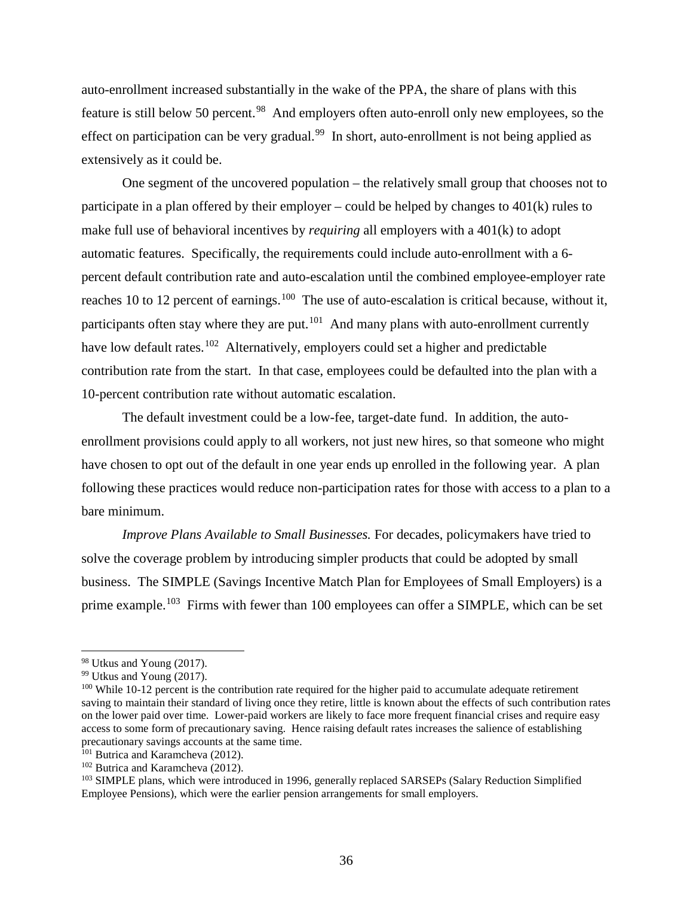auto-enrollment increased substantially in the wake of the PPA, the share of plans with this feature is still below 50 percent.<sup>[98](#page-37-0)</sup> And employers often auto-enroll only new employees, so the effect on participation can be very gradual.<sup>[99](#page-37-1)</sup> In short, auto-enrollment is not being applied as extensively as it could be.

One segment of the uncovered population – the relatively small group that chooses not to participate in a plan offered by their employer – could be helped by changes to  $401(k)$  rules to make full use of behavioral incentives by *requiring* all employers with a 401(k) to adopt automatic features. Specifically, the requirements could include auto-enrollment with a 6 percent default contribution rate and auto-escalation until the combined employee-employer rate reaches 10 to 12 percent of earnings.<sup>[100](#page-37-2)</sup> The use of auto-escalation is critical because, without it, participants often stay where they are put. $101$  And many plans with auto-enrollment currently have low default rates.<sup>[102](#page-37-4)</sup> Alternatively, employers could set a higher and predictable contribution rate from the start. In that case, employees could be defaulted into the plan with a 10-percent contribution rate without automatic escalation.

The default investment could be a low-fee, target-date fund. In addition, the autoenrollment provisions could apply to all workers, not just new hires, so that someone who might have chosen to opt out of the default in one year ends up enrolled in the following year. A plan following these practices would reduce non-participation rates for those with access to a plan to a bare minimum.

*Improve Plans Available to Small Businesses.* For decades, policymakers have tried to solve the coverage problem by introducing simpler products that could be adopted by small business. The SIMPLE (Savings Incentive Match Plan for Employees of Small Employers) is a prime example.<sup>[103](#page-37-5)</sup> Firms with fewer than 100 employees can offer a SIMPLE, which can be set

<span id="page-37-0"></span><sup>98</sup> Utkus and Young (2017).

<span id="page-37-1"></span><sup>99</sup> Utkus and Young (2017).

<span id="page-37-2"></span><sup>&</sup>lt;sup>100</sup> While 10-12 percent is the contribution rate required for the higher paid to accumulate adequate retirement saving to maintain their standard of living once they retire, little is known about the effects of such contribution rates on the lower paid over time. Lower-paid workers are likely to face more frequent financial crises and require easy access to some form of precautionary saving. Hence raising default rates increases the salience of establishing precautionary savings accounts at the same time. 101 Butrica and Karamcheva (2012).

<span id="page-37-3"></span>

<span id="page-37-4"></span><sup>102</sup> Butrica and Karamcheva (2012).

<span id="page-37-5"></span><sup>&</sup>lt;sup>103</sup> SIMPLE plans, which were introduced in 1996, generally replaced SARSEPs (Salary Reduction Simplified Employee Pensions), which were the earlier pension arrangements for small employers.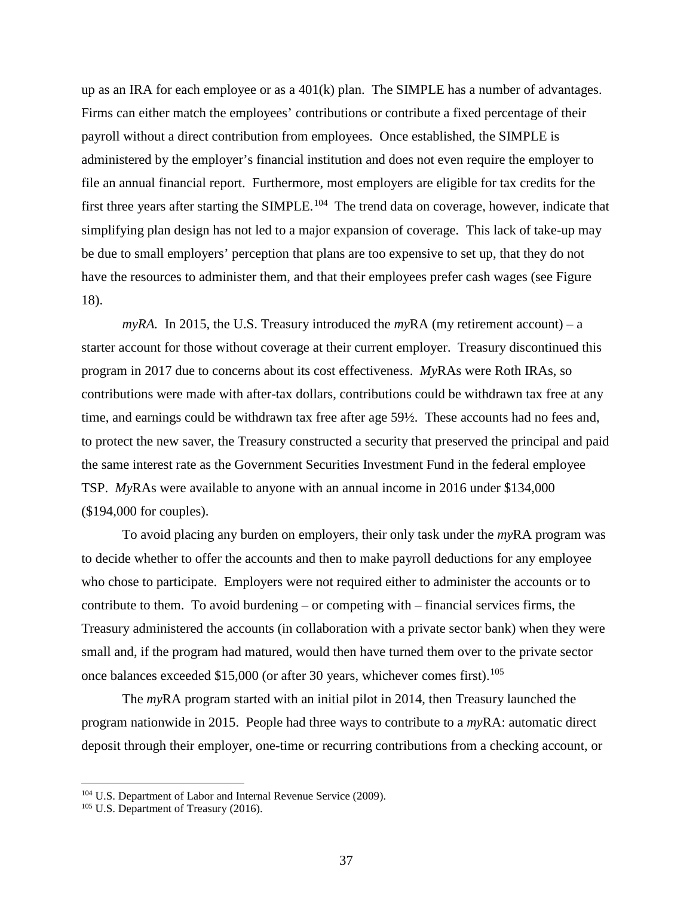up as an IRA for each employee or as a 401(k) plan. The SIMPLE has a number of advantages. Firms can either match the employees' contributions or contribute a fixed percentage of their payroll without a direct contribution from employees. Once established, the SIMPLE is administered by the employer's financial institution and does not even require the employer to file an annual financial report. Furthermore, most employers are eligible for tax credits for the first three years after starting the SIMPLE.<sup>[104](#page-38-0)</sup> The trend data on coverage, however, indicate that simplifying plan design has not led to a major expansion of coverage. This lack of take-up may be due to small employers' perception that plans are too expensive to set up, that they do not have the resources to administer them, and that their employees prefer cash wages (see Figure 18).

 $myRA$ . In 2015, the U.S. Treasury introduced the  $myRA$  (my retirement account) – a starter account for those without coverage at their current employer. Treasury discontinued this program in 2017 due to concerns about its cost effectiveness. *My*RAs were Roth IRAs, so contributions were made with after-tax dollars, contributions could be withdrawn tax free at any time, and earnings could be withdrawn tax free after age 59½. These accounts had no fees and, to protect the new saver, the Treasury constructed a security that preserved the principal and paid the same interest rate as the Government Securities Investment Fund in the federal employee TSP. *My*RAs were available to anyone with an annual income in 2016 under \$134,000 (\$194,000 for couples).

To avoid placing any burden on employers, their only task under the *my*RA program was to decide whether to offer the accounts and then to make payroll deductions for any employee who chose to participate. Employers were not required either to administer the accounts or to contribute to them. To avoid burdening – or competing with – financial services firms, the Treasury administered the accounts (in collaboration with a private sector bank) when they were small and, if the program had matured, would then have turned them over to the private sector once balances exceeded  $$15,000$  (or after 30 years, whichever comes first).<sup>[105](#page-38-1)</sup>

The *my*RA program started with an initial pilot in 2014, then Treasury launched the program nationwide in 2015. People had three ways to contribute to a *my*RA: automatic direct deposit through their employer, one-time or recurring contributions from a checking account, or

<span id="page-38-0"></span><sup>&</sup>lt;sup>104</sup> U.S. Department of Labor and Internal Revenue Service (2009).

<span id="page-38-1"></span><sup>&</sup>lt;sup>105</sup> U.S. Department of Treasury (2016).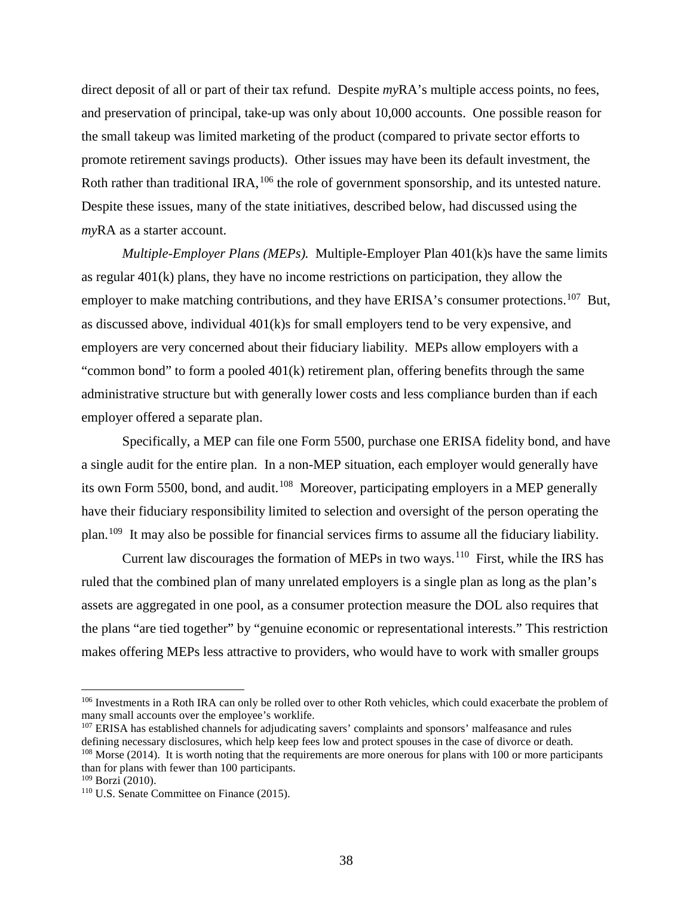direct deposit of all or part of their tax refund. Despite *my*RA's multiple access points, no fees, and preservation of principal, take-up was only about 10,000 accounts. One possible reason for the small takeup was limited marketing of the product (compared to private sector efforts to promote retirement savings products). Other issues may have been its default investment, the Roth rather than traditional IRA, <sup>[106](#page-39-0)</sup> the role of government sponsorship, and its untested nature. Despite these issues, many of the state initiatives, described below, had discussed using the *my*RA as a starter account.

*Multiple-Employer Plans (MEPs).* Multiple-Employer Plan 401(k)s have the same limits as regular 401(k) plans, they have no income restrictions on participation, they allow the employer to make matching contributions, and they have ERISA's consumer protections.<sup>[107](#page-39-1)</sup> But, as discussed above, individual 401(k)s for small employers tend to be very expensive, and employers are very concerned about their fiduciary liability. MEPs allow employers with a "common bond" to form a pooled 401(k) retirement plan, offering benefits through the same administrative structure but with generally lower costs and less compliance burden than if each employer offered a separate plan.

Specifically, a MEP can file one Form 5500, purchase one ERISA fidelity bond, and have a single audit for the entire plan. In a non-MEP situation, each employer would generally have its own Form 5500, bond, and audit.<sup>[108](#page-39-2)</sup> Moreover, participating employers in a MEP generally have their fiduciary responsibility limited to selection and oversight of the person operating the plan.[109](#page-39-3) It may also be possible for financial services firms to assume all the fiduciary liability.

Current law discourages the formation of MEPs in two ways.<sup>[110](#page-39-4)</sup> First, while the IRS has ruled that the combined plan of many unrelated employers is a single plan as long as the plan's assets are aggregated in one pool, as a consumer protection measure the DOL also requires that the plans "are tied together" by "genuine economic or representational interests." This restriction makes offering MEPs less attractive to providers, who would have to work with smaller groups

<span id="page-39-0"></span><sup>&</sup>lt;sup>106</sup> Investments in a Roth IRA can only be rolled over to other Roth vehicles, which could exacerbate the problem of many small accounts over the employee's worklife.

<span id="page-39-1"></span><sup>&</sup>lt;sup>107</sup> ERISA has established channels for adjudicating savers' complaints and sponsors' malfeasance and rules defining necessary disclosures, which help keep fees low and protect spouses in the case of divorce or death. <sup>108</sup> Morse (2014). It is worth noting that the requirements are more onerous for plans with 100 or more participants than for plans with fewer than 100 participants.

<span id="page-39-3"></span><span id="page-39-2"></span> $109$  Borzi (2010).

<span id="page-39-4"></span><sup>110</sup> U.S. Senate Committee on Finance (2015).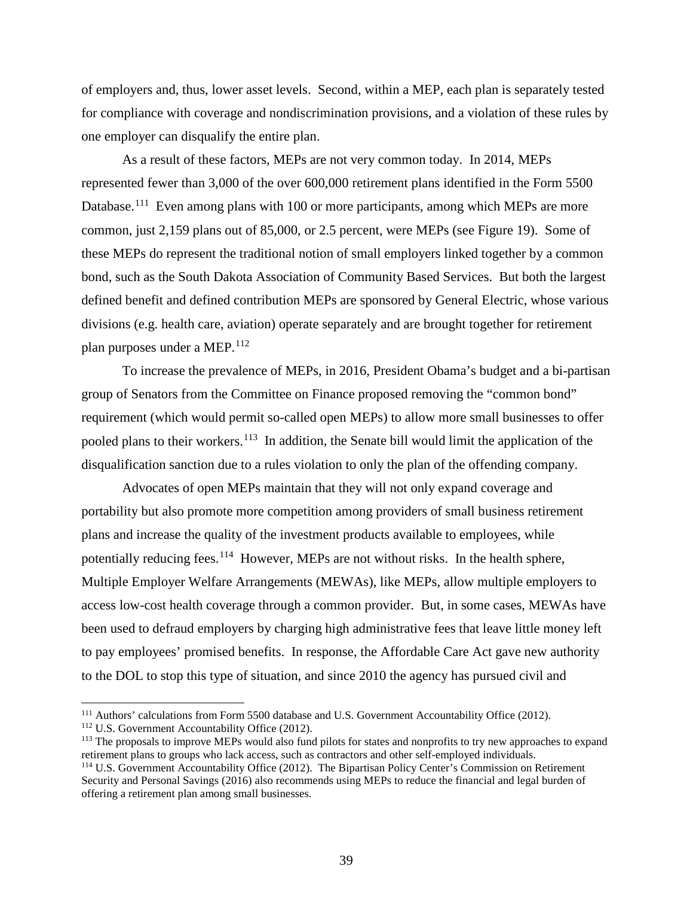of employers and, thus, lower asset levels. Second, within a MEP, each plan is separately tested for compliance with coverage and nondiscrimination provisions, and a violation of these rules by one employer can disqualify the entire plan.

As a result of these factors, MEPs are not very common today. In 2014, MEPs represented fewer than 3,000 of the over 600,000 retirement plans identified in the Form 5500 Database.<sup>[111](#page-40-0)</sup> Even among plans with 100 or more participants, among which MEPs are more common, just 2,159 plans out of 85,000, or 2.5 percent, were MEPs (see Figure 19). Some of these MEPs do represent the traditional notion of small employers linked together by a common bond, such as the South Dakota Association of Community Based Services. But both the largest defined benefit and defined contribution MEPs are sponsored by General Electric, whose various divisions (e.g. health care, aviation) operate separately and are brought together for retirement plan purposes under a MEP.<sup>[112](#page-40-1)</sup>

To increase the prevalence of MEPs, in 2016, President Obama's budget and a bi-partisan group of Senators from the Committee on Finance proposed removing the "common bond" requirement (which would permit so-called open MEPs) to allow more small businesses to offer pooled plans to their workers.<sup>[113](#page-40-2)</sup> In addition, the Senate bill would limit the application of the disqualification sanction due to a rules violation to only the plan of the offending company.

Advocates of open MEPs maintain that they will not only expand coverage and portability but also promote more competition among providers of small business retirement plans and increase the quality of the investment products available to employees, while potentially reducing fees.<sup>[114](#page-40-3)</sup> However, MEPs are not without risks. In the health sphere, Multiple Employer Welfare Arrangements (MEWAs), like MEPs, allow multiple employers to access low-cost health coverage through a common provider. But, in some cases, MEWAs have been used to defraud employers by charging high administrative fees that leave little money left to pay employees' promised benefits. In response, the Affordable Care Act gave new authority to the DOL to stop this type of situation, and since 2010 the agency has pursued civil and

<span id="page-40-0"></span><sup>111</sup> Authors' calculations from Form 5500 database and U.S. Government Accountability Office (2012).

<span id="page-40-1"></span><sup>112</sup> U.S. Government Accountability Office (2012).

<span id="page-40-3"></span><span id="page-40-2"></span> $113$  The proposals to improve MEPs would also fund pilots for states and nonprofits to try new approaches to expand retirement plans to groups who lack access, such as contractors and other self-employed individuals.  $114$  U.S. Government Accountability Office (2012). The Bipartisan Policy Center's Commission on Retirement Security and Personal Savings (2016) also recommends using MEPs to reduce the financial and legal burden of offering a retirement plan among small businesses.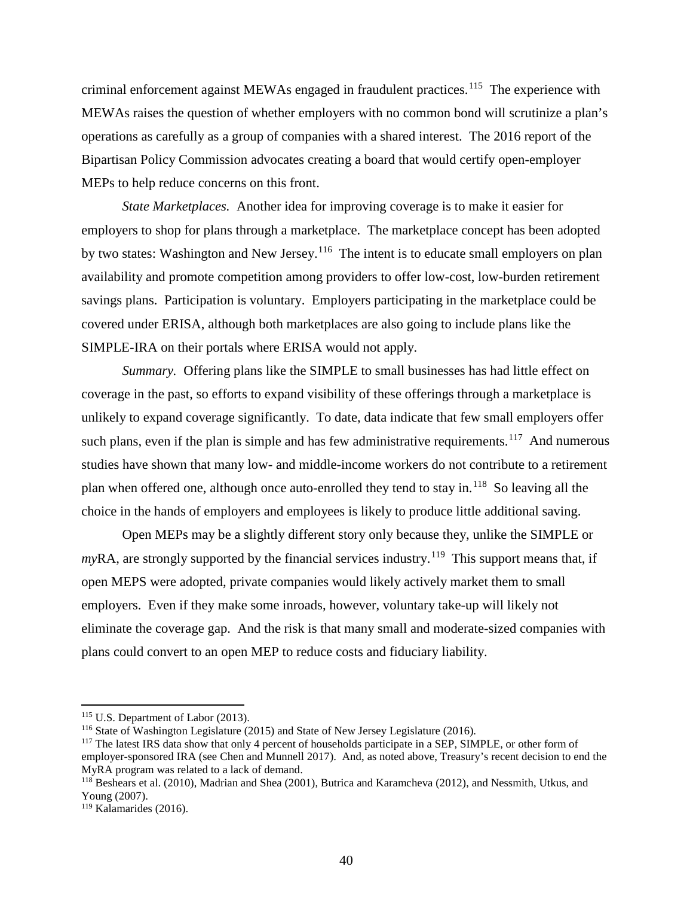criminal enforcement against MEWAs engaged in fraudulent practices. [115](#page-41-0) The experience with MEWAs raises the question of whether employers with no common bond will scrutinize a plan's operations as carefully as a group of companies with a shared interest. The 2016 report of the Bipartisan Policy Commission advocates creating a board that would certify open-employer MEPs to help reduce concerns on this front.

*State Marketplaces.* Another idea for improving coverage is to make it easier for employers to shop for plans through a marketplace. The marketplace concept has been adopted by two states: Washington and New Jersey.<sup>[116](#page-41-1)</sup> The intent is to educate small employers on plan availability and promote competition among providers to offer low-cost, low-burden retirement savings plans. Participation is voluntary. Employers participating in the marketplace could be covered under ERISA, although both marketplaces are also going to include plans like the SIMPLE-IRA on their portals where ERISA would not apply.

*Summary.* Offering plans like the SIMPLE to small businesses has had little effect on coverage in the past, so efforts to expand visibility of these offerings through a marketplace is unlikely to expand coverage significantly. To date, data indicate that few small employers offer such plans, even if the plan is simple and has few administrative requirements.<sup>[117](#page-41-2)</sup> And numerous studies have shown that many low- and middle-income workers do not contribute to a retirement plan when offered one, although once auto-enrolled they tend to stay in.[118](#page-41-3) So leaving all the choice in the hands of employers and employees is likely to produce little additional saving.

Open MEPs may be a slightly different story only because they, unlike the SIMPLE or  $myRA$ , are strongly supported by the financial services industry.<sup>[119](#page-41-4)</sup> This support means that, if open MEPS were adopted, private companies would likely actively market them to small employers. Even if they make some inroads, however, voluntary take-up will likely not eliminate the coverage gap. And the risk is that many small and moderate-sized companies with plans could convert to an open MEP to reduce costs and fiduciary liability.

<span id="page-41-0"></span><sup>&</sup>lt;sup>115</sup> U.S. Department of Labor (2013).

<span id="page-41-1"></span><sup>116</sup> State of Washington Legislature (2015) and State of New Jersey Legislature (2016).

<span id="page-41-2"></span><sup>&</sup>lt;sup>117</sup> The latest IRS data show that only 4 percent of households participate in a SEP, SIMPLE, or other form of employer-sponsored IRA (see Chen and Munnell 2017). And, as noted above, Treasury's recent decision to end the MyRA program was related to a lack of demand.

<span id="page-41-3"></span><sup>&</sup>lt;sup>118</sup> Beshears et al. (2010), Madrian and Shea (2001), Butrica and Karamcheva (2012), and Nessmith, Utkus, and Young (2007).

<span id="page-41-4"></span><sup>119</sup> Kalamarides (2016).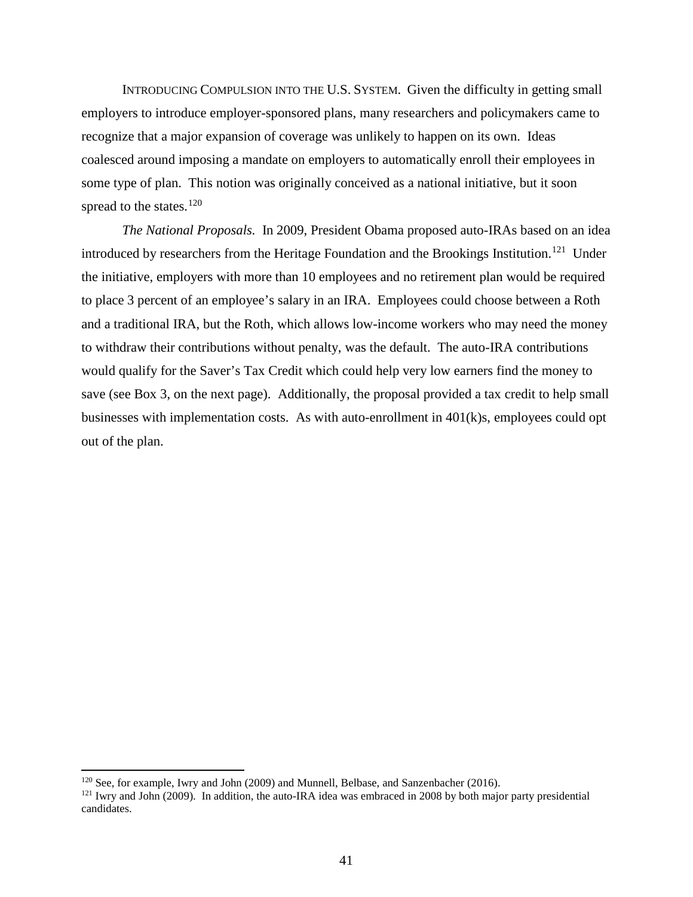INTRODUCING COMPULSION INTO THE U.S. SYSTEM. Given the difficulty in getting small employers to introduce employer-sponsored plans, many researchers and policymakers came to recognize that a major expansion of coverage was unlikely to happen on its own. Ideas coalesced around imposing a mandate on employers to automatically enroll their employees in some type of plan. This notion was originally conceived as a national initiative, but it soon spread to the states. $120$ 

*The National Proposals.* In 2009, President Obama proposed auto-IRAs based on an idea introduced by researchers from the Heritage Foundation and the Brookings Institution.<sup>[121](#page-42-1)</sup> Under the initiative, employers with more than 10 employees and no retirement plan would be required to place 3 percent of an employee's salary in an IRA. Employees could choose between a Roth and a traditional IRA, but the Roth, which allows low-income workers who may need the money to withdraw their contributions without penalty, was the default. The auto-IRA contributions would qualify for the Saver's Tax Credit which could help very low earners find the money to save (see Box 3, on the next page). Additionally, the proposal provided a tax credit to help small businesses with implementation costs. As with auto-enrollment in  $401(k)s$ , employees could opt out of the plan.

<span id="page-42-0"></span><sup>120</sup> See, for example, Iwry and John (2009) and Munnell, Belbase, and Sanzenbacher (2016).

<span id="page-42-1"></span> $121$  Iwry and John (2009). In addition, the auto-IRA idea was embraced in 2008 by both major party presidential candidates.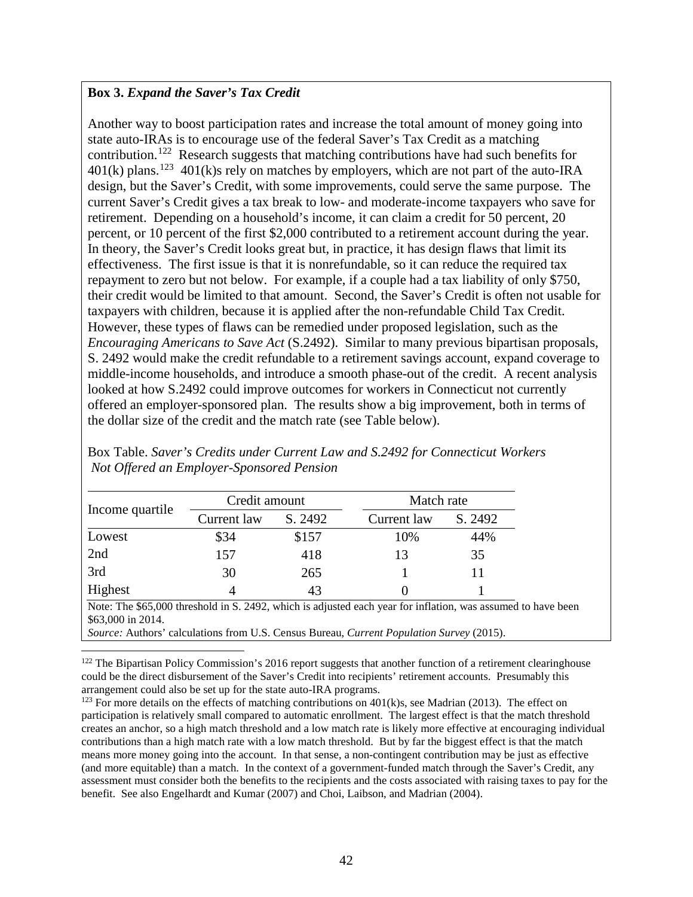# **Box 3.** *Expand the Saver's Tax Credit*

 $\overline{\phantom{a}}$ 

Another way to boost participation rates and increase the total amount of money going into state auto-IRAs is to encourage use of the federal Saver's Tax Credit as a matching contribution.<sup>[122](#page-43-0)</sup> Research suggests that matching contributions have had such benefits for  $401(k)$  plans.<sup>[123](#page-43-1)</sup> 401(k)s rely on matches by employers, which are not part of the auto-IRA design, but the Saver's Credit, with some improvements, could serve the same purpose. The current Saver's Credit gives a tax break to low- and moderate-income taxpayers who save for retirement. Depending on a household's income, it can claim a credit for 50 percent, 20 percent, or 10 percent of the first \$2,000 contributed to a retirement account during the year. In theory, the Saver's Credit looks great but, in practice, it has design flaws that limit its effectiveness. The first issue is that it is nonrefundable, so it can reduce the required tax repayment to zero but not below. For example, if a couple had a tax liability of only \$750, their credit would be limited to that amount. Second, the Saver's Credit is often not usable for taxpayers with children, because it is applied after the non-refundable Child Tax Credit. However, these types of flaws can be remedied under proposed legislation, such as the *Encouraging Americans to Save Act* (S.2492). Similar to many previous bipartisan proposals, S. 2492 would make the credit refundable to a retirement savings account, expand coverage to middle-income households, and introduce a smooth phase-out of the credit. A recent analysis looked at how S.2492 could improve outcomes for workers in Connecticut not currently offered an employer-sponsored plan. The results show a big improvement, both in terms of the dollar size of the credit and the match rate (see Table below).

| Income quartile                                                                                                                                                                                                                             | Credit amount |         | Match rate  |         |  |
|---------------------------------------------------------------------------------------------------------------------------------------------------------------------------------------------------------------------------------------------|---------------|---------|-------------|---------|--|
|                                                                                                                                                                                                                                             | Current law   | S. 2492 | Current law | S. 2492 |  |
| Lowest                                                                                                                                                                                                                                      | \$34          | \$157   | 10%         | 44%     |  |
| 2nd                                                                                                                                                                                                                                         | 157           | 418     | 13          | 35      |  |
| 3rd                                                                                                                                                                                                                                         | 30            | 265     |             |         |  |
| Highest                                                                                                                                                                                                                                     | 4             | 43      | 0           |         |  |
| Note: The \$65,000 threshold in S. 2492, which is adjusted each year for inflation, was assumed to have been<br>\$63,000 in 2014.<br><i>Source:</i> Authors' calculations from U.S. Census Bureau, <i>Current Population Survey</i> (2015). |               |         |             |         |  |

Box Table. *Saver's Credits under Current Law and S.2492 for Connecticut Workers Not Offered an Employer-Sponsored Pension*

<span id="page-43-0"></span> $122$  The Bipartisan Policy Commission's 2016 report suggests that another function of a retirement clearinghouse could be the direct disbursement of the Saver's Credit into recipients' retirement accounts. Presumably this arrangement could also be set up for the state auto-IRA programs.

<span id="page-43-1"></span><sup>123</sup> For more details on the effects of matching contributions on  $401(k)s$ , see Madrian (2013). The effect on participation is relatively small compared to automatic enrollment. The largest effect is that the match threshold creates an anchor, so a high match threshold and a low match rate is likely more effective at encouraging individual contributions than a high match rate with a low match threshold. But by far the biggest effect is that the match means more money going into the account. In that sense, a non-contingent contribution may be just as effective (and more equitable) than a match. In the context of a government-funded match through the Saver's Credit, any assessment must consider both the benefits to the recipients and the costs associated with raising taxes to pay for the benefit. See also Engelhardt and Kumar (2007) and Choi, Laibson, and Madrian (2004).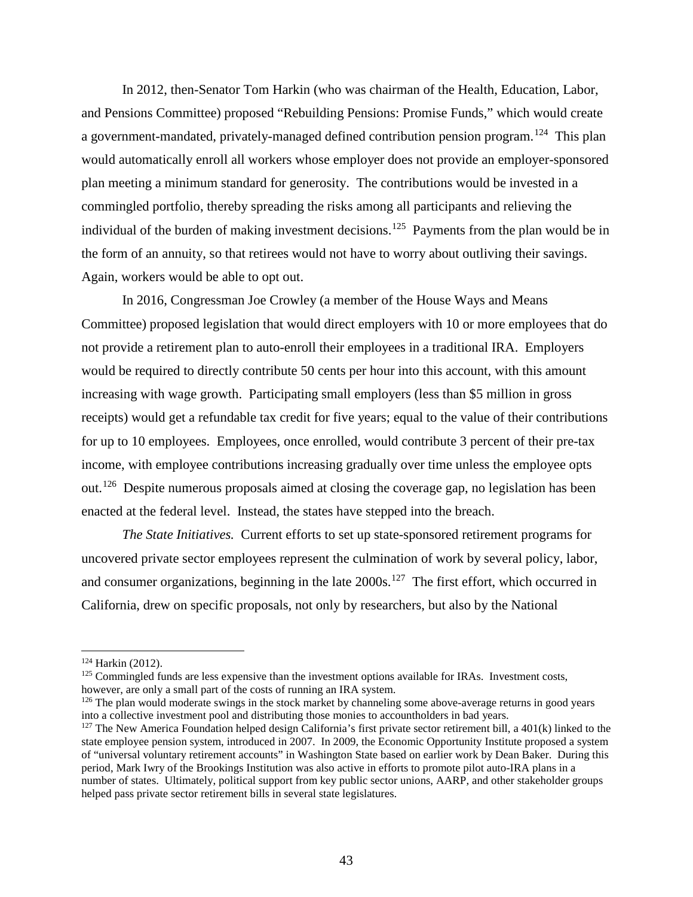In 2012, then-Senator Tom Harkin (who was chairman of the Health, Education, Labor, and Pensions Committee) proposed "Rebuilding Pensions: Promise Funds," which would create a government-mandated, privately-managed defined contribution pension program.<sup>[124](#page-44-0)</sup> This plan would automatically enroll all workers whose employer does not provide an employer-sponsored plan meeting a minimum standard for generosity. The contributions would be invested in a commingled portfolio, thereby spreading the risks among all participants and relieving the individual of the burden of making investment decisions.<sup>[125](#page-44-1)</sup> Payments from the plan would be in the form of an annuity, so that retirees would not have to worry about outliving their savings. Again, workers would be able to opt out.

In 2016, Congressman Joe Crowley (a member of the House Ways and Means Committee) proposed legislation that would direct employers with 10 or more employees that do not provide a retirement plan to auto-enroll their employees in a traditional IRA. Employers would be required to directly contribute 50 cents per hour into this account, with this amount increasing with wage growth. Participating small employers (less than \$5 million in gross receipts) would get a refundable tax credit for five years; equal to the value of their contributions for up to 10 employees. Employees, once enrolled, would contribute 3 percent of their pre-tax income, with employee contributions increasing gradually over time unless the employee opts out.[126](#page-44-2) Despite numerous proposals aimed at closing the coverage gap, no legislation has been enacted at the federal level. Instead, the states have stepped into the breach.

*The State Initiatives.* Current efforts to set up state-sponsored retirement programs for uncovered private sector employees represent the culmination of work by several policy, labor, and consumer organizations, beginning in the late  $2000s$ .<sup>[127](#page-44-3)</sup> The first effort, which occurred in California, drew on specific proposals, not only by researchers, but also by the National

<span id="page-44-0"></span><sup>124</sup> Harkin (2012).

<span id="page-44-1"></span> $125$  Commingled funds are less expensive than the investment options available for IRAs. Investment costs, however, are only a small part of the costs of running an IRA system.

<span id="page-44-2"></span><sup>&</sup>lt;sup>126</sup> The plan would moderate swings in the stock market by channeling some above-average returns in good years into a collective investment pool and distributing those monies to accountholders in bad years. 127 The New America Foundation helped design California's first private sector retirement bill, a 401(k) linked to the

<span id="page-44-3"></span>state employee pension system, introduced in 2007. In 2009, the Economic Opportunity Institute proposed a system of "universal voluntary retirement accounts" in Washington State based on earlier work by Dean Baker. During this period, Mark Iwry of the Brookings Institution was also active in efforts to promote pilot auto-IRA plans in a number of states. Ultimately, political support from key public sector unions, AARP, and other stakeholder groups helped pass private sector retirement bills in several state legislatures.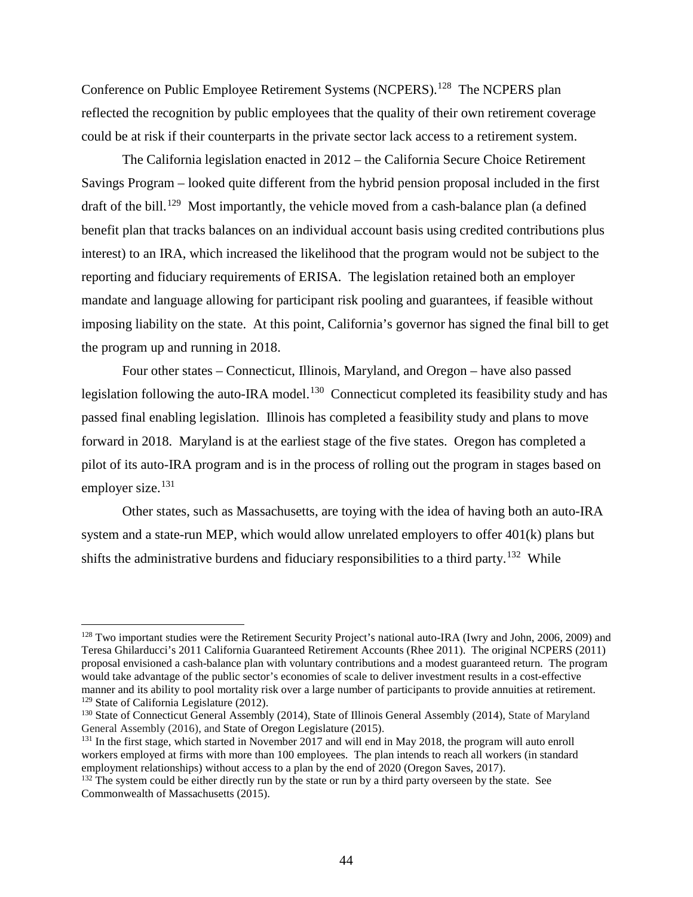Conference on Public Employee Retirement Systems (NCPERS).<sup>[128](#page-45-0)</sup> The NCPERS plan reflected the recognition by public employees that the quality of their own retirement coverage could be at risk if their counterparts in the private sector lack access to a retirement system.

The California legislation enacted in 2012 – the California Secure Choice Retirement Savings Program – looked quite different from the hybrid pension proposal included in the first draft of the bill.<sup>[129](#page-45-1)</sup> Most importantly, the vehicle moved from a cash-balance plan (a defined benefit plan that tracks balances on an individual account basis using credited contributions plus interest) to an IRA, which increased the likelihood that the program would not be subject to the reporting and fiduciary requirements of ERISA. The legislation retained both an employer mandate and language allowing for participant risk pooling and guarantees, if feasible without imposing liability on the state. At this point, California's governor has signed the final bill to get the program up and running in 2018.

Four other states – Connecticut, Illinois, Maryland, and Oregon – have also passed legislation following the auto-IRA model.<sup>[130](#page-45-2)</sup> Connecticut completed its feasibility study and has passed final enabling legislation. Illinois has completed a feasibility study and plans to move forward in 2018. Maryland is at the earliest stage of the five states. Oregon has completed a pilot of its auto-IRA program and is in the process of rolling out the program in stages based on employer size. $131$ 

Other states, such as Massachusetts, are toying with the idea of having both an auto-IRA system and a state-run MEP, which would allow unrelated employers to offer 401(k) plans but shifts the administrative burdens and fiduciary responsibilities to a third party.<sup>[132](#page-45-4)</sup> While

<span id="page-45-0"></span><sup>&</sup>lt;sup>128</sup> Two important studies were the Retirement Security Project's national auto-IRA (Iwry and John, 2006, 2009) and Teresa Ghilarducci's 2011 California Guaranteed Retirement Accounts (Rhee 2011). The original NCPERS (2011) proposal envisioned a cash-balance plan with voluntary contributions and a modest guaranteed return. The program would take advantage of the public sector's economies of scale to deliver investment results in a cost-effective manner and its ability to pool mortality risk over a large number of participants to provide annuities at retirement. <sup>129</sup> State of California Legislature (2012).

<span id="page-45-2"></span><span id="page-45-1"></span><sup>&</sup>lt;sup>130</sup> State of Connecticut General Assembly (2014), State of Illinois General Assembly (2014), State of Maryland General Assembly (2016), and State of Oregon Legislature (2015).

<span id="page-45-3"></span><sup>&</sup>lt;sup>131</sup> In the first stage, which started in November 2017 and will end in May 2018, the program will auto enroll workers employed at firms with more than 100 employees. The plan intends to reach all workers (in standard employment relationships) without access to a plan by the end of 2020 (Oregon Saves, 2017).

<span id="page-45-4"></span><sup>&</sup>lt;sup>132</sup> The system could be either directly run by the state or run by a third party overseen by the state. See Commonwealth of Massachusetts (2015).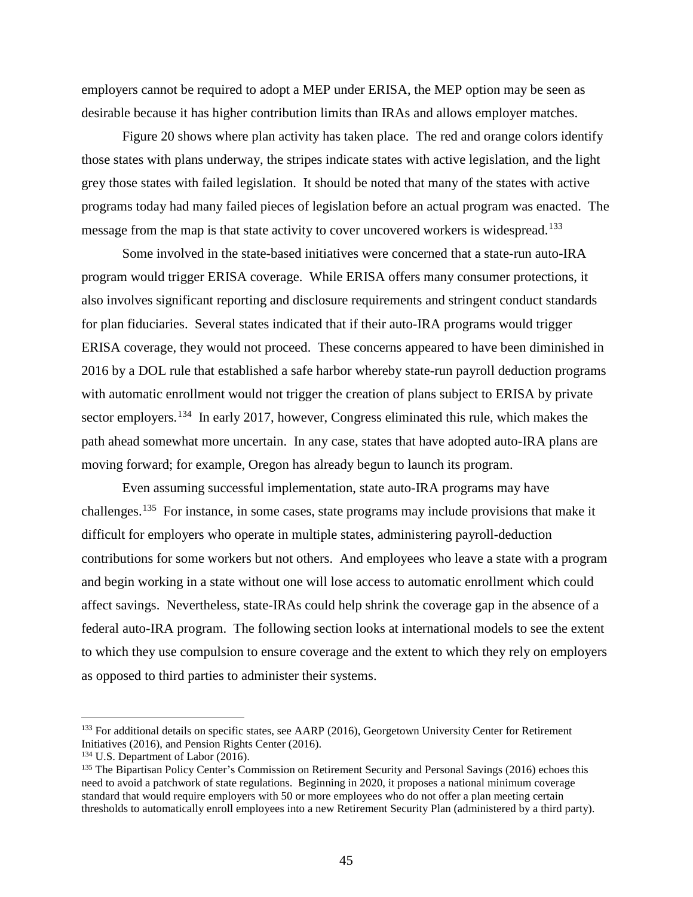employers cannot be required to adopt a MEP under ERISA, the MEP option may be seen as desirable because it has higher contribution limits than IRAs and allows employer matches.

Figure 20 shows where plan activity has taken place. The red and orange colors identify those states with plans underway, the stripes indicate states with active legislation, and the light grey those states with failed legislation. It should be noted that many of the states with active programs today had many failed pieces of legislation before an actual program was enacted. The message from the map is that state activity to cover uncovered workers is widespread.<sup>[133](#page-46-0)</sup>

Some involved in the state-based initiatives were concerned that a state-run auto-IRA program would trigger ERISA coverage. While ERISA offers many consumer protections, it also involves significant reporting and disclosure requirements and stringent conduct standards for plan fiduciaries. Several states indicated that if their auto-IRA programs would trigger ERISA coverage, they would not proceed. These concerns appeared to have been diminished in 2016 by a DOL rule that established a safe harbor whereby state-run payroll deduction programs with automatic enrollment would not trigger the creation of plans subject to ERISA by private sector employers.<sup>[134](#page-46-1)</sup> In early 2017, however, Congress eliminated this rule, which makes the path ahead somewhat more uncertain. In any case, states that have adopted auto-IRA plans are moving forward; for example, Oregon has already begun to launch its program.

Even assuming successful implementation, state auto-IRA programs may have challenges.<sup>[135](#page-46-2)</sup> For instance, in some cases, state programs may include provisions that make it difficult for employers who operate in multiple states, administering payroll-deduction contributions for some workers but not others. And employees who leave a state with a program and begin working in a state without one will lose access to automatic enrollment which could affect savings. Nevertheless, state-IRAs could help shrink the coverage gap in the absence of a federal auto-IRA program. The following section looks at international models to see the extent to which they use compulsion to ensure coverage and the extent to which they rely on employers as opposed to third parties to administer their systems.

<span id="page-46-0"></span><sup>&</sup>lt;sup>133</sup> For additional details on specific states, see AARP (2016), Georgetown University Center for Retirement Initiatives (2016), and Pension Rights Center (2016).

<span id="page-46-1"></span><sup>&</sup>lt;sup>134</sup> U.S. Department of Labor (2016).

<span id="page-46-2"></span><sup>&</sup>lt;sup>135</sup> The Bipartisan Policy Center's Commission on Retirement Security and Personal Savings (2016) echoes this need to avoid a patchwork of state regulations. Beginning in 2020, it proposes a national minimum coverage standard that would require employers with 50 or more employees who do not offer a plan meeting certain thresholds to automatically enroll employees into a new Retirement Security Plan (administered by a third party).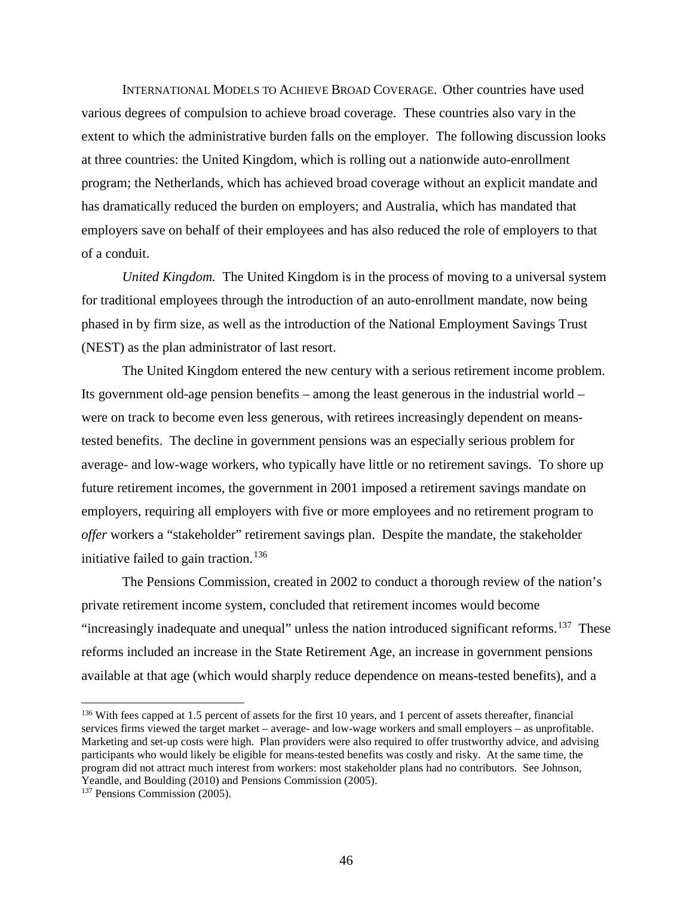INTERNATIONAL MODELS TO ACHIEVE BROAD COVERAGE. Other countries have used various degrees of compulsion to achieve broad coverage. These countries also vary in the extent to which the administrative burden falls on the employer. The following discussion looks at three countries: the United Kingdom, which is rolling out a nationwide auto-enrollment program; the Netherlands, which has achieved broad coverage without an explicit mandate and has dramatically reduced the burden on employers; and Australia, which has mandated that employers save on behalf of their employees and has also reduced the role of employers to that of a conduit.

*United Kingdom.* The United Kingdom is in the process of moving to a universal system for traditional employees through the introduction of an auto-enrollment mandate, now being phased in by firm size, as well as the introduction of the National Employment Savings Trust (NEST) as the plan administrator of last resort.

The United Kingdom entered the new century with a serious retirement income problem. Its government old-age pension benefits – among the least generous in the industrial world – were on track to become even less generous, with retirees increasingly dependent on meanstested benefits. The decline in government pensions was an especially serious problem for average- and low-wage workers, who typically have little or no retirement savings. To shore up future retirement incomes, the government in 2001 imposed a retirement savings mandate on employers, requiring all employers with five or more employees and no retirement program to *offer* workers a "stakeholder" retirement savings plan. Despite the mandate, the stakeholder initiative failed to gain traction.<sup>[136](#page-47-0)</sup>

The Pensions Commission, created in 2002 to conduct a thorough review of the nation's private retirement income system, concluded that retirement incomes would become "increasingly inadequate and unequal" unless the nation introduced significant reforms.<sup>[137](#page-47-1)</sup> These reforms included an increase in the State Retirement Age, an increase in government pensions available at that age (which would sharply reduce dependence on means-tested benefits), and a

<span id="page-47-0"></span><sup>&</sup>lt;sup>136</sup> With fees capped at 1.5 percent of assets for the first 10 years, and 1 percent of assets thereafter, financial services firms viewed the target market – average- and low-wage workers and small employers – as unprofitable. Marketing and set-up costs were high. Plan providers were also required to offer trustworthy advice, and advising participants who would likely be eligible for means-tested benefits was costly and risky. At the same time, the program did not attract much interest from workers: most stakeholder plans had no contributors. See Johnson, Yeandle, and Boulding (2010) and Pensions Commission (2005). 137 Pensions Commission (2005).

<span id="page-47-1"></span>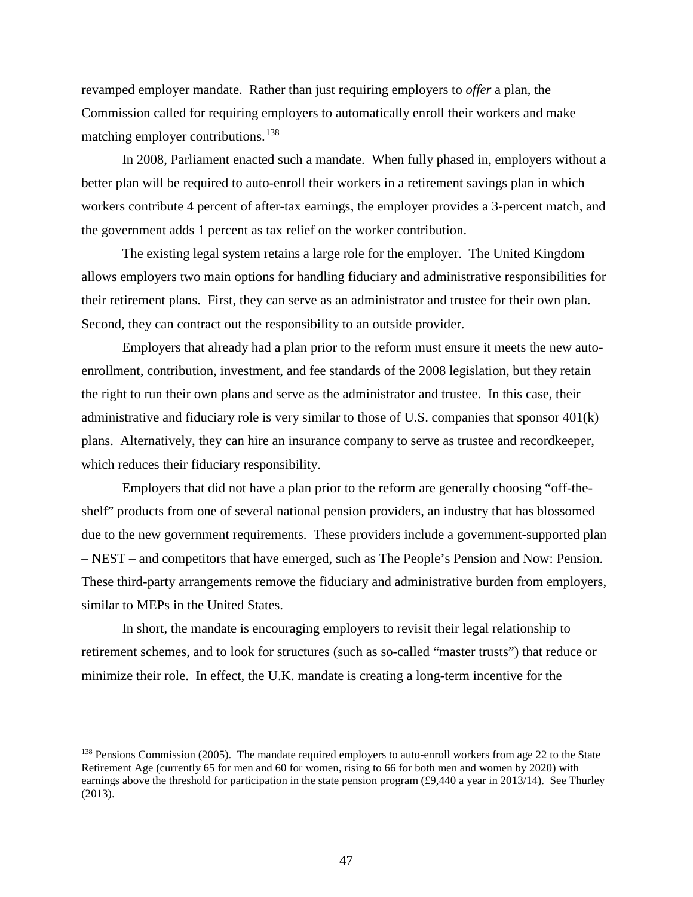revamped employer mandate. Rather than just requiring employers to *offer* a plan, the Commission called for requiring employers to automatically enroll their workers and make matching employer contributions.<sup>[138](#page-48-0)</sup>

In 2008, Parliament enacted such a mandate. When fully phased in, employers without a better plan will be required to auto-enroll their workers in a retirement savings plan in which workers contribute 4 percent of after-tax earnings, the employer provides a 3-percent match, and the government adds 1 percent as tax relief on the worker contribution.

The existing legal system retains a large role for the employer. The United Kingdom allows employers two main options for handling fiduciary and administrative responsibilities for their retirement plans. First, they can serve as an administrator and trustee for their own plan. Second, they can contract out the responsibility to an outside provider.

Employers that already had a plan prior to the reform must ensure it meets the new autoenrollment, contribution, investment, and fee standards of the 2008 legislation, but they retain the right to run their own plans and serve as the administrator and trustee. In this case, their administrative and fiduciary role is very similar to those of U.S. companies that sponsor 401(k) plans. Alternatively, they can hire an insurance company to serve as trustee and recordkeeper, which reduces their fiduciary responsibility.

Employers that did not have a plan prior to the reform are generally choosing "off-theshelf" products from one of several national pension providers, an industry that has blossomed due to the new government requirements. These providers include a government-supported plan – NEST – and competitors that have emerged, such as The People's Pension and Now: Pension. These third-party arrangements remove the fiduciary and administrative burden from employers, similar to MEPs in the United States.

In short, the mandate is encouraging employers to revisit their legal relationship to retirement schemes, and to look for structures (such as so-called "master trusts") that reduce or minimize their role. In effect, the U.K. mandate is creating a long-term incentive for the

<span id="page-48-0"></span><sup>&</sup>lt;sup>138</sup> Pensions Commission (2005). The mandate required employers to auto-enroll workers from age 22 to the State Retirement Age (currently 65 for men and 60 for women, rising to 66 for both men and women by 2020) with earnings above the threshold for participation in the state pension program (£9,440 a year in 2013/14). See Thurley (2013).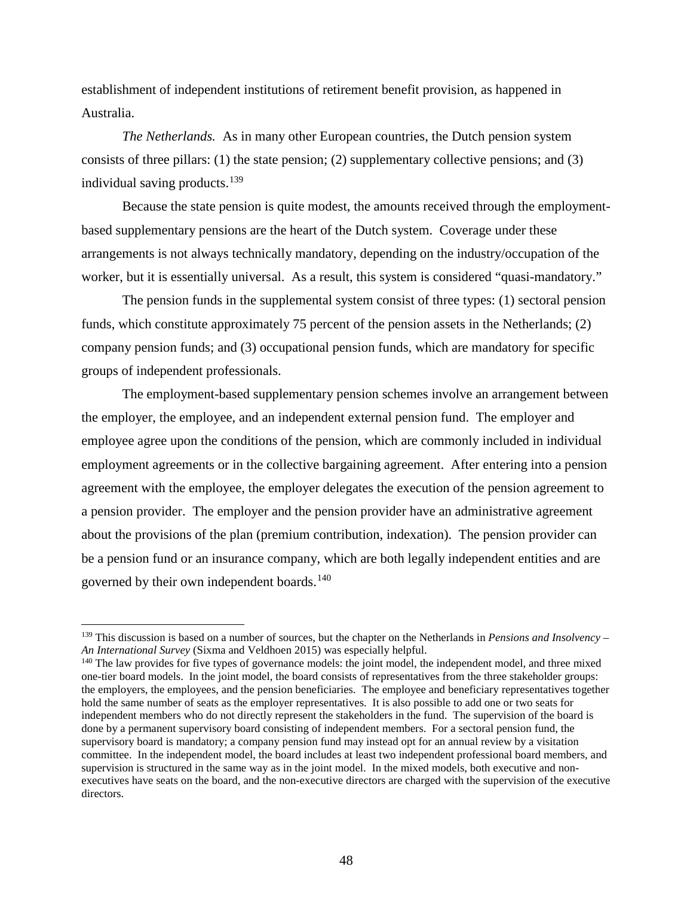establishment of independent institutions of retirement benefit provision, as happened in Australia.

*The Netherlands.* As in many other European countries, the Dutch pension system consists of three pillars: (1) the state pension; (2) supplementary collective pensions; and (3) individual saving products.[139](#page-49-0)

Because the state pension is quite modest, the amounts received through the employmentbased supplementary pensions are the heart of the Dutch system. Coverage under these arrangements is not always technically mandatory, depending on the industry/occupation of the worker, but it is essentially universal. As a result, this system is considered "quasi-mandatory."

The pension funds in the supplemental system consist of three types: (1) sectoral pension funds, which constitute approximately 75 percent of the pension assets in the Netherlands; (2) company pension funds; and (3) occupational pension funds, which are mandatory for specific groups of independent professionals.

The employment-based supplementary pension schemes involve an arrangement between the employer, the employee, and an independent external pension fund. The employer and employee agree upon the conditions of the pension, which are commonly included in individual employment agreements or in the collective bargaining agreement. After entering into a pension agreement with the employee, the employer delegates the execution of the pension agreement to a pension provider. The employer and the pension provider have an administrative agreement about the provisions of the plan (premium contribution, indexation). The pension provider can be a pension fund or an insurance company, which are both legally independent entities and are governed by their own independent boards.[140](#page-49-1)

<span id="page-49-0"></span><sup>139</sup> This discussion is based on a number of sources, but the chapter on the Netherlands in *Pensions and Insolvency – An International Survey* (Sixma and Veldhoen 2015) was especially helpful.<br><sup>140</sup> The law provides for five types of governance models: the joint model, the independent model, and three mixed

<span id="page-49-1"></span>one-tier board models. In the joint model, the board consists of representatives from the three stakeholder groups: the employers, the employees, and the pension beneficiaries. The employee and beneficiary representatives together hold the same number of seats as the employer representatives. It is also possible to add one or two seats for independent members who do not directly represent the stakeholders in the fund. The supervision of the board is done by a permanent supervisory board consisting of independent members. For a sectoral pension fund, the supervisory board is mandatory; a company pension fund may instead opt for an annual review by a visitation committee. In the independent model, the board includes at least two independent professional board members, and supervision is structured in the same way as in the joint model. In the mixed models, both executive and nonexecutives have seats on the board, and the non-executive directors are charged with the supervision of the executive directors.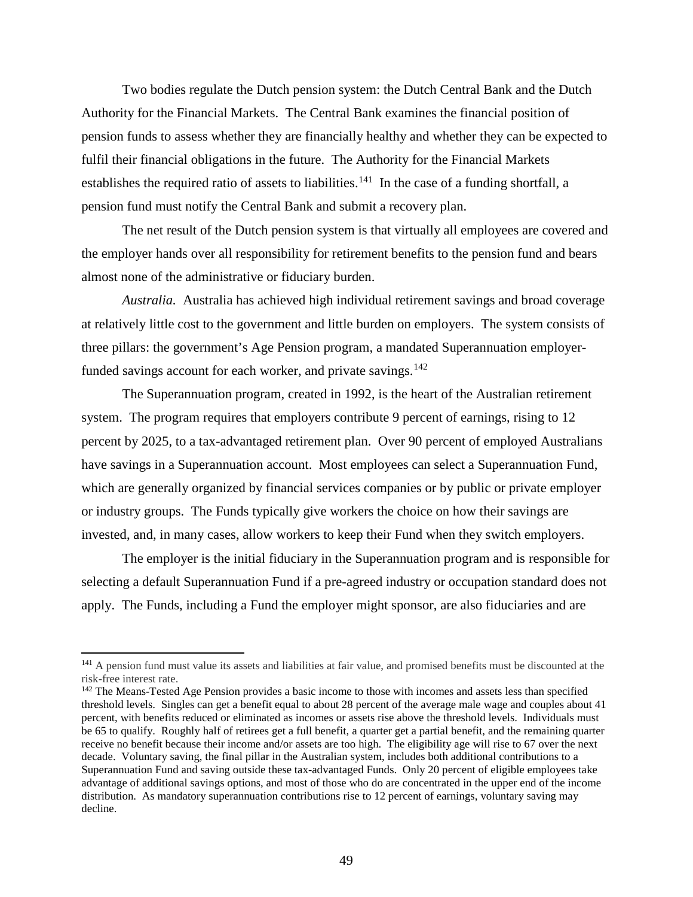Two bodies regulate the Dutch pension system: the Dutch Central Bank and the Dutch Authority for the Financial Markets. The Central Bank examines the financial position of pension funds to assess whether they are financially healthy and whether they can be expected to fulfil their financial obligations in the future. The Authority for the Financial Markets establishes the required ratio of assets to liabilities.<sup>[141](#page-50-0)</sup> In the case of a funding shortfall, a pension fund must notify the Central Bank and submit a recovery plan.

The net result of the Dutch pension system is that virtually all employees are covered and the employer hands over all responsibility for retirement benefits to the pension fund and bears almost none of the administrative or fiduciary burden.

*Australia.* Australia has achieved high individual retirement savings and broad coverage at relatively little cost to the government and little burden on employers. The system consists of three pillars: the government's Age Pension program, a mandated Superannuation employer-funded savings account for each worker, and private savings.<sup>[142](#page-50-1)</sup>

The Superannuation program, created in 1992, is the heart of the Australian retirement system. The program requires that employers contribute 9 percent of earnings, rising to 12 percent by 2025, to a tax-advantaged retirement plan. Over 90 percent of employed Australians have savings in a Superannuation account. Most employees can select a Superannuation Fund, which are generally organized by financial services companies or by public or private employer or industry groups. The Funds typically give workers the choice on how their savings are invested, and, in many cases, allow workers to keep their Fund when they switch employers.

The employer is the initial fiduciary in the Superannuation program and is responsible for selecting a default Superannuation Fund if a pre-agreed industry or occupation standard does not apply. The Funds, including a Fund the employer might sponsor, are also fiduciaries and are

<span id="page-50-0"></span><sup>&</sup>lt;sup>141</sup> A pension fund must value its assets and liabilities at fair value, and promised benefits must be discounted at the risk-free interest rate.

<span id="page-50-1"></span><sup>&</sup>lt;sup>142</sup> The Means-Tested Age Pension provides a basic income to those with incomes and assets less than specified threshold levels. Singles can get a benefit equal to about 28 percent of the average male wage and couples about 41 percent, with benefits reduced or eliminated as incomes or assets rise above the threshold levels. Individuals must be 65 to qualify. Roughly half of retirees get a full benefit, a quarter get a partial benefit, and the remaining quarter receive no benefit because their income and/or assets are too high. The eligibility age will rise to 67 over the next decade. Voluntary saving, the final pillar in the Australian system, includes both additional contributions to a Superannuation Fund and saving outside these tax-advantaged Funds. Only 20 percent of eligible employees take advantage of additional savings options, and most of those who do are concentrated in the upper end of the income distribution. As mandatory superannuation contributions rise to 12 percent of earnings, voluntary saving may decline.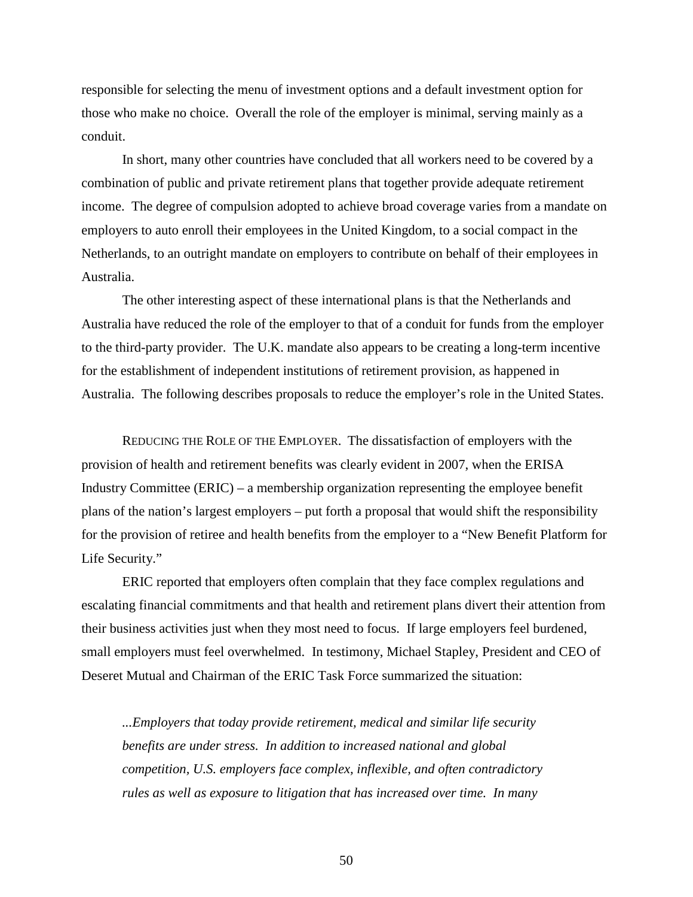responsible for selecting the menu of investment options and a default investment option for those who make no choice. Overall the role of the employer is minimal, serving mainly as a conduit.

In short, many other countries have concluded that all workers need to be covered by a combination of public and private retirement plans that together provide adequate retirement income. The degree of compulsion adopted to achieve broad coverage varies from a mandate on employers to auto enroll their employees in the United Kingdom, to a social compact in the Netherlands, to an outright mandate on employers to contribute on behalf of their employees in Australia.

The other interesting aspect of these international plans is that the Netherlands and Australia have reduced the role of the employer to that of a conduit for funds from the employer to the third-party provider. The U.K. mandate also appears to be creating a long-term incentive for the establishment of independent institutions of retirement provision, as happened in Australia. The following describes proposals to reduce the employer's role in the United States.

REDUCING THE ROLE OF THE EMPLOYER. The dissatisfaction of employers with the provision of health and retirement benefits was clearly evident in 2007, when the ERISA Industry Committee (ERIC) – a membership organization representing the employee benefit plans of the nation's largest employers – put forth a proposal that would shift the responsibility for the provision of retiree and health benefits from the employer to a "New Benefit Platform for Life Security."

ERIC reported that employers often complain that they face complex regulations and escalating financial commitments and that health and retirement plans divert their attention from their business activities just when they most need to focus. If large employers feel burdened, small employers must feel overwhelmed. In testimony, Michael Stapley, President and CEO of Deseret Mutual and Chairman of the ERIC Task Force summarized the situation:

*...Employers that today provide retirement, medical and similar life security benefits are under stress. In addition to increased national and global competition, U.S. employers face complex, inflexible, and often contradictory rules as well as exposure to litigation that has increased over time. In many*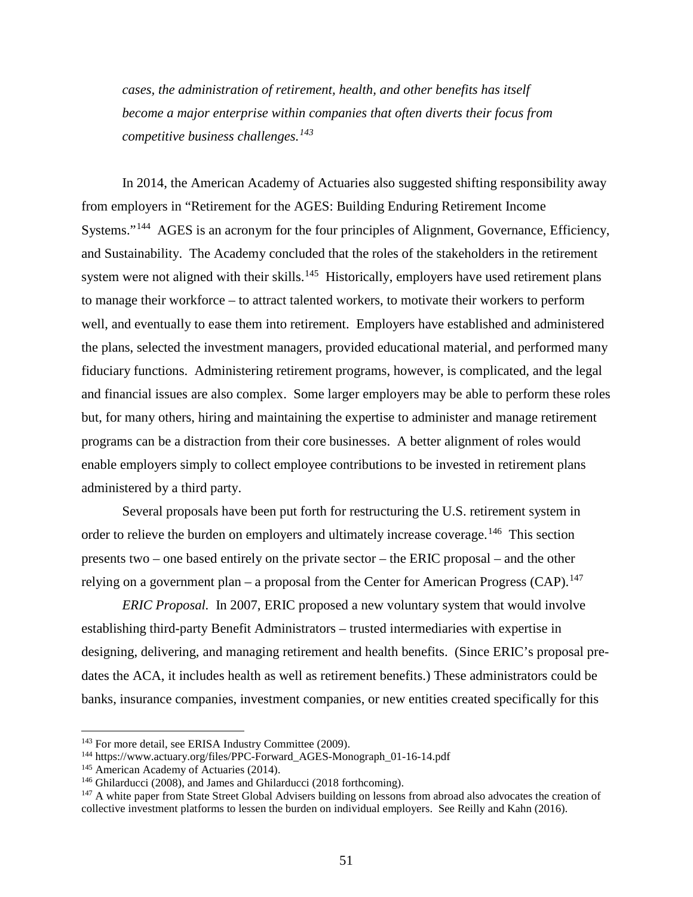*cases, the administration of retirement, health, and other benefits has itself become a major enterprise within companies that often diverts their focus from competitive business challenges.[143](#page-52-0)*

In 2014, the American Academy of Actuaries also suggested shifting responsibility away from employers in "Retirement for the AGES: Building Enduring Retirement Income Systems."<sup>[144](#page-52-1)</sup> AGES is an acronym for the four principles of Alignment, Governance, Efficiency, and Sustainability. The Academy concluded that the roles of the stakeholders in the retirement system were not aligned with their skills.<sup>[145](#page-52-2)</sup> Historically, employers have used retirement plans to manage their workforce – to attract talented workers, to motivate their workers to perform well, and eventually to ease them into retirement. Employers have established and administered the plans, selected the investment managers, provided educational material, and performed many fiduciary functions. Administering retirement programs, however, is complicated, and the legal and financial issues are also complex. Some larger employers may be able to perform these roles but, for many others, hiring and maintaining the expertise to administer and manage retirement programs can be a distraction from their core businesses. A better alignment of roles would enable employers simply to collect employee contributions to be invested in retirement plans administered by a third party.

Several proposals have been put forth for restructuring the U.S. retirement system in order to relieve the burden on employers and ultimately increase coverage.<sup>[146](#page-52-3)</sup> This section presents two – one based entirely on the private sector – the ERIC proposal – and the other relying on a government plan – a proposal from the Center for American Progress (CAP).<sup>147</sup>

*ERIC Proposal.* In 2007, ERIC proposed a new voluntary system that would involve establishing third-party Benefit Administrators – trusted intermediaries with expertise in designing, delivering, and managing retirement and health benefits. (Since ERIC's proposal predates the ACA, it includes health as well as retirement benefits.) These administrators could be banks, insurance companies, investment companies, or new entities created specifically for this

<span id="page-52-1"></span><span id="page-52-0"></span><sup>&</sup>lt;sup>143</sup> For more detail, see ERISA Industry Committee (2009).<br><sup>144</sup> https://www.actuary.org/files/PPC-Forward\_AGES-Monograph\_01-16-14.pdf

<span id="page-52-2"></span><sup>&</sup>lt;sup>145</sup> American Academy of Actuaries (2014).<br><sup>146</sup> Ghilarducci (2008), and James and Ghilarducci (2018 forthcoming).

<span id="page-52-4"></span><span id="page-52-3"></span><sup>&</sup>lt;sup>147</sup> A white paper from State Street Global Advisers building on lessons from abroad also advocates the creation of collective investment platforms to lessen the burden on individual employers. See Reilly and Kahn (2016).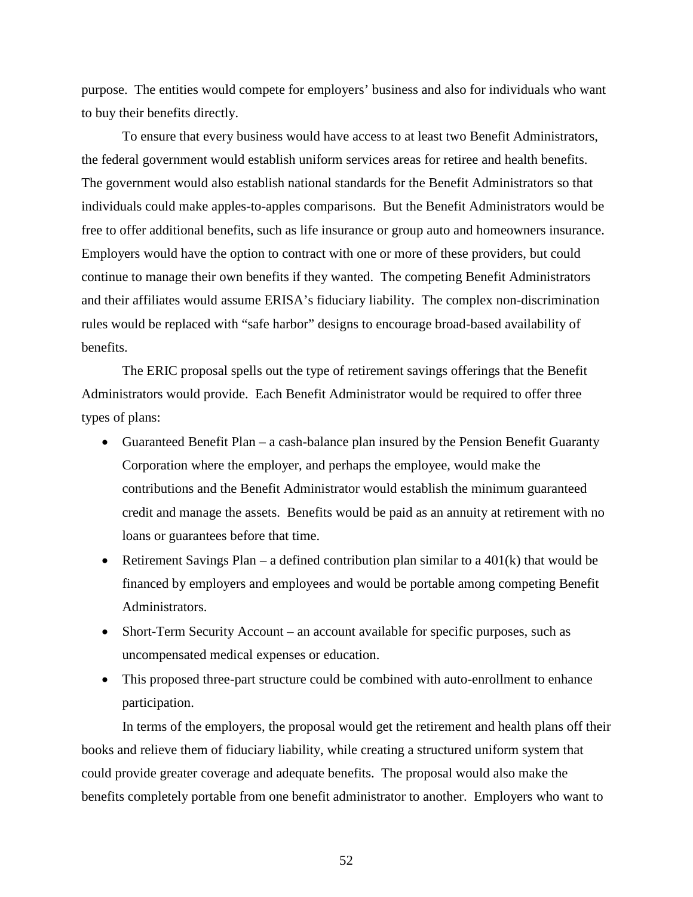purpose. The entities would compete for employers' business and also for individuals who want to buy their benefits directly.

To ensure that every business would have access to at least two Benefit Administrators, the federal government would establish uniform services areas for retiree and health benefits. The government would also establish national standards for the Benefit Administrators so that individuals could make apples-to-apples comparisons. But the Benefit Administrators would be free to offer additional benefits, such as life insurance or group auto and homeowners insurance. Employers would have the option to contract with one or more of these providers, but could continue to manage their own benefits if they wanted. The competing Benefit Administrators and their affiliates would assume ERISA's fiduciary liability. The complex non-discrimination rules would be replaced with "safe harbor" designs to encourage broad-based availability of benefits.

The ERIC proposal spells out the type of retirement savings offerings that the Benefit Administrators would provide. Each Benefit Administrator would be required to offer three types of plans:

- Guaranteed Benefit Plan a cash-balance plan insured by the Pension Benefit Guaranty Corporation where the employer, and perhaps the employee, would make the contributions and the Benefit Administrator would establish the minimum guaranteed credit and manage the assets. Benefits would be paid as an annuity at retirement with no loans or guarantees before that time.
- Retirement Savings Plan a defined contribution plan similar to a  $401(k)$  that would be financed by employers and employees and would be portable among competing Benefit Administrators.
- Short-Term Security Account an account available for specific purposes, such as uncompensated medical expenses or education.
- This proposed three-part structure could be combined with auto-enrollment to enhance participation.

In terms of the employers, the proposal would get the retirement and health plans off their books and relieve them of fiduciary liability, while creating a structured uniform system that could provide greater coverage and adequate benefits. The proposal would also make the benefits completely portable from one benefit administrator to another. Employers who want to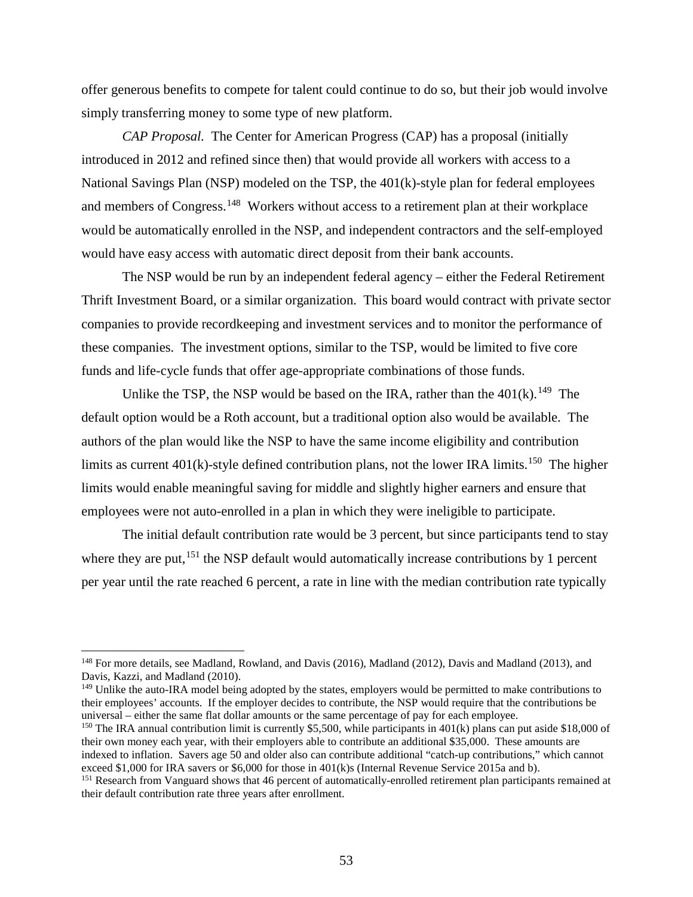offer generous benefits to compete for talent could continue to do so, but their job would involve simply transferring money to some type of new platform.

*CAP Proposal.* The Center for American Progress (CAP) has a proposal (initially introduced in 2012 and refined since then) that would provide all workers with access to a National Savings Plan (NSP) modeled on the TSP, the 401(k)-style plan for federal employees and members of Congress.<sup>[148](#page-54-0)</sup> Workers without access to a retirement plan at their workplace would be automatically enrolled in the NSP, and independent contractors and the self-employed would have easy access with automatic direct deposit from their bank accounts.

The NSP would be run by an independent federal agency – either the Federal Retirement Thrift Investment Board, or a similar organization. This board would contract with private sector companies to provide recordkeeping and investment services and to monitor the performance of these companies. The investment options, similar to the TSP, would be limited to five core funds and life-cycle funds that offer age-appropriate combinations of those funds.

Unlike the TSP, the NSP would be based on the IRA, rather than the  $401(k)$ .<sup>[149](#page-54-1)</sup> The default option would be a Roth account, but a traditional option also would be available. The authors of the plan would like the NSP to have the same income eligibility and contribution limits as current  $401(k)$ -style defined contribution plans, not the lower IRA limits.<sup>[150](#page-54-2)</sup> The higher limits would enable meaningful saving for middle and slightly higher earners and ensure that employees were not auto-enrolled in a plan in which they were ineligible to participate.

The initial default contribution rate would be 3 percent, but since participants tend to stay where they are put,<sup>[151](#page-54-3)</sup> the NSP default would automatically increase contributions by 1 percent per year until the rate reached 6 percent, a rate in line with the median contribution rate typically

 $\overline{\phantom{a}}$ 

<span id="page-54-1"></span><sup>149</sup> Unlike the auto-IRA model being adopted by the states, employers would be permitted to make contributions to their employees' accounts. If the employer decides to contribute, the NSP would require that the contributions be universal – either the same flat dollar amounts or the same percentage of pay for each employee.<br><sup>150</sup> The IRA annual contribution limit is currently \$5,500, while participants in 401(k) plans can put aside \$18,000 of

<span id="page-54-2"></span>their own money each year, with their employers able to contribute an additional \$35,000. These amounts are indexed to inflation. Savers age 50 and older also can contribute additional "catch-up contributions," which cannot exceed \$1,000 for IRA savers or \$6,000 for those in  $401(k)s$  (Internal Revenue Service 2015a and b).

<span id="page-54-0"></span><sup>&</sup>lt;sup>148</sup> For more details, see Madland, Rowland, and Davis (2016), Madland (2012), Davis and Madland (2013), and Davis, Kazzi, and Madland (2010).

<span id="page-54-3"></span> $151$  Research from Vanguard shows that 46 percent of automatically-enrolled retirement plan participants remained at their default contribution rate three years after enrollment.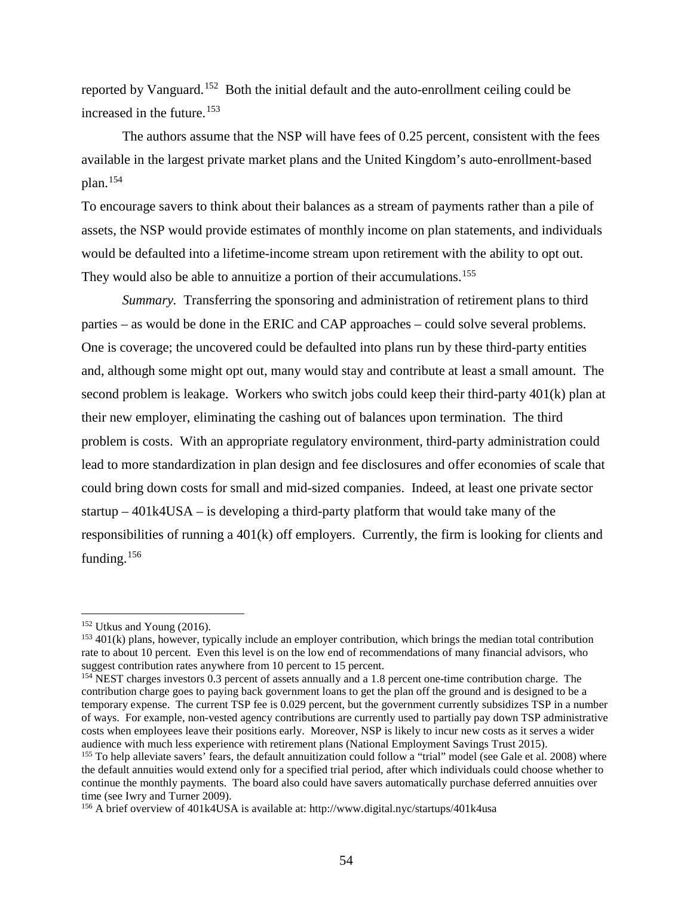reported by Vanguard.[152](#page-55-0) Both the initial default and the auto-enrollment ceiling could be increased in the future.<sup>[153](#page-55-1)</sup>

The authors assume that the NSP will have fees of 0.25 percent, consistent with the fees available in the largest private market plans and the United Kingdom's auto-enrollment-based plan.[154](#page-55-2)

To encourage savers to think about their balances as a stream of payments rather than a pile of assets, the NSP would provide estimates of monthly income on plan statements, and individuals would be defaulted into a lifetime-income stream upon retirement with the ability to opt out. They would also be able to annuitize a portion of their accumulations.<sup>[155](#page-55-3)</sup>

*Summary.* Transferring the sponsoring and administration of retirement plans to third parties – as would be done in the ERIC and CAP approaches – could solve several problems. One is coverage; the uncovered could be defaulted into plans run by these third-party entities and, although some might opt out, many would stay and contribute at least a small amount. The second problem is leakage. Workers who switch jobs could keep their third-party 401(k) plan at their new employer, eliminating the cashing out of balances upon termination. The third problem is costs. With an appropriate regulatory environment, third-party administration could lead to more standardization in plan design and fee disclosures and offer economies of scale that could bring down costs for small and mid-sized companies. Indeed, at least one private sector startup  $-401k4USA -$  is developing a third-party platform that would take many of the responsibilities of running a 401(k) off employers. Currently, the firm is looking for clients and funding.<sup>[156](#page-55-4)</sup>

<span id="page-55-0"></span><sup>152</sup> Utkus and Young (2016).

<span id="page-55-1"></span> $153$  401(k) plans, however, typically include an employer contribution, which brings the median total contribution rate to about 10 percent. Even this level is on the low end of recommendations of many financial advisors, who suggest contribution rates anywhere from 10 percent to 15 percent.

<span id="page-55-2"></span><sup>&</sup>lt;sup>154</sup> NEST charges investors 0.3 percent of assets annually and a 1.8 percent one-time contribution charge. The contribution charge goes to paying back government loans to get the plan off the ground and is designed to be a temporary expense. The current TSP fee is 0.029 percent, but the government currently subsidizes TSP in a number of ways. For example, non-vested agency contributions are currently used to partially pay down TSP administrative costs when employees leave their positions early. Moreover, NSP is likely to incur new costs as it serves a wider audience with much less experience with retirement plans (National Employment Savings Trust 2015).<br><sup>155</sup> To help alleviate savers' fears, the default annuitization could follow a "trial" model (see Gale et al. 2008) where

<span id="page-55-3"></span>the default annuities would extend only for a specified trial period, after which individuals could choose whether to continue the monthly payments. The board also could have savers automatically purchase deferred annuities over time (see Iwry and Turner 2009).

<span id="page-55-4"></span><sup>&</sup>lt;sup>156</sup> A brief overview of 401k4USA is available at: http://www.digital.nyc/startups/401k4usa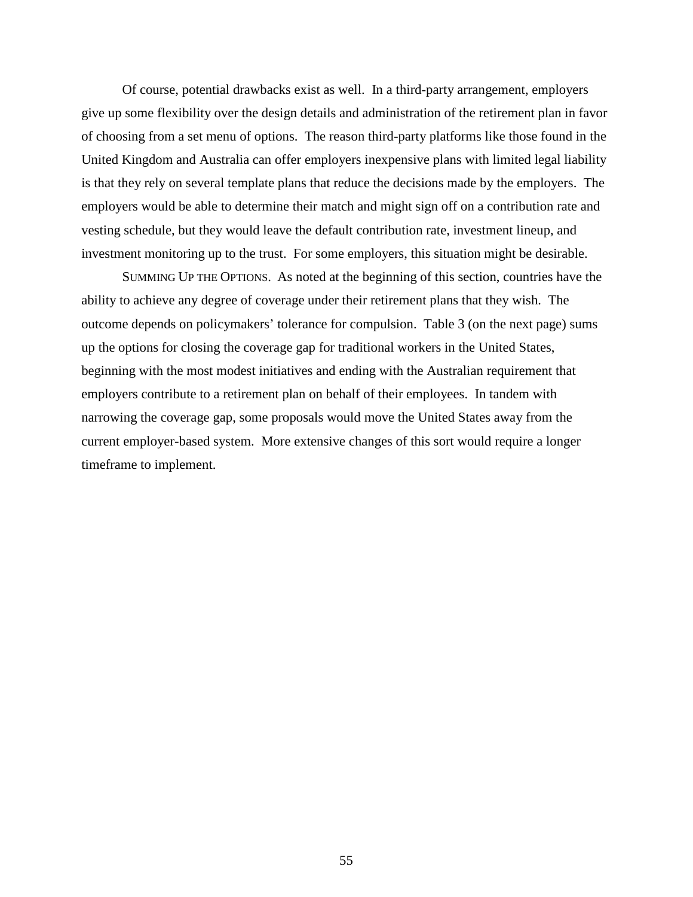Of course, potential drawbacks exist as well. In a third-party arrangement, employers give up some flexibility over the design details and administration of the retirement plan in favor of choosing from a set menu of options. The reason third-party platforms like those found in the United Kingdom and Australia can offer employers inexpensive plans with limited legal liability is that they rely on several template plans that reduce the decisions made by the employers. The employers would be able to determine their match and might sign off on a contribution rate and vesting schedule, but they would leave the default contribution rate, investment lineup, and investment monitoring up to the trust. For some employers, this situation might be desirable.

SUMMING UP THE OPTIONS. As noted at the beginning of this section, countries have the ability to achieve any degree of coverage under their retirement plans that they wish. The outcome depends on policymakers' tolerance for compulsion. Table 3 (on the next page) sums up the options for closing the coverage gap for traditional workers in the United States, beginning with the most modest initiatives and ending with the Australian requirement that employers contribute to a retirement plan on behalf of their employees. In tandem with narrowing the coverage gap, some proposals would move the United States away from the current employer-based system. More extensive changes of this sort would require a longer timeframe to implement.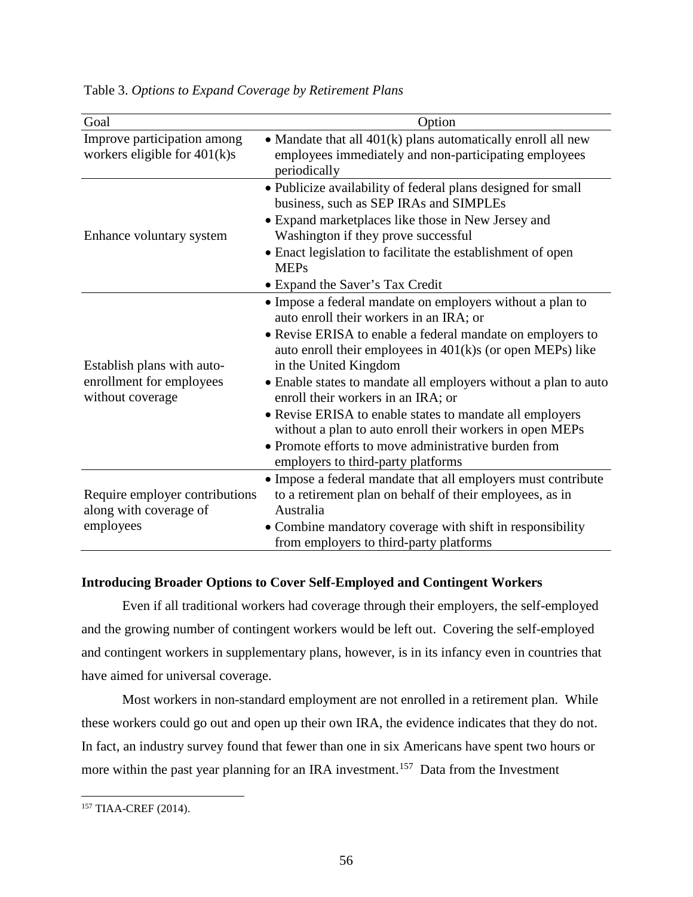| Goal                                                                       | Option                                                                                                                                                                                                                                                                                                                                                                                                                                                                                                                                                                                      |
|----------------------------------------------------------------------------|---------------------------------------------------------------------------------------------------------------------------------------------------------------------------------------------------------------------------------------------------------------------------------------------------------------------------------------------------------------------------------------------------------------------------------------------------------------------------------------------------------------------------------------------------------------------------------------------|
| Improve participation among<br>workers eligible for $401(k)s$              | • Mandate that all $401(k)$ plans automatically enroll all new<br>employees immediately and non-participating employees<br>periodically                                                                                                                                                                                                                                                                                                                                                                                                                                                     |
| Enhance voluntary system                                                   | • Publicize availability of federal plans designed for small<br>business, such as SEP IRAs and SIMPLEs<br>• Expand marketplaces like those in New Jersey and<br>Washington if they prove successful<br>• Enact legislation to facilitate the establishment of open<br><b>MEPs</b><br>• Expand the Saver's Tax Credit                                                                                                                                                                                                                                                                        |
| Establish plans with auto-<br>enrollment for employees<br>without coverage | • Impose a federal mandate on employers without a plan to<br>auto enroll their workers in an IRA; or<br>• Revise ERISA to enable a federal mandate on employers to<br>auto enroll their employees in $401(k)$ s (or open MEPs) like<br>in the United Kingdom<br>• Enable states to mandate all employers without a plan to auto<br>enroll their workers in an IRA; or<br>• Revise ERISA to enable states to mandate all employers<br>without a plan to auto enroll their workers in open MEPs<br>• Promote efforts to move administrative burden from<br>employers to third-party platforms |
| Require employer contributions<br>along with coverage of<br>employees      | • Impose a federal mandate that all employers must contribute<br>to a retirement plan on behalf of their employees, as in<br>Australia<br>• Combine mandatory coverage with shift in responsibility<br>from employers to third-party platforms                                                                                                                                                                                                                                                                                                                                              |

Table 3. *Options to Expand Coverage by Retirement Plans*

### **Introducing Broader Options to Cover Self-Employed and Contingent Workers**

Even if all traditional workers had coverage through their employers, the self-employed and the growing number of contingent workers would be left out. Covering the self-employed and contingent workers in supplementary plans, however, is in its infancy even in countries that have aimed for universal coverage.

Most workers in non-standard employment are not enrolled in a retirement plan. While these workers could go out and open up their own IRA, the evidence indicates that they do not. In fact, an industry survey found that fewer than one in six Americans have spent two hours or more within the past year planning for an IRA investment.<sup>[157](#page-57-0)</sup> Data from the Investment

<span id="page-57-0"></span><sup>157</sup> TIAA-CREF (2014).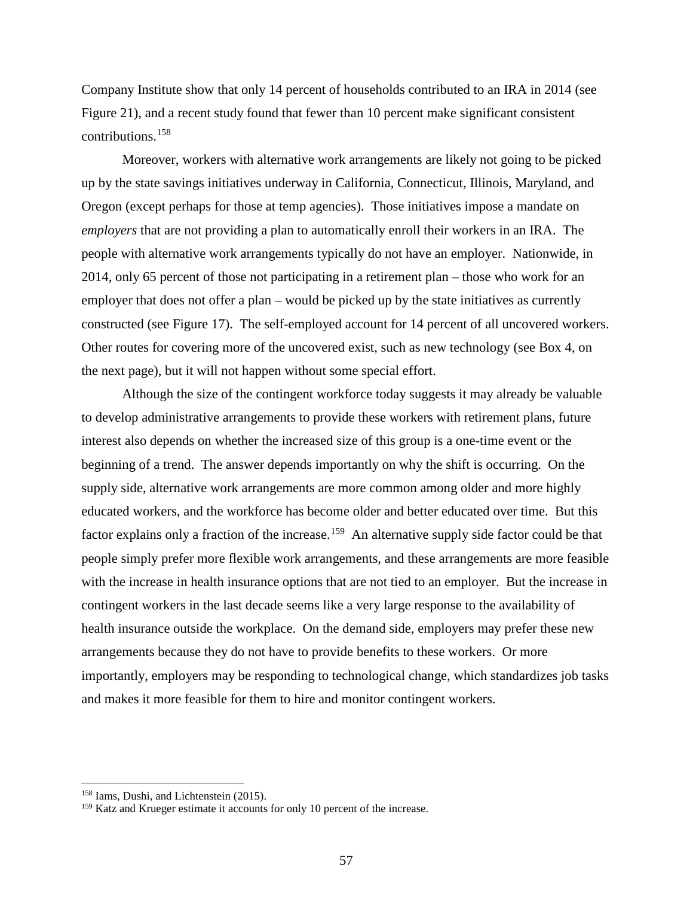Company Institute show that only 14 percent of households contributed to an IRA in 2014 (see Figure 21), and a recent study found that fewer than 10 percent make significant consistent contributions.[158](#page-58-0)

Moreover, workers with alternative work arrangements are likely not going to be picked up by the state savings initiatives underway in California, Connecticut, Illinois, Maryland, and Oregon (except perhaps for those at temp agencies). Those initiatives impose a mandate on *employers* that are not providing a plan to automatically enroll their workers in an IRA. The people with alternative work arrangements typically do not have an employer. Nationwide, in 2014, only 65 percent of those not participating in a retirement plan – those who work for an employer that does not offer a plan – would be picked up by the state initiatives as currently constructed (see Figure 17). The self-employed account for 14 percent of all uncovered workers. Other routes for covering more of the uncovered exist, such as new technology (see Box 4, on the next page), but it will not happen without some special effort.

Although the size of the contingent workforce today suggests it may already be valuable to develop administrative arrangements to provide these workers with retirement plans, future interest also depends on whether the increased size of this group is a one-time event or the beginning of a trend. The answer depends importantly on why the shift is occurring. On the supply side, alternative work arrangements are more common among older and more highly educated workers, and the workforce has become older and better educated over time. But this factor explains only a fraction of the increase.<sup>[159](#page-58-1)</sup> An alternative supply side factor could be that people simply prefer more flexible work arrangements, and these arrangements are more feasible with the increase in health insurance options that are not tied to an employer. But the increase in contingent workers in the last decade seems like a very large response to the availability of health insurance outside the workplace. On the demand side, employers may prefer these new arrangements because they do not have to provide benefits to these workers. Or more importantly, employers may be responding to technological change, which standardizes job tasks and makes it more feasible for them to hire and monitor contingent workers.

<span id="page-58-0"></span><sup>158</sup> Iams, Dushi, and Lichtenstein (2015).

<span id="page-58-1"></span><sup>&</sup>lt;sup>159</sup> Katz and Krueger estimate it accounts for only 10 percent of the increase.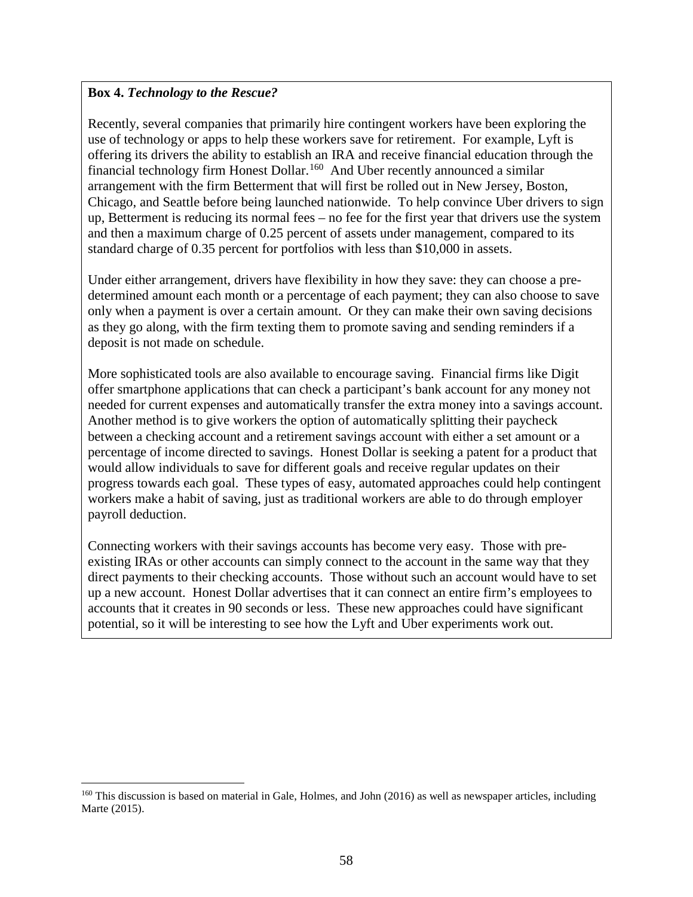## **Box 4.** *Technology to the Rescue?*

l

Recently, several companies that primarily hire contingent workers have been exploring the use of technology or apps to help these workers save for retirement. For example, Lyft is offering its drivers the ability to establish an IRA and receive financial education through the financial technology firm Honest Dollar.[160](#page-59-0) And Uber recently announced a similar arrangement with the firm Betterment that will first be rolled out in New Jersey, Boston, Chicago, and Seattle before being launched nationwide. To help convince Uber drivers to sign up, Betterment is reducing its normal fees – no fee for the first year that drivers use the system and then a maximum charge of 0.25 percent of assets under management, compared to its standard charge of 0.35 percent for portfolios with less than \$10,000 in assets.

Under either arrangement, drivers have flexibility in how they save: they can choose a predetermined amount each month or a percentage of each payment; they can also choose to save only when a payment is over a certain amount. Or they can make their own saving decisions as they go along, with the firm texting them to promote saving and sending reminders if a deposit is not made on schedule.

More sophisticated tools are also available to encourage saving. Financial firms like Digit offer smartphone applications that can check a participant's bank account for any money not needed for current expenses and automatically transfer the extra money into a savings account. Another method is to give workers the option of automatically splitting their paycheck between a checking account and a retirement savings account with either a set amount or a percentage of income directed to savings. Honest Dollar is seeking a patent for a product that would allow individuals to save for different goals and receive regular updates on their progress towards each goal. These types of easy, automated approaches could help contingent workers make a habit of saving, just as traditional workers are able to do through employer payroll deduction.

Connecting workers with their savings accounts has become very easy. Those with preexisting IRAs or other accounts can simply connect to the account in the same way that they direct payments to their checking accounts. Those without such an account would have to set up a new account. Honest Dollar advertises that it can connect an entire firm's employees to accounts that it creates in 90 seconds or less. These new approaches could have significant potential, so it will be interesting to see how the Lyft and Uber experiments work out.

<span id="page-59-0"></span><sup>&</sup>lt;sup>160</sup> This discussion is based on material in Gale, Holmes, and John (2016) as well as newspaper articles, including Marte (2015).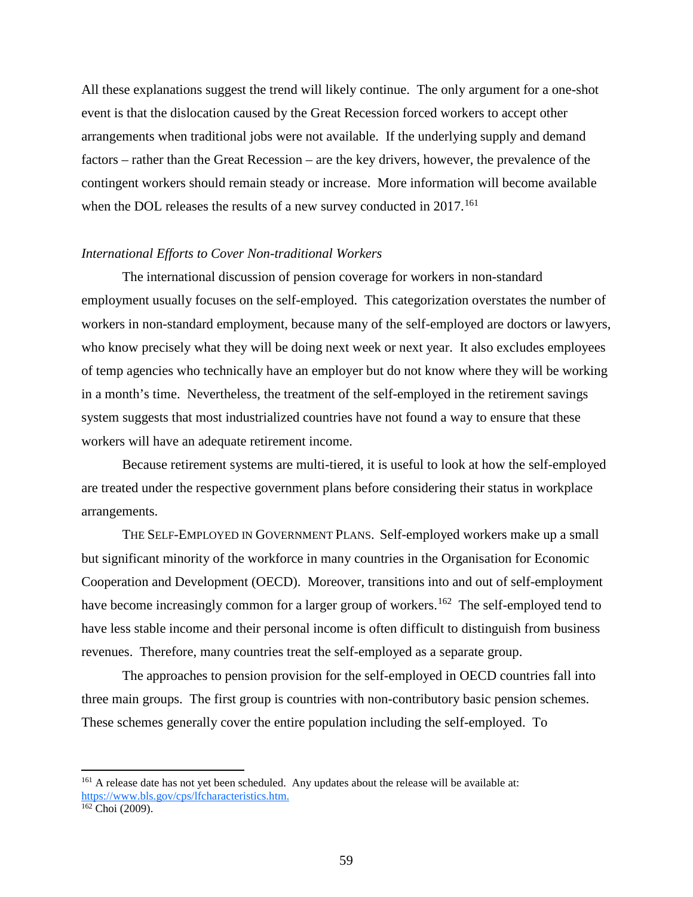All these explanations suggest the trend will likely continue. The only argument for a one-shot event is that the dislocation caused by the Great Recession forced workers to accept other arrangements when traditional jobs were not available. If the underlying supply and demand factors – rather than the Great Recession – are the key drivers, however, the prevalence of the contingent workers should remain steady or increase. More information will become available when the DOL releases the results of a new survey conducted in 2017.<sup>[161](#page-60-0)</sup>

#### *International Efforts to Cover Non-traditional Workers*

The international discussion of pension coverage for workers in non-standard employment usually focuses on the self-employed. This categorization overstates the number of workers in non-standard employment, because many of the self-employed are doctors or lawyers, who know precisely what they will be doing next week or next year. It also excludes employees of temp agencies who technically have an employer but do not know where they will be working in a month's time. Nevertheless, the treatment of the self-employed in the retirement savings system suggests that most industrialized countries have not found a way to ensure that these workers will have an adequate retirement income.

Because retirement systems are multi-tiered, it is useful to look at how the self-employed are treated under the respective government plans before considering their status in workplace arrangements.

THE SELF-EMPLOYED IN GOVERNMENT PLANS. Self-employed workers make up a small but significant minority of the workforce in many countries in the Organisation for Economic Cooperation and Development (OECD). Moreover, transitions into and out of self-employment have become increasingly common for a larger group of workers.<sup>[162](#page-60-1)</sup> The self-employed tend to have less stable income and their personal income is often difficult to distinguish from business revenues. Therefore, many countries treat the self-employed as a separate group.

The approaches to pension provision for the self-employed in OECD countries fall into three main groups. The first group is countries with non-contributory basic pension schemes. These schemes generally cover the entire population including the self-employed. To

<span id="page-60-0"></span><sup>&</sup>lt;sup>161</sup> A release date has not yet been scheduled. Any updates about the release will be available at: [https://www.bls.gov/cps/lfcharacteristics.htm.](https://www.bls.gov/cps/lfcharacteristics.htm)

<span id="page-60-1"></span> $162$  Choi (2009).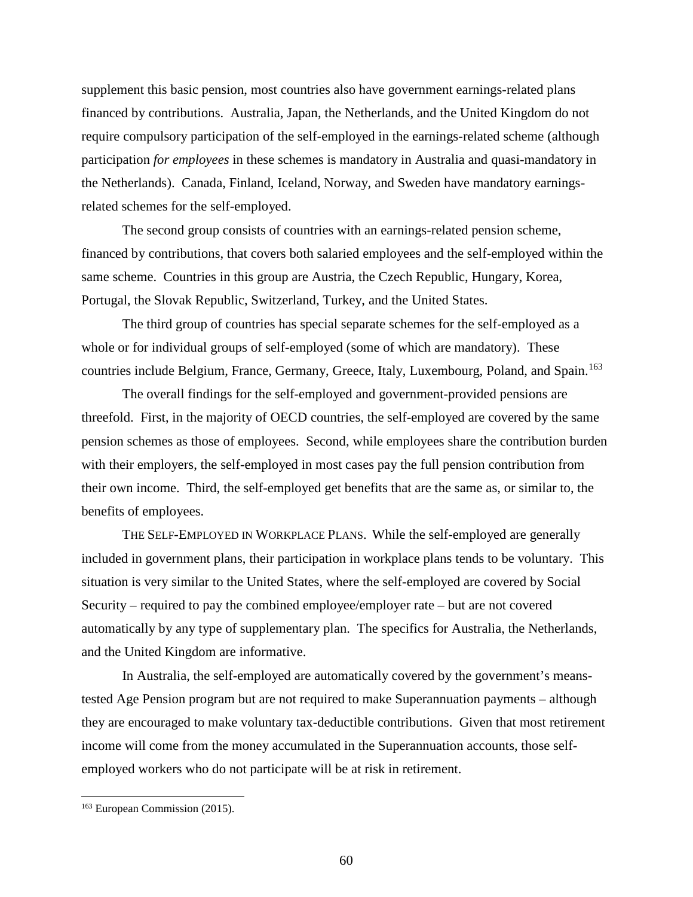supplement this basic pension, most countries also have government earnings-related plans financed by contributions. Australia, Japan, the Netherlands, and the United Kingdom do not require compulsory participation of the self-employed in the earnings-related scheme (although participation *for employees* in these schemes is mandatory in Australia and quasi-mandatory in the Netherlands). Canada, Finland, Iceland, Norway, and Sweden have mandatory earningsrelated schemes for the self-employed.

The second group consists of countries with an earnings-related pension scheme, financed by contributions, that covers both salaried employees and the self-employed within the same scheme. Countries in this group are Austria, the Czech Republic, Hungary, Korea, Portugal, the Slovak Republic, Switzerland, Turkey, and the United States.

The third group of countries has special separate schemes for the self-employed as a whole or for individual groups of self-employed (some of which are mandatory). These countries include Belgium, France, Germany, Greece, Italy, Luxembourg, Poland, and Spain.<sup>[163](#page-61-0)</sup>

The overall findings for the self-employed and government-provided pensions are threefold. First, in the majority of OECD countries, the self-employed are covered by the same pension schemes as those of employees. Second, while employees share the contribution burden with their employers, the self-employed in most cases pay the full pension contribution from their own income. Third, the self-employed get benefits that are the same as, or similar to, the benefits of employees.

THE SELF-EMPLOYED IN WORKPLACE PLANS. While the self-employed are generally included in government plans, their participation in workplace plans tends to be voluntary. This situation is very similar to the United States, where the self-employed are covered by Social Security – required to pay the combined employee/employer rate – but are not covered automatically by any type of supplementary plan. The specifics for Australia, the Netherlands, and the United Kingdom are informative.

In Australia, the self-employed are automatically covered by the government's meanstested Age Pension program but are not required to make Superannuation payments – although they are encouraged to make voluntary tax-deductible contributions. Given that most retirement income will come from the money accumulated in the Superannuation accounts, those selfemployed workers who do not participate will be at risk in retirement.

<span id="page-61-0"></span><sup>163</sup> European Commission (2015).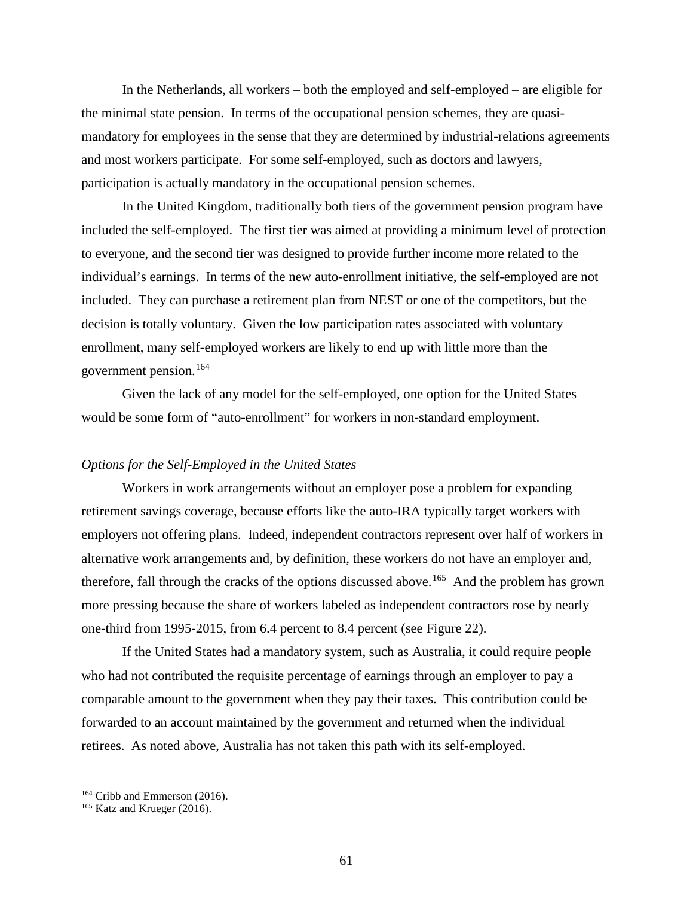In the Netherlands, all workers – both the employed and self-employed – are eligible for the minimal state pension. In terms of the occupational pension schemes, they are quasimandatory for employees in the sense that they are determined by industrial-relations agreements and most workers participate. For some self-employed, such as doctors and lawyers, participation is actually mandatory in the occupational pension schemes.

In the United Kingdom, traditionally both tiers of the government pension program have included the self-employed. The first tier was aimed at providing a minimum level of protection to everyone, and the second tier was designed to provide further income more related to the individual's earnings. In terms of the new auto-enrollment initiative, the self-employed are not included. They can purchase a retirement plan from NEST or one of the competitors, but the decision is totally voluntary. Given the low participation rates associated with voluntary enrollment, many self-employed workers are likely to end up with little more than the government pension.[164](#page-62-0)

Given the lack of any model for the self-employed, one option for the United States would be some form of "auto-enrollment" for workers in non-standard employment.

#### *Options for the Self-Employed in the United States*

Workers in work arrangements without an employer pose a problem for expanding retirement savings coverage, because efforts like the auto-IRA typically target workers with employers not offering plans. Indeed, independent contractors represent over half of workers in alternative work arrangements and, by definition, these workers do not have an employer and, therefore, fall through the cracks of the options discussed above.<sup>[165](#page-62-1)</sup> And the problem has grown more pressing because the share of workers labeled as independent contractors rose by nearly one-third from 1995-2015, from 6.4 percent to 8.4 percent (see Figure 22).

If the United States had a mandatory system, such as Australia, it could require people who had not contributed the requisite percentage of earnings through an employer to pay a comparable amount to the government when they pay their taxes. This contribution could be forwarded to an account maintained by the government and returned when the individual retirees. As noted above, Australia has not taken this path with its self-employed.

<span id="page-62-0"></span><sup>&</sup>lt;sup>164</sup> Cribb and Emmerson (2016).<br><sup>165</sup> Katz and Krueger (2016).

<span id="page-62-1"></span>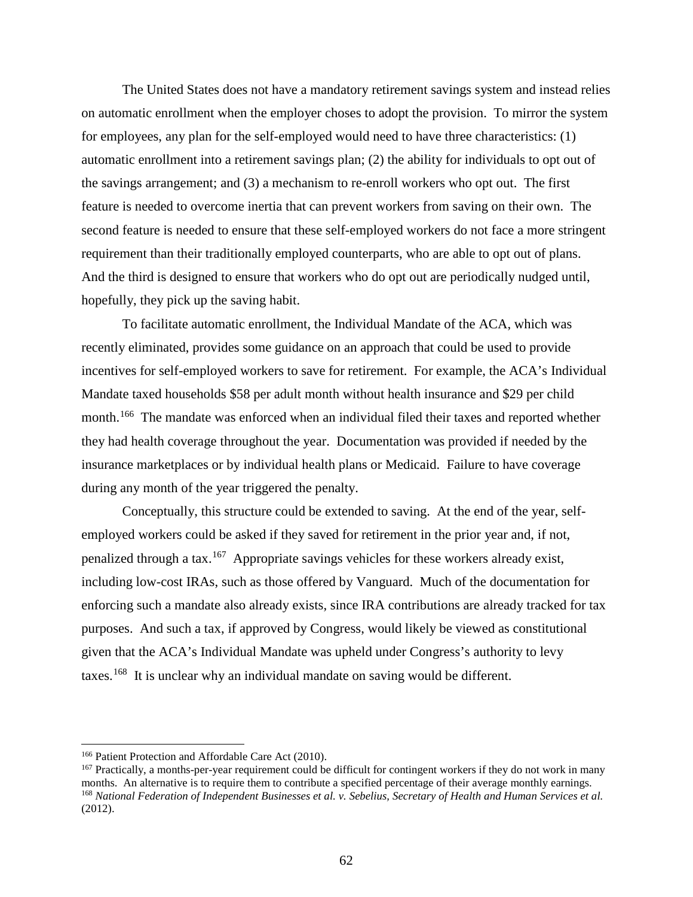The United States does not have a mandatory retirement savings system and instead relies on automatic enrollment when the employer choses to adopt the provision. To mirror the system for employees, any plan for the self-employed would need to have three characteristics: (1) automatic enrollment into a retirement savings plan; (2) the ability for individuals to opt out of the savings arrangement; and (3) a mechanism to re-enroll workers who opt out. The first feature is needed to overcome inertia that can prevent workers from saving on their own. The second feature is needed to ensure that these self-employed workers do not face a more stringent requirement than their traditionally employed counterparts, who are able to opt out of plans. And the third is designed to ensure that workers who do opt out are periodically nudged until, hopefully, they pick up the saving habit.

To facilitate automatic enrollment, the Individual Mandate of the ACA, which was recently eliminated, provides some guidance on an approach that could be used to provide incentives for self-employed workers to save for retirement. For example, the ACA's Individual Mandate taxed households \$58 per adult month without health insurance and \$29 per child month.<sup>[166](#page-63-0)</sup> The mandate was enforced when an individual filed their taxes and reported whether they had health coverage throughout the year. Documentation was provided if needed by the insurance marketplaces or by individual health plans or Medicaid. Failure to have coverage during any month of the year triggered the penalty.

Conceptually, this structure could be extended to saving. At the end of the year, selfemployed workers could be asked if they saved for retirement in the prior year and, if not, penalized through a tax.[167](#page-63-1) Appropriate savings vehicles for these workers already exist, including low-cost IRAs, such as those offered by Vanguard. Much of the documentation for enforcing such a mandate also already exists, since IRA contributions are already tracked for tax purposes. And such a tax, if approved by Congress, would likely be viewed as constitutional given that the ACA's Individual Mandate was upheld under Congress's authority to levy taxes.[168](#page-63-2) It is unclear why an individual mandate on saving would be different.

<span id="page-63-0"></span><sup>166</sup> Patient Protection and Affordable Care Act (2010).

<span id="page-63-2"></span><span id="page-63-1"></span><sup>&</sup>lt;sup>167</sup> Practically, a months-per-year requirement could be difficult for contingent workers if they do not work in many months. An alternative is to require them to contribute a specified percentage of their average monthly earnings. <sup>168</sup> *National Federation of Independent Businesses et al. v. Sebelius, Secretary of Health and Human Services et al.* (2012).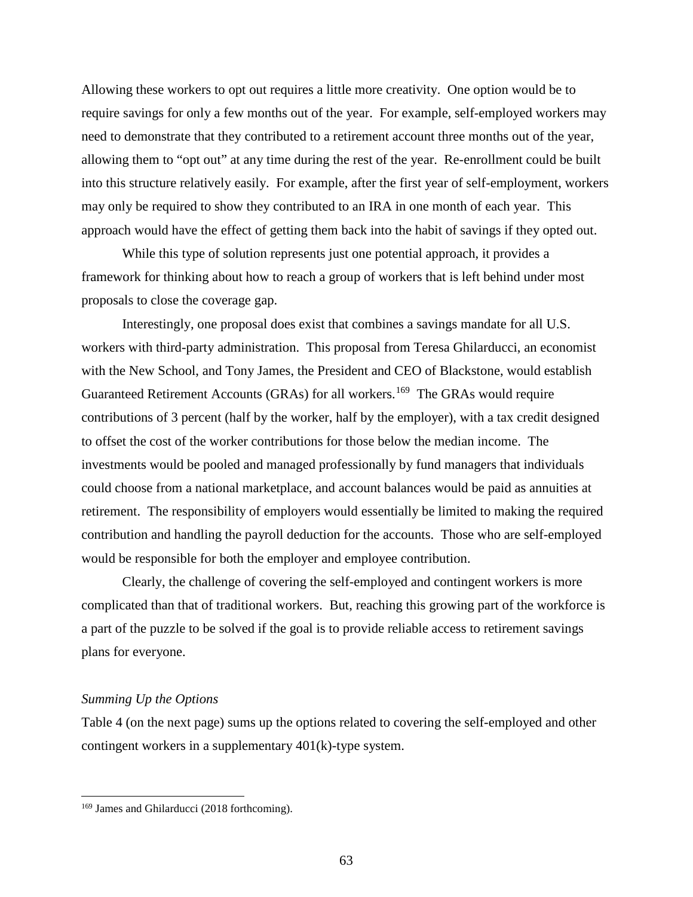Allowing these workers to opt out requires a little more creativity. One option would be to require savings for only a few months out of the year. For example, self-employed workers may need to demonstrate that they contributed to a retirement account three months out of the year, allowing them to "opt out" at any time during the rest of the year. Re-enrollment could be built into this structure relatively easily. For example, after the first year of self-employment, workers may only be required to show they contributed to an IRA in one month of each year. This approach would have the effect of getting them back into the habit of savings if they opted out.

While this type of solution represents just one potential approach, it provides a framework for thinking about how to reach a group of workers that is left behind under most proposals to close the coverage gap.

Interestingly, one proposal does exist that combines a savings mandate for all U.S. workers with third-party administration. This proposal from Teresa Ghilarducci, an economist with the New School, and Tony James, the President and CEO of Blackstone, would establish Guaranteed Retirement Accounts (GRAs) for all workers.<sup>[169](#page-64-0)</sup> The GRAs would require contributions of 3 percent (half by the worker, half by the employer), with a tax credit designed to offset the cost of the worker contributions for those below the median income. The investments would be pooled and managed professionally by fund managers that individuals could choose from a national marketplace, and account balances would be paid as annuities at retirement. The responsibility of employers would essentially be limited to making the required contribution and handling the payroll deduction for the accounts. Those who are self-employed would be responsible for both the employer and employee contribution.

Clearly, the challenge of covering the self-employed and contingent workers is more complicated than that of traditional workers. But, reaching this growing part of the workforce is a part of the puzzle to be solved if the goal is to provide reliable access to retirement savings plans for everyone.

### *Summing Up the Options*

l

Table 4 (on the next page) sums up the options related to covering the self-employed and other contingent workers in a supplementary 401(k)-type system.

<span id="page-64-0"></span><sup>&</sup>lt;sup>169</sup> James and Ghilarducci (2018 forthcoming).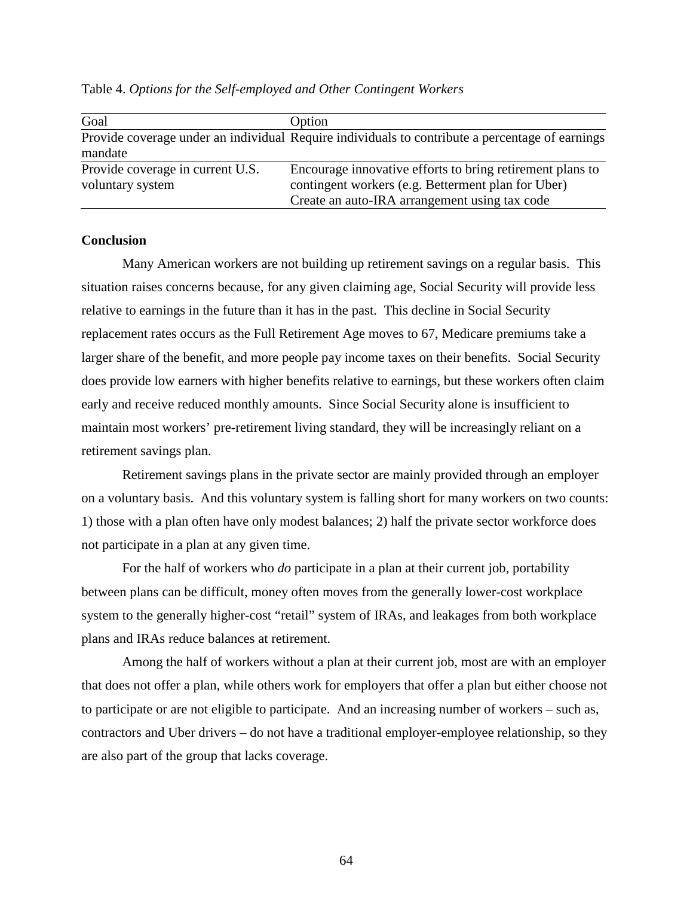| Table 4. Options for the Self-employed and Other Contingent Workers |  |
|---------------------------------------------------------------------|--|
|---------------------------------------------------------------------|--|

| Goal                             | Option                                                                                          |
|----------------------------------|-------------------------------------------------------------------------------------------------|
|                                  | Provide coverage under an individual Require individuals to contribute a percentage of earnings |
| mandate                          |                                                                                                 |
| Provide coverage in current U.S. | Encourage innovative efforts to bring retirement plans to                                       |
| voluntary system                 | contingent workers (e.g. Betterment plan for Uber)                                              |
|                                  | Create an auto-IRA arrangement using tax code                                                   |

### **Conclusion**

Many American workers are not building up retirement savings on a regular basis. This situation raises concerns because, for any given claiming age, Social Security will provide less relative to earnings in the future than it has in the past. This decline in Social Security replacement rates occurs as the Full Retirement Age moves to 67, Medicare premiums take a larger share of the benefit, and more people pay income taxes on their benefits. Social Security does provide low earners with higher benefits relative to earnings, but these workers often claim early and receive reduced monthly amounts. Since Social Security alone is insufficient to maintain most workers' pre-retirement living standard, they will be increasingly reliant on a retirement savings plan.

Retirement savings plans in the private sector are mainly provided through an employer on a voluntary basis. And this voluntary system is falling short for many workers on two counts: 1) those with a plan often have only modest balances; 2) half the private sector workforce does not participate in a plan at any given time.

For the half of workers who *do* participate in a plan at their current job, portability between plans can be difficult, money often moves from the generally lower-cost workplace system to the generally higher-cost "retail" system of IRAs, and leakages from both workplace plans and IRAs reduce balances at retirement.

Among the half of workers without a plan at their current job, most are with an employer that does not offer a plan, while others work for employers that offer a plan but either choose not to participate or are not eligible to participate. And an increasing number of workers – such as, contractors and Uber drivers – do not have a traditional employer-employee relationship, so they are also part of the group that lacks coverage.

64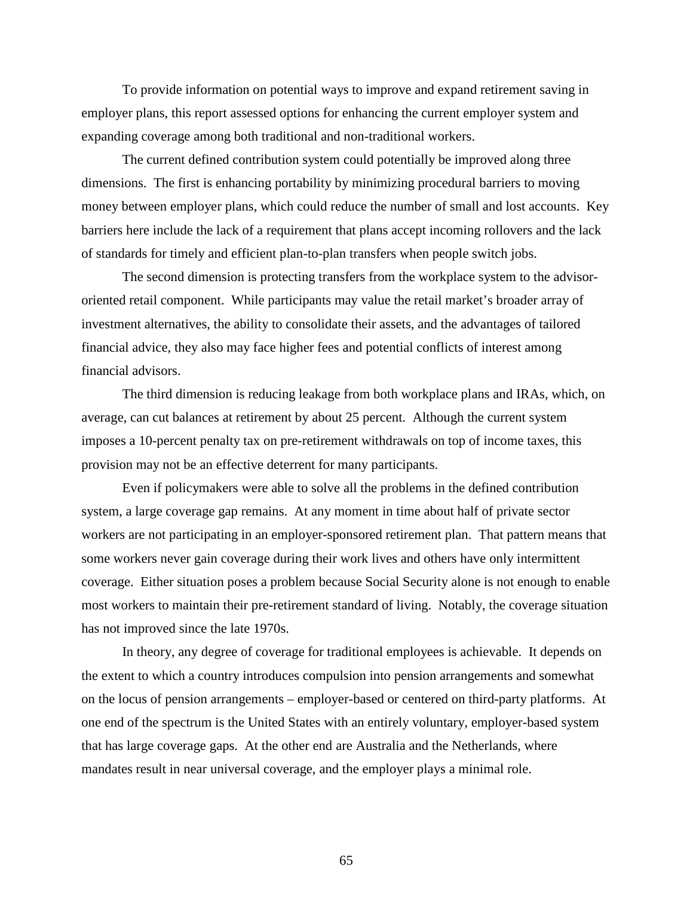To provide information on potential ways to improve and expand retirement saving in employer plans, this report assessed options for enhancing the current employer system and expanding coverage among both traditional and non-traditional workers.

The current defined contribution system could potentially be improved along three dimensions. The first is enhancing portability by minimizing procedural barriers to moving money between employer plans, which could reduce the number of small and lost accounts. Key barriers here include the lack of a requirement that plans accept incoming rollovers and the lack of standards for timely and efficient plan-to-plan transfers when people switch jobs.

The second dimension is protecting transfers from the workplace system to the advisororiented retail component. While participants may value the retail market's broader array of investment alternatives, the ability to consolidate their assets, and the advantages of tailored financial advice, they also may face higher fees and potential conflicts of interest among financial advisors.

The third dimension is reducing leakage from both workplace plans and IRAs, which, on average, can cut balances at retirement by about 25 percent. Although the current system imposes a 10-percent penalty tax on pre-retirement withdrawals on top of income taxes, this provision may not be an effective deterrent for many participants.

Even if policymakers were able to solve all the problems in the defined contribution system, a large coverage gap remains. At any moment in time about half of private sector workers are not participating in an employer-sponsored retirement plan. That pattern means that some workers never gain coverage during their work lives and others have only intermittent coverage. Either situation poses a problem because Social Security alone is not enough to enable most workers to maintain their pre-retirement standard of living. Notably, the coverage situation has not improved since the late 1970s.

In theory, any degree of coverage for traditional employees is achievable. It depends on the extent to which a country introduces compulsion into pension arrangements and somewhat on the locus of pension arrangements – employer-based or centered on third-party platforms. At one end of the spectrum is the United States with an entirely voluntary, employer-based system that has large coverage gaps. At the other end are Australia and the Netherlands, where mandates result in near universal coverage, and the employer plays a minimal role.

65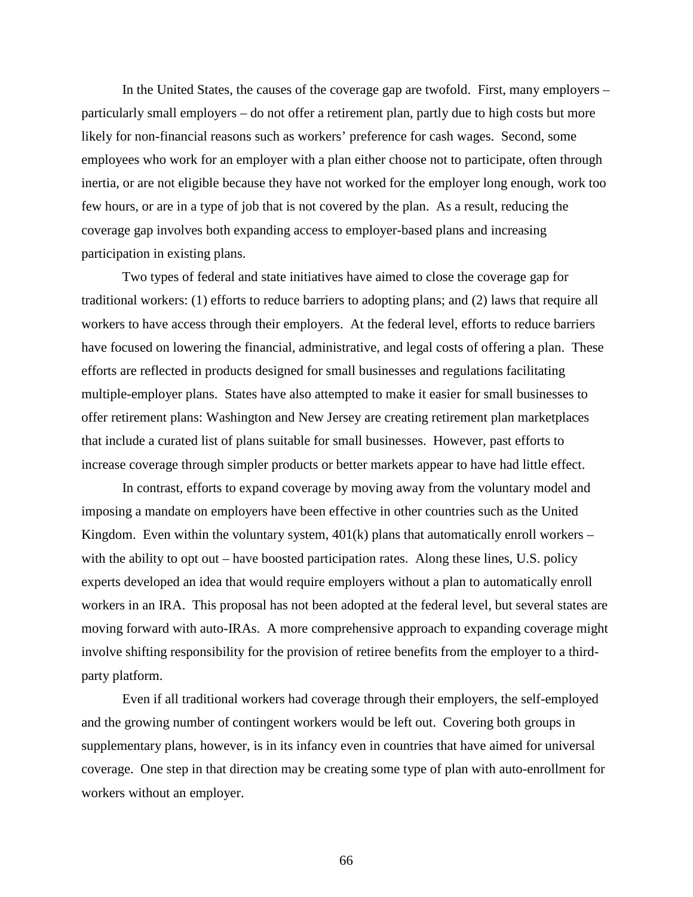In the United States, the causes of the coverage gap are twofold. First, many employers – particularly small employers – do not offer a retirement plan, partly due to high costs but more likely for non-financial reasons such as workers' preference for cash wages. Second, some employees who work for an employer with a plan either choose not to participate, often through inertia, or are not eligible because they have not worked for the employer long enough, work too few hours, or are in a type of job that is not covered by the plan. As a result, reducing the coverage gap involves both expanding access to employer-based plans and increasing participation in existing plans.

Two types of federal and state initiatives have aimed to close the coverage gap for traditional workers: (1) efforts to reduce barriers to adopting plans; and (2) laws that require all workers to have access through their employers. At the federal level, efforts to reduce barriers have focused on lowering the financial, administrative, and legal costs of offering a plan. These efforts are reflected in products designed for small businesses and regulations facilitating multiple-employer plans. States have also attempted to make it easier for small businesses to offer retirement plans: Washington and New Jersey are creating retirement plan marketplaces that include a curated list of plans suitable for small businesses. However, past efforts to increase coverage through simpler products or better markets appear to have had little effect.

In contrast, efforts to expand coverage by moving away from the voluntary model and imposing a mandate on employers have been effective in other countries such as the United Kingdom. Even within the voluntary system,  $401(k)$  plans that automatically enroll workers – with the ability to opt out – have boosted participation rates. Along these lines, U.S. policy experts developed an idea that would require employers without a plan to automatically enroll workers in an IRA. This proposal has not been adopted at the federal level, but several states are moving forward with auto-IRAs. A more comprehensive approach to expanding coverage might involve shifting responsibility for the provision of retiree benefits from the employer to a thirdparty platform.

Even if all traditional workers had coverage through their employers, the self-employed and the growing number of contingent workers would be left out. Covering both groups in supplementary plans, however, is in its infancy even in countries that have aimed for universal coverage. One step in that direction may be creating some type of plan with auto-enrollment for workers without an employer.

66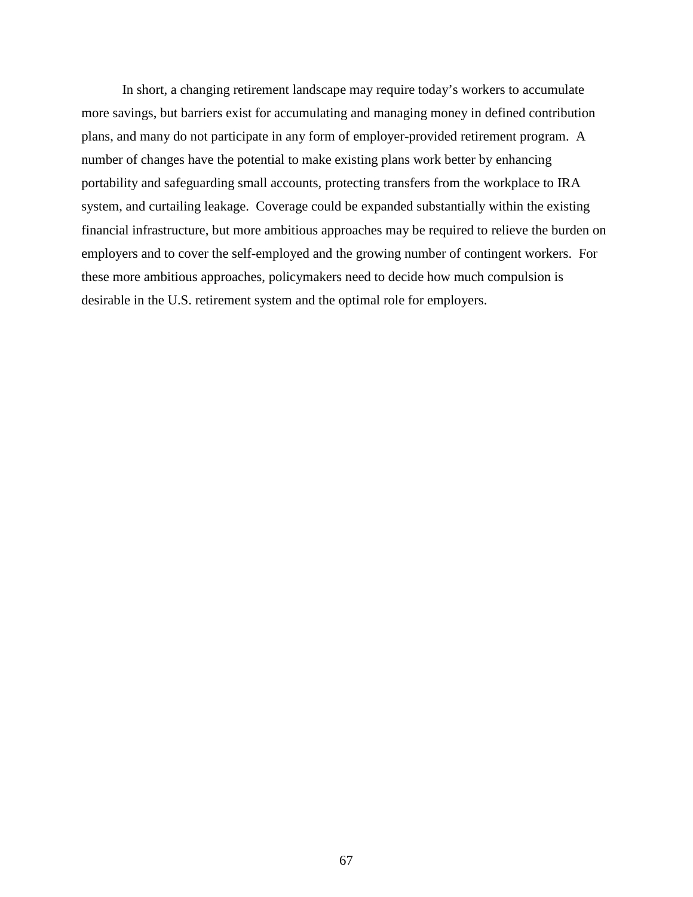In short, a changing retirement landscape may require today's workers to accumulate more savings, but barriers exist for accumulating and managing money in defined contribution plans, and many do not participate in any form of employer-provided retirement program. A number of changes have the potential to make existing plans work better by enhancing portability and safeguarding small accounts, protecting transfers from the workplace to IRA system, and curtailing leakage. Coverage could be expanded substantially within the existing financial infrastructure, but more ambitious approaches may be required to relieve the burden on employers and to cover the self-employed and the growing number of contingent workers. For these more ambitious approaches, policymakers need to decide how much compulsion is desirable in the U.S. retirement system and the optimal role for employers.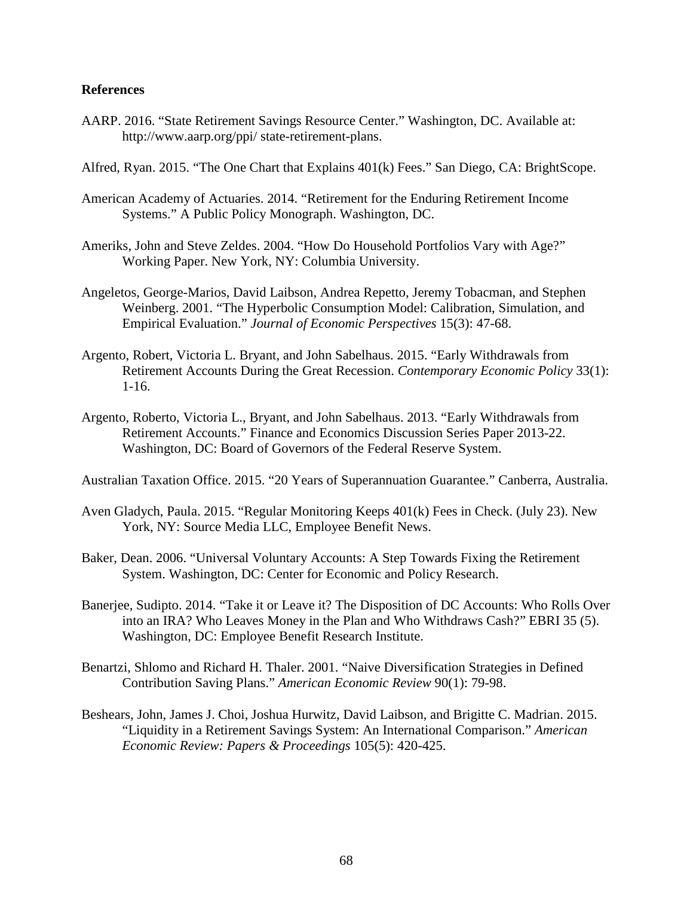#### **References**

- AARP. 2016. "State Retirement Savings Resource Center." Washington, DC. Available at: http://www.aarp.org/ppi/ state-retirement-plans.
- Alfred, Ryan. 2015. "The One Chart that Explains 401(k) Fees." San Diego, CA: BrightScope.
- American Academy of Actuaries. 2014. "Retirement for the Enduring Retirement Income Systems." A Public Policy Monograph. Washington, DC.
- Ameriks, John and Steve Zeldes. 2004. "How Do Household Portfolios Vary with Age?" Working Paper. New York, NY: Columbia University.
- Angeletos, George-Marios, David Laibson, Andrea Repetto, Jeremy Tobacman, and Stephen Weinberg. 2001. "The Hyperbolic Consumption Model: Calibration, Simulation, and Empirical Evaluation." *Journal of Economic Perspectives* 15(3): 47-68.
- Argento, Robert, Victoria L. Bryant, and John Sabelhaus. 2015. "Early Withdrawals from Retirement Accounts During the Great Recession. *Contemporary Economic Policy* 33(1): 1-16.
- Argento, Roberto, Victoria L., Bryant, and John Sabelhaus. 2013. "Early Withdrawals from Retirement Accounts." Finance and Economics Discussion Series Paper 2013-22. Washington, DC: Board of Governors of the Federal Reserve System.

Australian Taxation Office. 2015. "20 Years of Superannuation Guarantee." Canberra, Australia.

- Aven Gladych, Paula. 2015. "Regular Monitoring Keeps 401(k) Fees in Check. (July 23). New York, NY: Source Media LLC, Employee Benefit News.
- Baker, Dean. 2006. "Universal Voluntary Accounts: A Step Towards Fixing the Retirement System. Washington, DC: Center for Economic and Policy Research.
- Banerjee, Sudipto. 2014. "Take it or Leave it? The Disposition of DC Accounts: Who Rolls Over into an IRA? Who Leaves Money in the Plan and Who Withdraws Cash?" EBRI 35 (5). Washington, DC: Employee Benefit Research Institute.
- Benartzi, Shlomo and Richard H. Thaler. 2001. "Naive Diversification Strategies in Defined Contribution Saving Plans." *American Economic Review* 90(1): 79-98.
- Beshears, John, James J. Choi, Joshua Hurwitz, David Laibson, and Brigitte C. Madrian. 2015. "Liquidity in a Retirement Savings System: An International Comparison." *American Economic Review: Papers & Proceedings* 105(5): 420-425.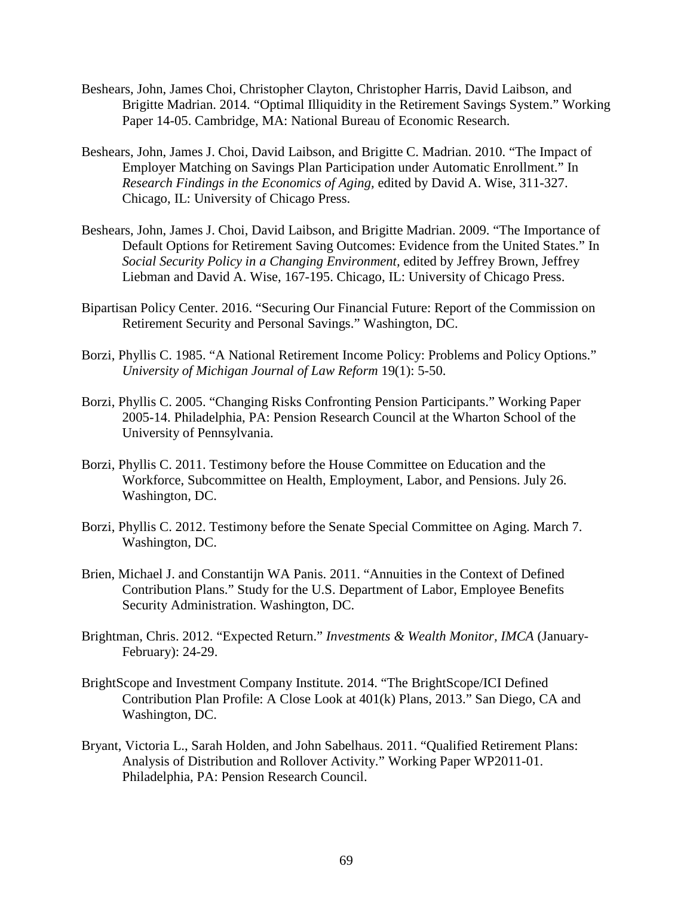- Beshears, John, James Choi, Christopher Clayton, Christopher Harris, David Laibson, and Brigitte Madrian. 2014. "Optimal Illiquidity in the Retirement Savings System." Working Paper 14-05. Cambridge, MA: National Bureau of Economic Research.
- Beshears, John, James J. Choi, David Laibson, and Brigitte C. Madrian. 2010. "The Impact of Employer Matching on Savings Plan Participation under Automatic Enrollment." In *Research Findings in the Economics of Aging,* edited by David A. Wise, 311-327. Chicago, IL: University of Chicago Press.
- Beshears, John, James J. Choi, David Laibson, and Brigitte Madrian. 2009. "The Importance of Default Options for Retirement Saving Outcomes: Evidence from the United States." In *Social Security Policy in a Changing Environment,* edited by Jeffrey Brown, Jeffrey Liebman and David A. Wise, 167-195. Chicago, IL: University of Chicago Press.
- Bipartisan Policy Center. 2016. "Securing Our Financial Future: Report of the Commission on Retirement Security and Personal Savings." Washington, DC.
- Borzi, Phyllis C. 1985. "A National Retirement Income Policy: Problems and Policy Options." *University of Michigan Journal of Law Reform* 19(1): 5-50.
- Borzi, Phyllis C. 2005. "Changing Risks Confronting Pension Participants." Working Paper 2005-14. Philadelphia, PA: Pension Research Council at the Wharton School of the University of Pennsylvania.
- Borzi, Phyllis C. 2011. Testimony before the House Committee on Education and the Workforce, Subcommittee on Health, Employment, Labor, and Pensions. July 26. Washington, DC.
- Borzi, Phyllis C. 2012. Testimony before the Senate Special Committee on Aging. March 7. Washington, DC.
- Brien, Michael J. and Constantijn WA Panis. 2011. "Annuities in the Context of Defined Contribution Plans." Study for the U.S. Department of Labor, Employee Benefits Security Administration. Washington, DC.
- Brightman, Chris. 2012. "Expected Return." *Investments & Wealth Monitor, IMCA* (January-February): 24-29.
- BrightScope and Investment Company Institute. 2014. "The BrightScope/ICI Defined Contribution Plan Profile: A Close Look at 401(k) Plans, 2013." San Diego, CA and Washington, DC.
- Bryant, Victoria L., Sarah Holden, and John Sabelhaus. 2011. "Qualified Retirement Plans: Analysis of Distribution and Rollover Activity." Working Paper WP2011-01. Philadelphia, PA: Pension Research Council.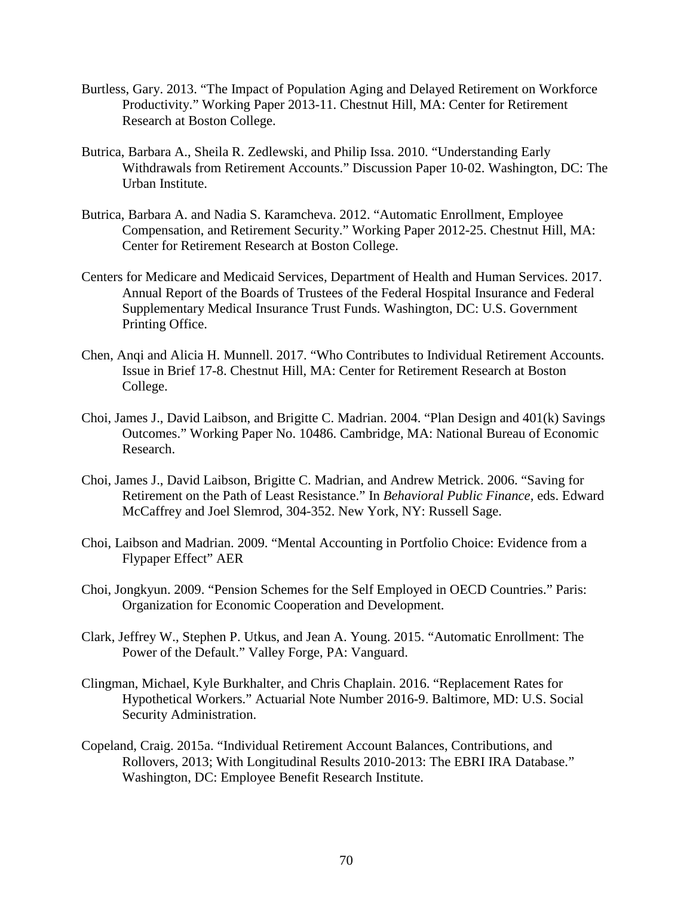- Burtless, Gary. 2013. "The Impact of Population Aging and Delayed Retirement on Workforce Productivity." Working Paper 2013-11. Chestnut Hill, MA: Center for Retirement Research at Boston College.
- Butrica, Barbara A., Sheila R. Zedlewski, and Philip Issa. 2010. "Understanding Early Withdrawals from Retirement Accounts." Discussion Paper 10‐02. Washington, DC: The Urban Institute.
- Butrica, Barbara A. and Nadia S. Karamcheva. 2012. "Automatic Enrollment, Employee Compensation, and Retirement Security." Working Paper 2012-25. Chestnut Hill, MA: Center for Retirement Research at Boston College.
- Centers for Medicare and Medicaid Services, Department of Health and Human Services. 2017. Annual Report of the Boards of Trustees of the Federal Hospital Insurance and Federal Supplementary Medical Insurance Trust Funds. Washington, DC: U.S. Government Printing Office.
- Chen, Anqi and Alicia H. Munnell. 2017. "Who Contributes to Individual Retirement Accounts. Issue in Brief 17-8. Chestnut Hill, MA: Center for Retirement Research at Boston College.
- Choi, James J., David Laibson, and Brigitte C. Madrian. 2004. "Plan Design and 401(k) Savings Outcomes." Working Paper No. 10486. Cambridge, MA: National Bureau of Economic Research.
- Choi, James J., David Laibson, Brigitte C. Madrian, and Andrew Metrick. 2006. "Saving for Retirement on the Path of Least Resistance." In *Behavioral Public Finance,* eds. Edward McCaffrey and Joel Slemrod, 304-352. New York, NY: Russell Sage.
- Choi, Laibson and Madrian. 2009. "Mental Accounting in Portfolio Choice: Evidence from a Flypaper Effect" AER
- Choi, Jongkyun. 2009. "Pension Schemes for the Self Employed in OECD Countries." Paris: Organization for Economic Cooperation and Development.
- Clark, Jeffrey W., Stephen P. Utkus, and Jean A. Young. 2015. "Automatic Enrollment: The Power of the Default." Valley Forge, PA: Vanguard.
- Clingman, Michael, Kyle Burkhalter, and Chris Chaplain. 2016. "Replacement Rates for Hypothetical Workers." Actuarial Note Number 2016-9. Baltimore, MD: U.S. Social Security Administration.
- Copeland, Craig. 2015a. "Individual Retirement Account Balances, Contributions, and Rollovers, 2013; With Longitudinal Results 2010-2013: The EBRI IRA Database." Washington, DC: Employee Benefit Research Institute.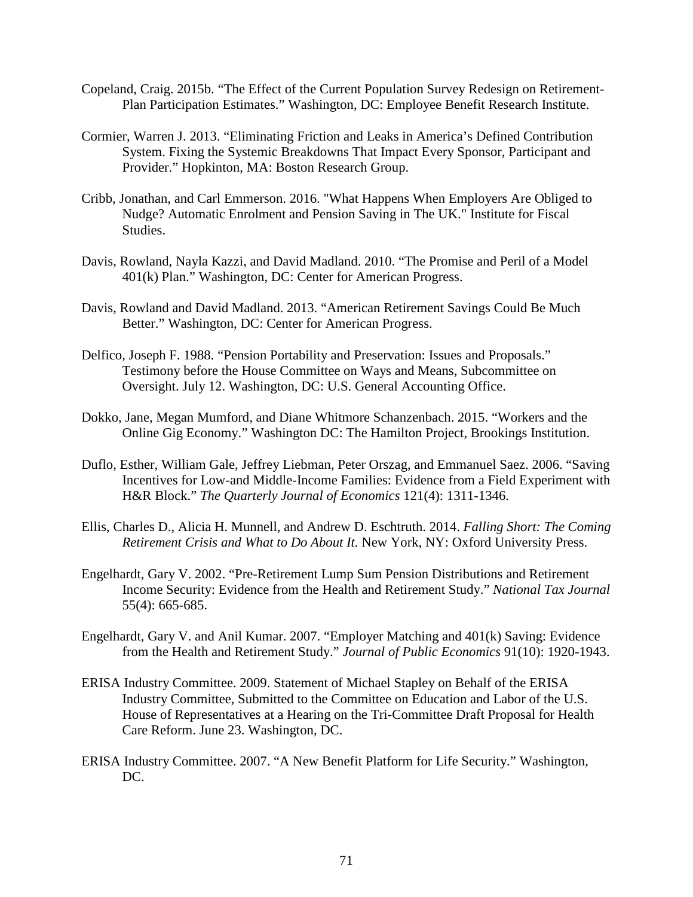- Copeland, Craig. 2015b. "The Effect of the Current Population Survey Redesign on Retirement-Plan Participation Estimates." Washington, DC: Employee Benefit Research Institute.
- Cormier, Warren J. 2013. "Eliminating Friction and Leaks in America's Defined Contribution System. Fixing the Systemic Breakdowns That Impact Every Sponsor, Participant and Provider." Hopkinton, MA: Boston Research Group.
- Cribb, Jonathan, and Carl Emmerson. 2016. "What Happens When Employers Are Obliged to Nudge? Automatic Enrolment and Pension Saving in The UK." Institute for Fiscal Studies.
- Davis, Rowland, Nayla Kazzi, and David Madland. 2010. "The Promise and Peril of a Model 401(k) Plan." Washington, DC: Center for American Progress.
- Davis, Rowland and David Madland. 2013. "American Retirement Savings Could Be Much Better." Washington, DC: Center for American Progress.
- Delfico, Joseph F. 1988. "Pension Portability and Preservation: Issues and Proposals." Testimony before the House Committee on Ways and Means, Subcommittee on Oversight. July 12. Washington, DC: U.S. General Accounting Office.
- Dokko, Jane, Megan Mumford, and Diane Whitmore Schanzenbach. 2015. "Workers and the Online Gig Economy." Washington DC: The Hamilton Project, Brookings Institution.
- Duflo, Esther, William Gale, Jeffrey Liebman, Peter Orszag, and Emmanuel Saez. 2006. "Saving Incentives for Low-and Middle-Income Families: Evidence from a Field Experiment with H&R Block." *The Quarterly Journal of Economics* 121(4): 1311-1346.
- Ellis, Charles D., Alicia H. Munnell, and Andrew D. Eschtruth. 2014. *Falling Short: The Coming Retirement Crisis and What to Do About It.* New York, NY: Oxford University Press.
- Engelhardt, Gary V. 2002. "Pre-Retirement Lump Sum Pension Distributions and Retirement Income Security: Evidence from the Health and Retirement Study." *National Tax Journal* 55(4): 665-685.
- Engelhardt, Gary V. and Anil Kumar. 2007. "Employer Matching and 401(k) Saving: Evidence from the Health and Retirement Study." *Journal of Public Economics* 91(10): 1920-1943.
- ERISA Industry Committee. 2009. Statement of Michael Stapley on Behalf of the ERISA Industry Committee, Submitted to the Committee on Education and Labor of the U.S. House of Representatives at a Hearing on the Tri-Committee Draft Proposal for Health Care Reform. June 23. Washington, DC.
- ERISA Industry Committee. 2007. "A New Benefit Platform for Life Security." Washington, DC.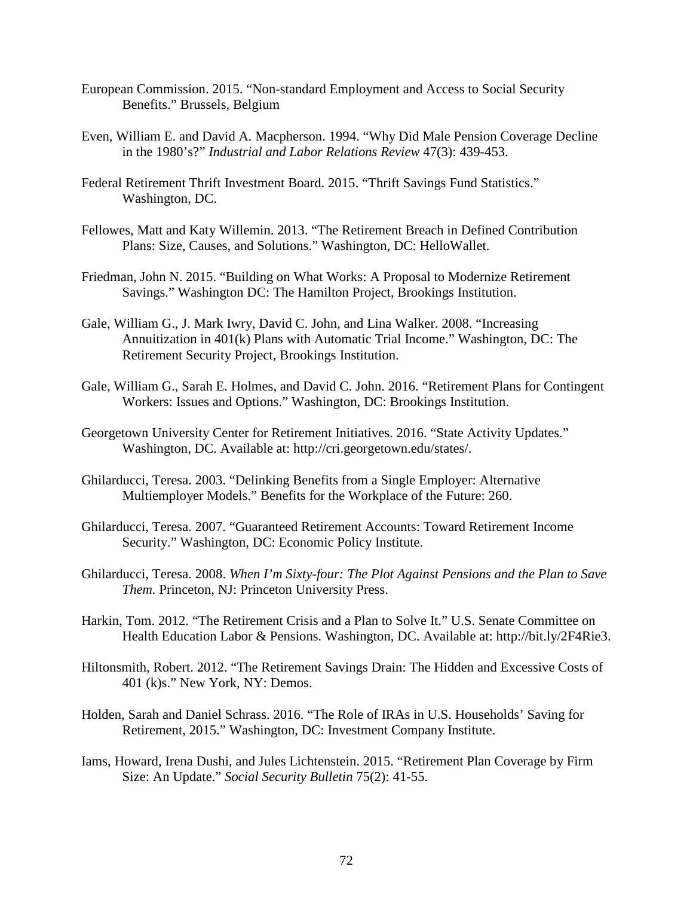- European Commission. 2015. "Non-standard Employment and Access to Social Security Benefits." Brussels, Belgium
- Even, William E. and David A. Macpherson. 1994. "Why Did Male Pension Coverage Decline in the 1980's?" *Industrial and Labor Relations Review* 47(3): 439-453.
- Federal Retirement Thrift Investment Board. 2015. "Thrift Savings Fund Statistics." Washington, DC.
- Fellowes, Matt and Katy Willemin. 2013. "The Retirement Breach in Defined Contribution Plans: Size, Causes, and Solutions." Washington, DC: HelloWallet.
- Friedman, John N. 2015. "Building on What Works: A Proposal to Modernize Retirement Savings." Washington DC: The Hamilton Project, Brookings Institution.
- Gale, William G., J. Mark Iwry, David C. John, and Lina Walker. 2008. "Increasing Annuitization in 401(k) Plans with Automatic Trial Income." Washington, DC: The Retirement Security Project, Brookings Institution.
- Gale, William G., Sarah E. Holmes, and David C. John. 2016. "Retirement Plans for Contingent Workers: Issues and Options." Washington, DC: Brookings Institution.
- Georgetown University Center for Retirement Initiatives. 2016. "State Activity Updates." Washington, DC. Available at: http://cri.georgetown.edu/states/.
- Ghilarducci, Teresa. 2003. "Delinking Benefits from a Single Employer: Alternative Multiemployer Models." Benefits for the Workplace of the Future: 260.
- Ghilarducci, Teresa. 2007. "Guaranteed Retirement Accounts: Toward Retirement Income Security." Washington, DC: Economic Policy Institute.
- Ghilarducci, Teresa. 2008. *When I'm Sixty-four: The Plot Against Pensions and the Plan to Save Them.* Princeton, NJ: Princeton University Press.
- Harkin, Tom. 2012. "The Retirement Crisis and a Plan to Solve It." U.S. Senate Committee on Health Education Labor & Pensions. Washington, DC. Available at: http://bit.ly/2F4Rie3.
- Hiltonsmith, Robert. 2012. "The Retirement Savings Drain: The Hidden and Excessive Costs of 401 (k)s." New York, NY: Demos.
- Holden, Sarah and Daniel Schrass. 2016. "The Role of IRAs in U.S. Households' Saving for Retirement, 2015." Washington, DC: Investment Company Institute.
- Iams, Howard, Irena Dushi, and Jules Lichtenstein. 2015. "Retirement Plan Coverage by Firm Size: An Update." *Social Security Bulletin* 75(2): 41-55.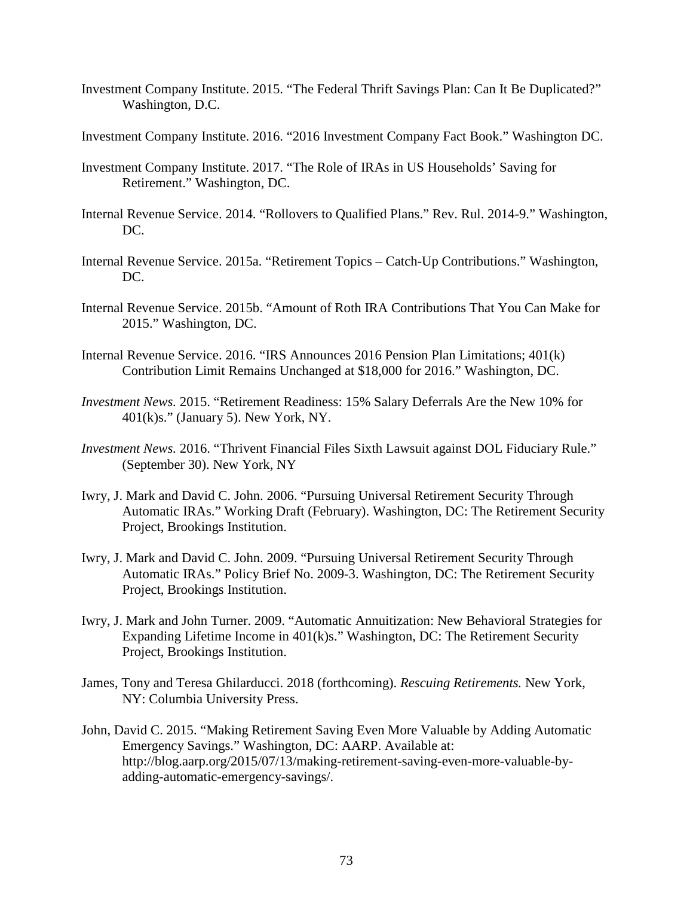- Investment Company Institute. 2015. "The Federal Thrift Savings Plan: Can It Be Duplicated?" Washington, D.C.
- Investment Company Institute. 2016. "2016 Investment Company Fact Book." Washington DC.
- Investment Company Institute. 2017. "The Role of IRAs in US Households' Saving for Retirement." Washington, DC.
- Internal Revenue Service. 2014. "Rollovers to Qualified Plans." Rev. Rul. 2014-9." Washington, DC.
- Internal Revenue Service. 2015a. "Retirement Topics Catch-Up Contributions." Washington, DC.
- Internal Revenue Service. 2015b. "Amount of Roth IRA Contributions That You Can Make for 2015." Washington, DC.
- Internal Revenue Service. 2016. "IRS Announces 2016 Pension Plan Limitations; 401(k) Contribution Limit Remains Unchanged at \$18,000 for 2016." Washington, DC.
- *Investment News.* 2015. "Retirement Readiness: 15% Salary Deferrals Are the New 10% for  $401(k)s."$  (January 5). New York, NY.
- *Investment News.* 2016. "Thrivent Financial Files Sixth Lawsuit against DOL Fiduciary Rule." (September 30). New York, NY
- Iwry, J. Mark and David C. John. 2006. "Pursuing Universal Retirement Security Through Automatic IRAs." Working Draft (February). Washington, DC: The Retirement Security Project, Brookings Institution.
- Iwry, J. Mark and David C. John. 2009. "Pursuing Universal Retirement Security Through Automatic IRAs." Policy Brief No. 2009-3. Washington, DC: The Retirement Security Project, Brookings Institution.
- Iwry, J. Mark and John Turner. 2009. "Automatic Annuitization: New Behavioral Strategies for Expanding Lifetime Income in 401(k)s." Washington, DC: The Retirement Security Project, Brookings Institution.
- James, Tony and Teresa Ghilarducci. 2018 (forthcoming). *Rescuing Retirements.* New York, NY: Columbia University Press.
- John, David C. 2015. "Making Retirement Saving Even More Valuable by Adding Automatic Emergency Savings." Washington, DC: AARP. Available at: http://blog.aarp.org/2015/07/13/making-retirement-saving-even-more-valuable-byadding-automatic-emergency-savings/.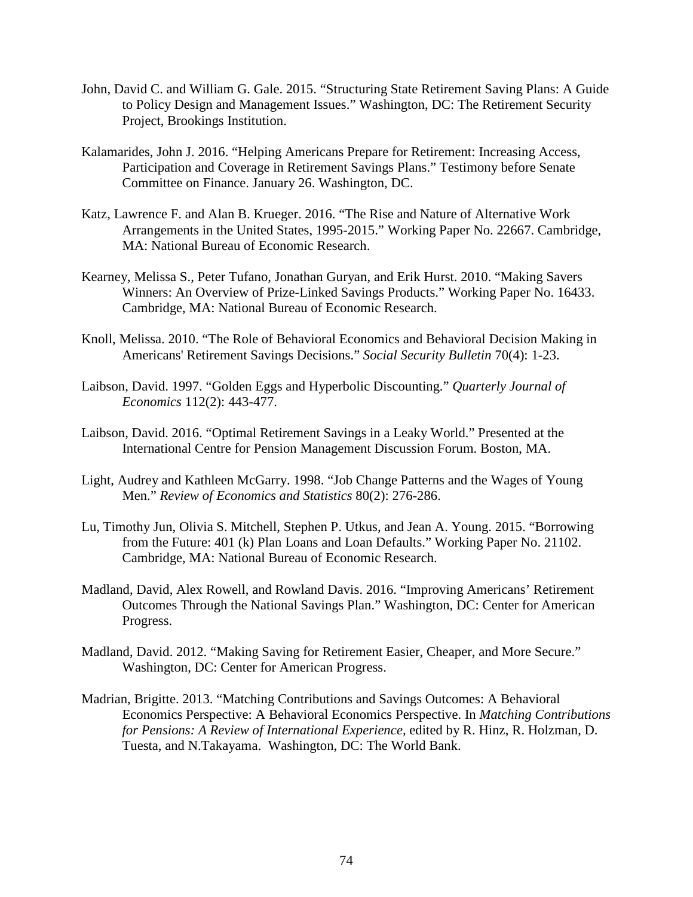- John, David C. and William G. Gale. 2015. "Structuring State Retirement Saving Plans: A Guide to Policy Design and Management Issues." Washington, DC: The Retirement Security Project, Brookings Institution.
- Kalamarides, John J. 2016. "Helping Americans Prepare for Retirement: Increasing Access, Participation and Coverage in Retirement Savings Plans." Testimony before Senate Committee on Finance. January 26. Washington, DC.
- Katz, Lawrence F. and Alan B. Krueger. 2016. "The Rise and Nature of Alternative Work Arrangements in the United States, 1995-2015." Working Paper No. 22667. Cambridge, MA: National Bureau of Economic Research.
- Kearney, Melissa S., Peter Tufano, Jonathan Guryan, and Erik Hurst. 2010. "Making Savers Winners: An Overview of Prize-Linked Savings Products." Working Paper No. 16433. Cambridge, MA: National Bureau of Economic Research.
- Knoll, Melissa. 2010. "The Role of Behavioral Economics and Behavioral Decision Making in Americans' Retirement Savings Decisions." *Social Security Bulletin* 70(4): 1-23.
- Laibson, David. 1997. "Golden Eggs and Hyperbolic Discounting." *Quarterly Journal of Economics* 112(2): 443-477.
- Laibson, David. 2016. "Optimal Retirement Savings in a Leaky World." Presented at the International Centre for Pension Management Discussion Forum. Boston, MA.
- Light, Audrey and Kathleen McGarry. 1998. "Job Change Patterns and the Wages of Young Men." *Review of Economics and Statistics* 80(2): 276-286.
- Lu, Timothy Jun, Olivia S. Mitchell, Stephen P. Utkus, and Jean A. Young. 2015. "Borrowing from the Future: 401 (k) Plan Loans and Loan Defaults." Working Paper No. 21102. Cambridge, MA: National Bureau of Economic Research.
- Madland, David, Alex Rowell, and Rowland Davis. 2016. "Improving Americans' Retirement Outcomes Through the National Savings Plan." Washington, DC: Center for American Progress.
- Madland, David. 2012. "Making Saving for Retirement Easier, Cheaper, and More Secure." Washington, DC: Center for American Progress.
- Madrian, Brigitte. 2013. "Matching Contributions and Savings Outcomes: A Behavioral Economics Perspective: A Behavioral Economics Perspective. In *Matching Contributions for Pensions: A Review of International Experience,* edited by R. Hinz, R. Holzman, D. Tuesta, and N.Takayama. Washington, DC: The World Bank.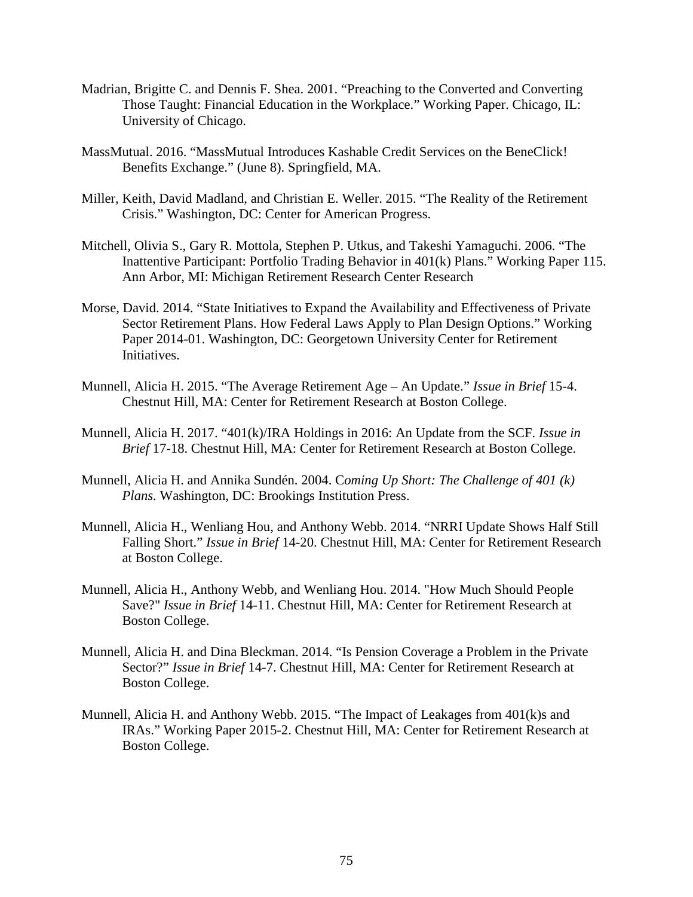- Madrian, Brigitte C. and Dennis F. Shea. 2001. "Preaching to the Converted and Converting Those Taught: Financial Education in the Workplace." Working Paper. Chicago, IL: University of Chicago.
- MassMutual. 2016. "MassMutual Introduces Kashable Credit Services on the BeneClick! Benefits Exchange." (June 8). Springfield, MA.
- Miller, Keith, David Madland, and Christian E. Weller. 2015. "The Reality of the Retirement Crisis." Washington, DC: Center for American Progress.
- Mitchell, Olivia S., Gary R. Mottola, Stephen P. Utkus, and Takeshi Yamaguchi. 2006. "The Inattentive Participant: Portfolio Trading Behavior in 401(k) Plans." Working Paper 115. Ann Arbor, MI: Michigan Retirement Research Center Research
- Morse, David. 2014. "State Initiatives to Expand the Availability and Effectiveness of Private Sector Retirement Plans. How Federal Laws Apply to Plan Design Options." Working Paper 2014-01. Washington, DC: Georgetown University Center for Retirement Initiatives.
- Munnell, Alicia H. 2015. "The Average Retirement Age An Update." *Issue in Brief* 15-4. Chestnut Hill, MA: Center for Retirement Research at Boston College.
- Munnell, Alicia H. 2017. "401(k)/IRA Holdings in 2016: An Update from the SCF. *Issue in Brief* 17-18. Chestnut Hill, MA: Center for Retirement Research at Boston College.
- Munnell, Alicia H. and Annika Sundén. 2004. C*oming Up Short: The Challenge of 401 (k) Plans.* Washington, DC: Brookings Institution Press.
- Munnell, Alicia H., Wenliang Hou, and Anthony Webb. 2014. "NRRI Update Shows Half Still Falling Short." *Issue in Brief* 14-20. Chestnut Hill, MA: Center for Retirement Research at Boston College.
- Munnell, Alicia H., Anthony Webb, and Wenliang Hou. 2014. "How Much Should People Save?" *Issue in Brief* 14-11. Chestnut Hill, MA: Center for Retirement Research at Boston College.
- Munnell, Alicia H. and Dina Bleckman. 2014. "Is Pension Coverage a Problem in the Private Sector?" *Issue in Brief* 14-7. Chestnut Hill, MA: Center for Retirement Research at Boston College.
- Munnell, Alicia H. and Anthony Webb. 2015. "The Impact of Leakages from 401(k)s and IRAs." Working Paper 2015-2. Chestnut Hill, MA: Center for Retirement Research at Boston College.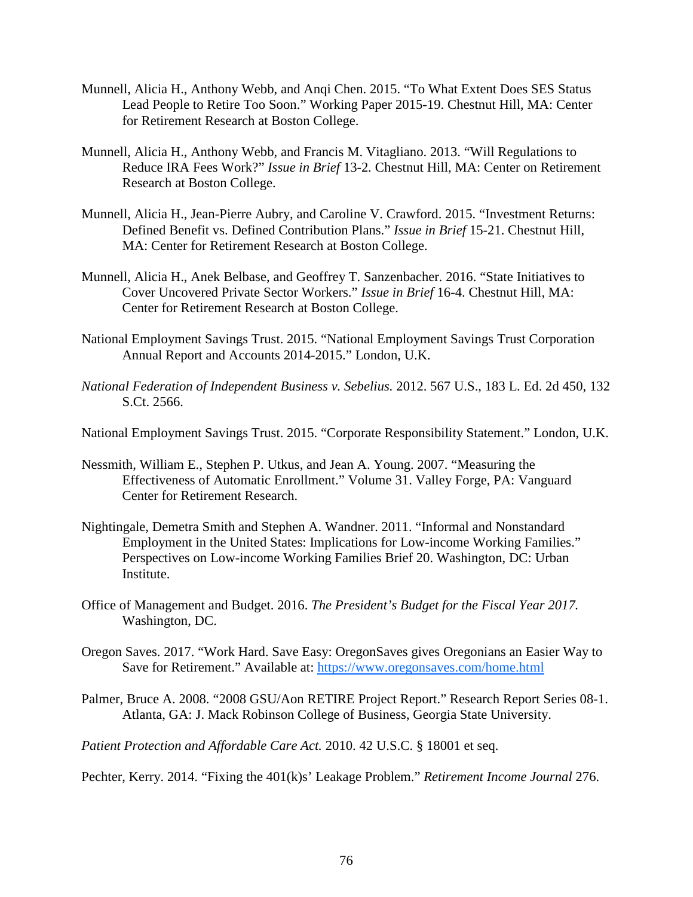- Munnell, Alicia H., Anthony Webb, and Anqi Chen. 2015. "To What Extent Does SES Status Lead People to Retire Too Soon." Working Paper 2015-19. Chestnut Hill, MA: Center for Retirement Research at Boston College.
- Munnell, Alicia H., Anthony Webb, and Francis M. Vitagliano. 2013. "Will Regulations to Reduce IRA Fees Work?" *Issue in Brief* 13-2*.* Chestnut Hill, MA: Center on Retirement Research at Boston College.
- Munnell, Alicia H., Jean-Pierre Aubry, and Caroline V. Crawford. 2015. "Investment Returns: Defined Benefit vs. Defined Contribution Plans." *Issue in Brief* 15-21. Chestnut Hill, MA: Center for Retirement Research at Boston College.
- Munnell, Alicia H., Anek Belbase, and Geoffrey T. Sanzenbacher. 2016. "State Initiatives to Cover Uncovered Private Sector Workers." *Issue in Brief* 16-4. Chestnut Hill, MA: Center for Retirement Research at Boston College.
- National Employment Savings Trust. 2015. "National Employment Savings Trust Corporation Annual Report and Accounts 2014-2015." London, U.K.
- *National Federation of Independent Business v. Sebelius.* 2012. 567 U.S., 183 L. Ed. 2d 450, 132 S.Ct. 2566.
- National Employment Savings Trust. 2015. "Corporate Responsibility Statement." London, U.K.
- Nessmith, William E., Stephen P. Utkus, and Jean A. Young. 2007. "Measuring the Effectiveness of Automatic Enrollment." Volume 31. Valley Forge, PA: Vanguard Center for Retirement Research.
- Nightingale, Demetra Smith and Stephen A. Wandner. 2011. "Informal and Nonstandard Employment in the United States: Implications for Low-income Working Families." Perspectives on Low-income Working Families Brief 20. Washington, DC: Urban Institute.
- Office of Management and Budget. 2016. *The President's Budget for the Fiscal Year 2017.*  Washington, DC.
- Oregon Saves. 2017. "Work Hard. Save Easy: OregonSaves gives Oregonians an Easier Way to Save for Retirement." Available at:<https://www.oregonsaves.com/home.html>
- Palmer, Bruce A. 2008. "2008 GSU/Aon RETIRE Project Report." Research Report Series 08-1. Atlanta, GA: J. Mack Robinson College of Business, Georgia State University.

*Patient Protection and Affordable Care Act.* 2010. 42 U.S.C. § 18001 et seq.

Pechter, Kerry. 2014. "Fixing the 401(k)s' Leakage Problem." *Retirement Income Journal* 276.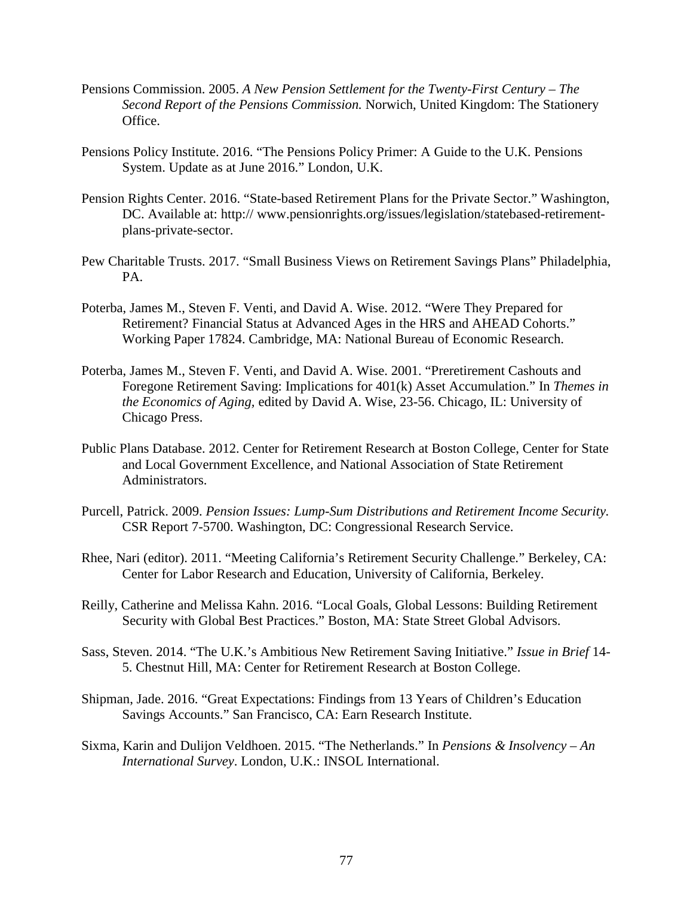- Pensions Commission. 2005. *A New Pension Settlement for the Twenty-First Century – The Second Report of the Pensions Commission.* Norwich, United Kingdom: The Stationery Office.
- Pensions Policy Institute. 2016. "The Pensions Policy Primer: A Guide to the U.K. Pensions System. Update as at June 2016." London, U.K.
- Pension Rights Center. 2016. "State-based Retirement Plans for the Private Sector." Washington, DC. Available at: http:// www.pensionrights.org/issues/legislation/statebased-retirementplans-private-sector.
- Pew Charitable Trusts. 2017. "Small Business Views on Retirement Savings Plans" Philadelphia, PA.
- Poterba, James M., Steven F. Venti, and David A. Wise. 2012. "Were They Prepared for Retirement? Financial Status at Advanced Ages in the HRS and AHEAD Cohorts." Working Paper 17824. Cambridge, MA: National Bureau of Economic Research.
- Poterba, James M., Steven F. Venti, and David A. Wise. 2001. "Preretirement Cashouts and Foregone Retirement Saving: Implications for 401(k) Asset Accumulation." In *Themes in the Economics of Aging,* edited by David A. Wise, 23-56. Chicago, IL: University of Chicago Press.
- Public Plans Database. 2012. Center for Retirement Research at Boston College, Center for State and Local Government Excellence, and National Association of State Retirement Administrators.
- Purcell, Patrick. 2009. *Pension Issues: Lump-Sum Distributions and Retirement Income Security.*  CSR Report 7-5700. Washington, DC: Congressional Research Service.
- Rhee, Nari (editor). 2011. "Meeting California's Retirement Security Challenge." Berkeley, CA: Center for Labor Research and Education, University of California, Berkeley.
- Reilly, Catherine and Melissa Kahn. 2016. "Local Goals, Global Lessons: Building Retirement Security with Global Best Practices." Boston, MA: State Street Global Advisors.
- Sass, Steven. 2014. "The U.K.'s Ambitious New Retirement Saving Initiative." *Issue in Brief* 14- 5. Chestnut Hill, MA: Center for Retirement Research at Boston College.
- Shipman, Jade. 2016. "Great Expectations: Findings from 13 Years of Children's Education Savings Accounts." San Francisco, CA: Earn Research Institute.
- Sixma, Karin and Dulijon Veldhoen. 2015. "The Netherlands." In *Pensions & Insolvency – An International Survey*. London, U.K.: INSOL International.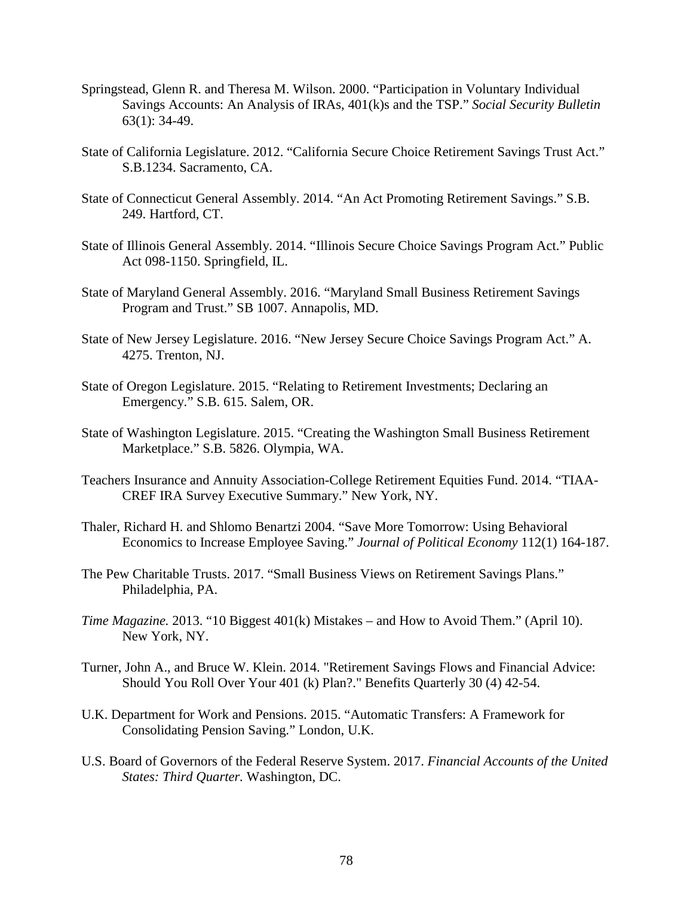- Springstead, Glenn R. and Theresa M. Wilson. 2000. "Participation in Voluntary Individual Savings Accounts: An Analysis of IRAs, 401(k)s and the TSP." *Social Security Bulletin* 63(1): 34-49.
- State of California Legislature. 2012. "California Secure Choice Retirement Savings Trust Act." S.B.1234. Sacramento, CA.
- State of Connecticut General Assembly. 2014. "An Act Promoting Retirement Savings." S.B. 249. Hartford, CT.
- State of Illinois General Assembly. 2014. "Illinois Secure Choice Savings Program Act." Public Act 098-1150. Springfield, IL.
- State of Maryland General Assembly. 2016. "Maryland Small Business Retirement Savings Program and Trust." SB 1007. Annapolis, MD.
- State of New Jersey Legislature. 2016. "New Jersey Secure Choice Savings Program Act." A. 4275. Trenton, NJ.
- State of Oregon Legislature. 2015. "Relating to Retirement Investments; Declaring an Emergency." S.B. 615. Salem, OR.
- State of Washington Legislature. 2015. "Creating the Washington Small Business Retirement Marketplace." S.B. 5826. Olympia, WA.
- Teachers Insurance and Annuity Association-College Retirement Equities Fund. 2014. "TIAA-CREF IRA Survey Executive Summary." New York, NY.
- Thaler, Richard H. and Shlomo Benartzi 2004. "Save More Tomorrow: Using Behavioral Economics to Increase Employee Saving." *Journal of Political Economy* 112(1) 164-187.
- The Pew Charitable Trusts. 2017. "Small Business Views on Retirement Savings Plans." Philadelphia, PA.
- *Time Magazine.* 2013. "10 Biggest 401(k) Mistakes and How to Avoid Them." (April 10). New York, NY.
- Turner, John A., and Bruce W. Klein. 2014. "Retirement Savings Flows and Financial Advice: Should You Roll Over Your 401 (k) Plan?." Benefits Quarterly 30 (4) 42-54.
- U.K. Department for Work and Pensions. 2015. "Automatic Transfers: A Framework for Consolidating Pension Saving." London, U.K.
- U.S. Board of Governors of the Federal Reserve System. 2017. *Financial Accounts of the United States: Third Quarter.* Washington, DC.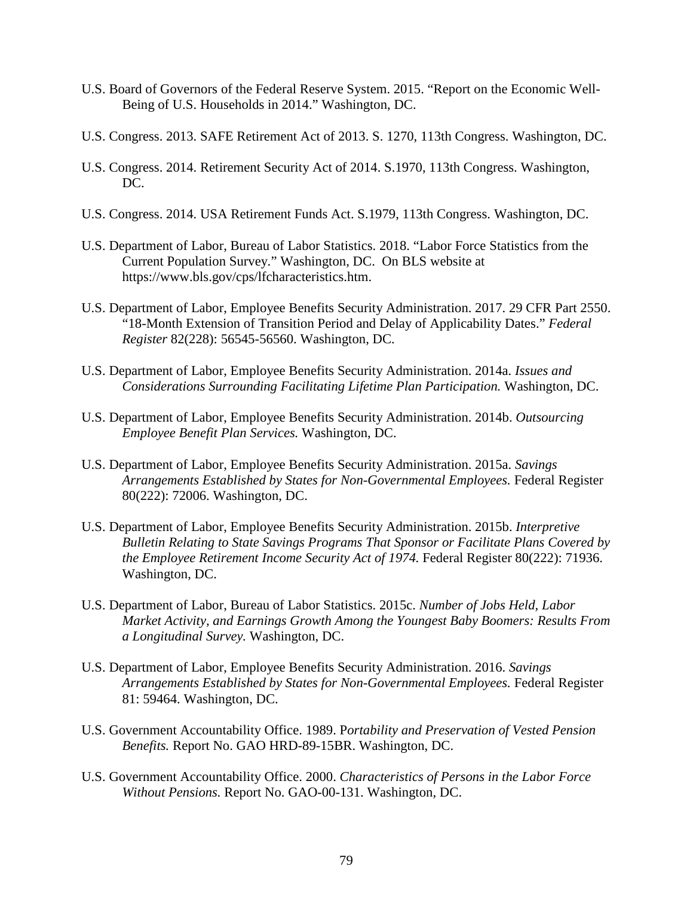- U.S. Board of Governors of the Federal Reserve System. 2015. "Report on the Economic Well-Being of U.S. Households in 2014." Washington, DC.
- U.S. Congress. 2013. SAFE Retirement Act of 2013. S. 1270, 113th Congress. Washington, DC.
- U.S. Congress. 2014. Retirement Security Act of 2014. S.1970, 113th Congress. Washington, DC.
- U.S. Congress. 2014. USA Retirement Funds Act. S.1979, 113th Congress. Washington, DC.
- U.S. Department of Labor, Bureau of Labor Statistics. 2018. "Labor Force Statistics from the Current Population Survey." Washington, DC. On BLS website at https://www.bls.gov/cps/lfcharacteristics.htm.
- U.S. Department of Labor, Employee Benefits Security Administration. 2017. 29 CFR Part 2550. "18-Month Extension of Transition Period and Delay of Applicability Dates." *Federal Register* 82(228): 56545-56560. Washington, DC.
- U.S. Department of Labor, Employee Benefits Security Administration. 2014a. *Issues and Considerations Surrounding Facilitating Lifetime Plan Participation.* Washington, DC.
- U.S. Department of Labor, Employee Benefits Security Administration. 2014b. *Outsourcing Employee Benefit Plan Services.* Washington, DC.
- U.S. Department of Labor, Employee Benefits Security Administration. 2015a. *Savings Arrangements Established by States for Non-Governmental Employees.* Federal Register 80(222): 72006. Washington, DC.
- U.S. Department of Labor, Employee Benefits Security Administration. 2015b. *Interpretive Bulletin Relating to State Savings Programs That Sponsor or Facilitate Plans Covered by the Employee Retirement Income Security Act of 1974. Federal Register 80(222): 71936.* Washington, DC.
- U.S. Department of Labor, Bureau of Labor Statistics. 2015c. *Number of Jobs Held, Labor Market Activity, and Earnings Growth Among the Youngest Baby Boomers: Results From a Longitudinal Survey.* Washington, DC.
- U.S. Department of Labor, Employee Benefits Security Administration. 2016. *Savings Arrangements Established by States for Non-Governmental Employees.* Federal Register 81: 59464. Washington, DC.
- U.S. Government Accountability Office. 1989. P*ortability and Preservation of Vested Pension Benefits.* Report No. GAO HRD-89-15BR. Washington, DC.
- U.S. Government Accountability Office. 2000. *Characteristics of Persons in the Labor Force Without Pensions.* Report No. GAO-00-131. Washington, DC.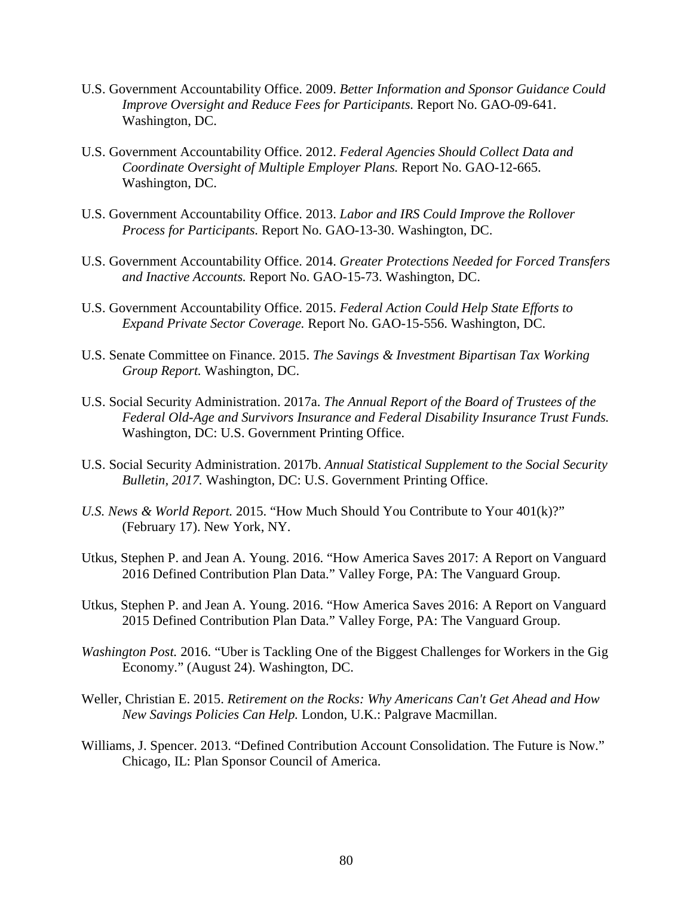- U.S. Government Accountability Office. 2009. *Better Information and Sponsor Guidance Could Improve Oversight and Reduce Fees for Participants.* Report No. GAO-09-641. Washington, DC.
- U.S. Government Accountability Office. 2012. *Federal Agencies Should Collect Data and Coordinate Oversight of Multiple Employer Plans.* Report No. GAO-12-665. Washington, DC.
- U.S. Government Accountability Office. 2013. *Labor and IRS Could Improve the Rollover Process for Participants.* Report No. GAO-13-30. Washington, DC.
- U.S. Government Accountability Office. 2014. *Greater Protections Needed for Forced Transfers and Inactive Accounts.* Report No. GAO-15-73. Washington, DC.
- U.S. Government Accountability Office. 2015. *Federal Action Could Help State Efforts to Expand Private Sector Coverage.* Report No. GAO-15-556. Washington, DC.
- U.S. Senate Committee on Finance. 2015. *The Savings & Investment Bipartisan Tax Working Group Report.* Washington, DC.
- U.S. Social Security Administration. 2017a. *The Annual Report of the Board of Trustees of the Federal Old-Age and Survivors Insurance and Federal Disability Insurance Trust Funds.*  Washington, DC: U.S. Government Printing Office.
- U.S. Social Security Administration. 2017b. *Annual Statistical Supplement to the Social Security Bulletin, 2017.* Washington, DC: U.S. Government Printing Office.
- *U.S. News & World Report.* 2015. "How Much Should You Contribute to Your 401(k)?" (February 17). New York, NY.
- Utkus, Stephen P. and Jean A. Young. 2016. "How America Saves 2017: A Report on Vanguard 2016 Defined Contribution Plan Data." Valley Forge, PA: The Vanguard Group.
- Utkus, Stephen P. and Jean A. Young. 2016. "How America Saves 2016: A Report on Vanguard 2015 Defined Contribution Plan Data." Valley Forge, PA: The Vanguard Group.
- *Washington Post.* 2016. "Uber is Tackling One of the Biggest Challenges for Workers in the Gig Economy." (August 24). Washington, DC.
- Weller, Christian E. 2015. *Retirement on the Rocks: Why Americans Can't Get Ahead and How New Savings Policies Can Help.* London, U.K.: Palgrave Macmillan.
- Williams, J. Spencer. 2013. "Defined Contribution Account Consolidation. The Future is Now." Chicago, IL: Plan Sponsor Council of America.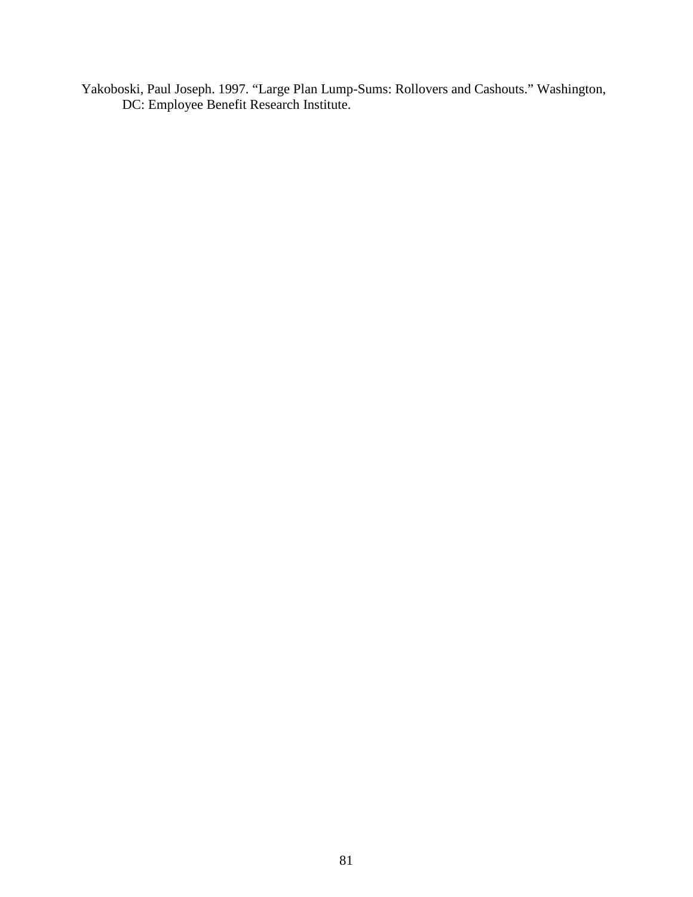Yakoboski, Paul Joseph. 1997. "Large Plan Lump-Sums: Rollovers and Cashouts." Washington, DC: Employee Benefit Research Institute.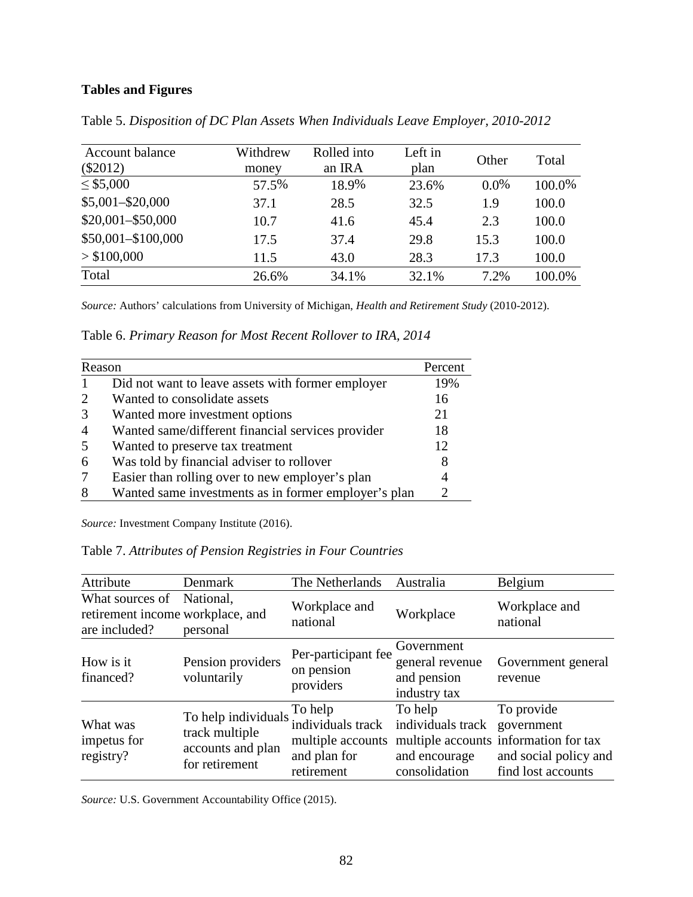## **Tables and Figures**

| Account balance<br>$(\$2012)$ | Withdrew<br>money | Rolled into<br>an IRA | Left in<br>plan | Other   | Total  |
|-------------------------------|-------------------|-----------------------|-----------------|---------|--------|
| $\leq$ \$5,000                | 57.5%             | 18.9%                 | 23.6%           | $0.0\%$ | 100.0% |
| $$5,001 - $20,000$            | 37.1              | 28.5                  | 32.5            | 1.9     | 100.0  |
| $$20,001 - $50,000$           | 10.7              | 41.6                  | 45.4            | 2.3     | 100.0  |
| \$50,001-\$100,000            | 17.5              | 37.4                  | 29.8            | 15.3    | 100.0  |
| > \$100,000                   | 11.5              | 43.0                  | 28.3            | 17.3    | 100.0  |
| Total                         | 26.6%             | 34.1%                 | 32.1%           | 7.2%    | 100.0% |

Table 5. *Disposition of DC Plan Assets When Individuals Leave Employer, 2010-2012*

*Source:* Authors' calculations from University of Michigan, *Health and Retirement Study* (2010-2012).

Table 6. *Primary Reason for Most Recent Rollover to IRA, 2014*

| Reason |                                                      | Percent |
|--------|------------------------------------------------------|---------|
|        | Did not want to leave assets with former employer    | 19%     |
|        | Wanted to consolidate assets                         | 16      |
| 3      | Wanted more investment options                       | 21      |
| 4      | Wanted same/different financial services provider    | 18      |
| 5      | Wanted to preserve tax treatment                     | 12      |
| 6      | Was told by financial adviser to rollover            |         |
|        | Easier than rolling over to new employer's plan      |         |
| 8      | Wanted same investments as in former employer's plan |         |

*Source:* Investment Company Institute (2016).

Table 7. *Attributes of Pension Registries in Four Countries*

| Attribute                                                            | Denmark                                                                       | The Netherlands                                                                 | Australia                                                      | Belgium                                                                                                          |
|----------------------------------------------------------------------|-------------------------------------------------------------------------------|---------------------------------------------------------------------------------|----------------------------------------------------------------|------------------------------------------------------------------------------------------------------------------|
| What sources of<br>retirement income workplace, and<br>are included? | National,<br>personal                                                         | Workplace and<br>national                                                       | Workplace                                                      | Workplace and<br>national                                                                                        |
| How is it<br>financed?                                               | Pension providers<br>voluntarily                                              | Per-participant fee<br>on pension<br>providers                                  | Government<br>general revenue<br>and pension<br>industry tax   | Government general<br>revenue                                                                                    |
| What was<br>impetus for<br>registry?                                 | To help individuals.<br>track multiple<br>accounts and plan<br>for retirement | To help<br>individuals track<br>multiple accounts<br>and plan for<br>retirement | To help<br>individuals track<br>and encourage<br>consolidation | To provide<br>government<br>multiple accounts information for tax<br>and social policy and<br>find lost accounts |

*Source:* U.S. Government Accountability Office (2015).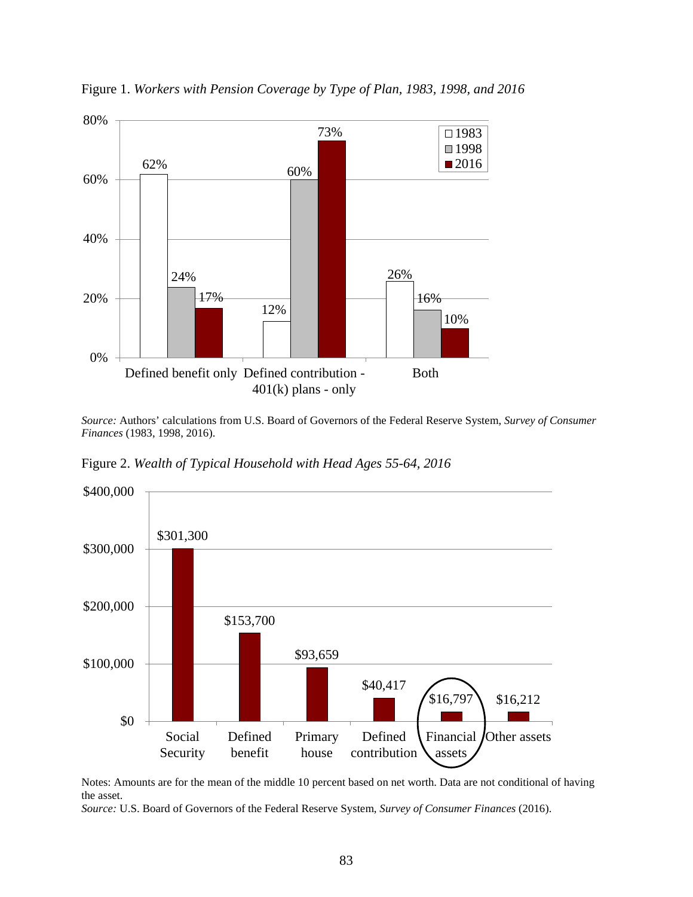

Figure 1. *Workers with Pension Coverage by Type of Plan, 1983, 1998, and 2016*

*Source:* Authors' calculations from U.S. Board of Governors of the Federal Reserve System, *Survey of Consumer Finances* (1983, 1998, 2016).

Figure 2. *Wealth of Typical Household with Head Ages 55-64, 2016*



Notes: Amounts are for the mean of the middle 10 percent based on net worth. Data are not conditional of having the asset.

*Source:* U.S. Board of Governors of the Federal Reserve System, *Survey of Consumer Finances* (2016).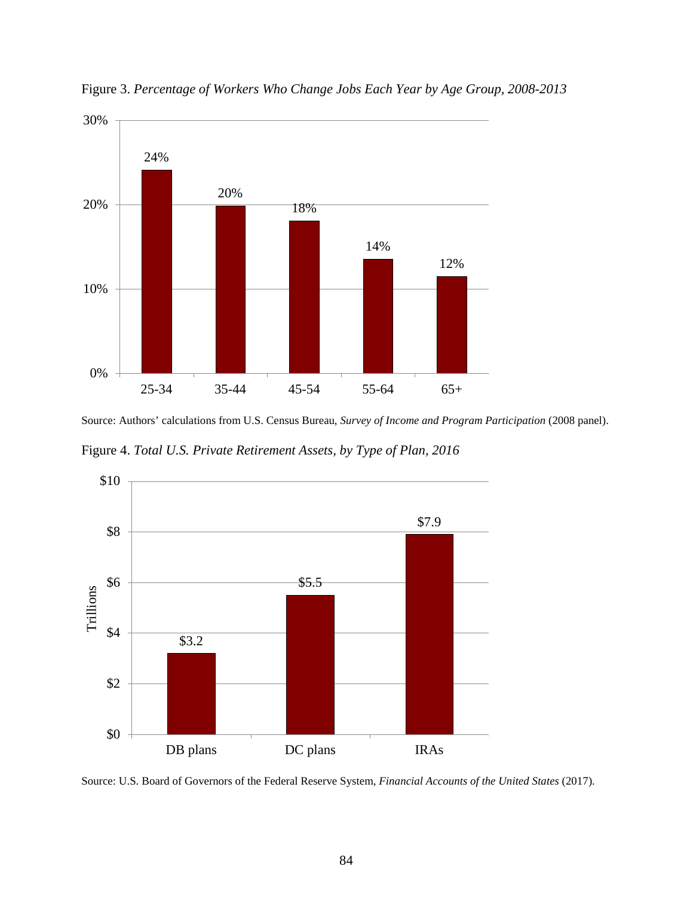

Figure 3. *Percentage of Workers Who Change Jobs Each Year by Age Group, 2008-2013*

Source: Authors' calculations from U.S. Census Bureau, *Survey of Income and Program Participation* (2008 panel).

Figure 4. *Total U.S. Private Retirement Assets, by Type of Plan, 2016*



Source: U.S. Board of Governors of the Federal Reserve System, *Financial Accounts of the United States* (2017).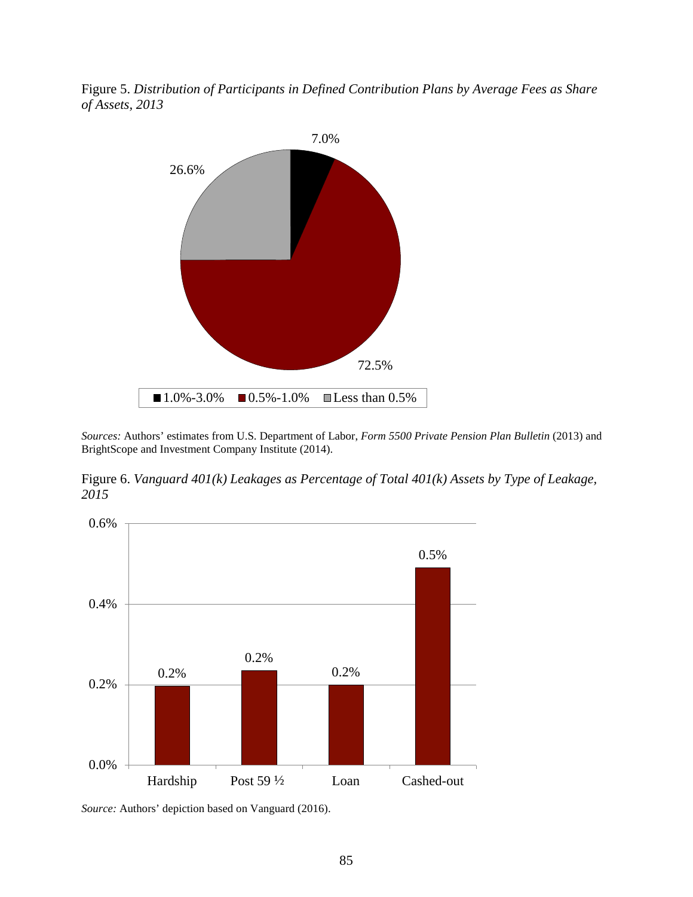Figure 5. *Distribution of Participants in Defined Contribution Plans by Average Fees as Share of Assets, 2013* 



*Sources:* Authors' estimates from U.S. Department of Labor, *Form 5500 Private Pension Plan Bulletin* (2013) and BrightScope and Investment Company Institute (2014).

Figure 6. *Vanguard 401(k) Leakages as Percentage of Total 401(k) Assets by Type of Leakage, 2015*



*Source:* Authors' depiction based on Vanguard (2016).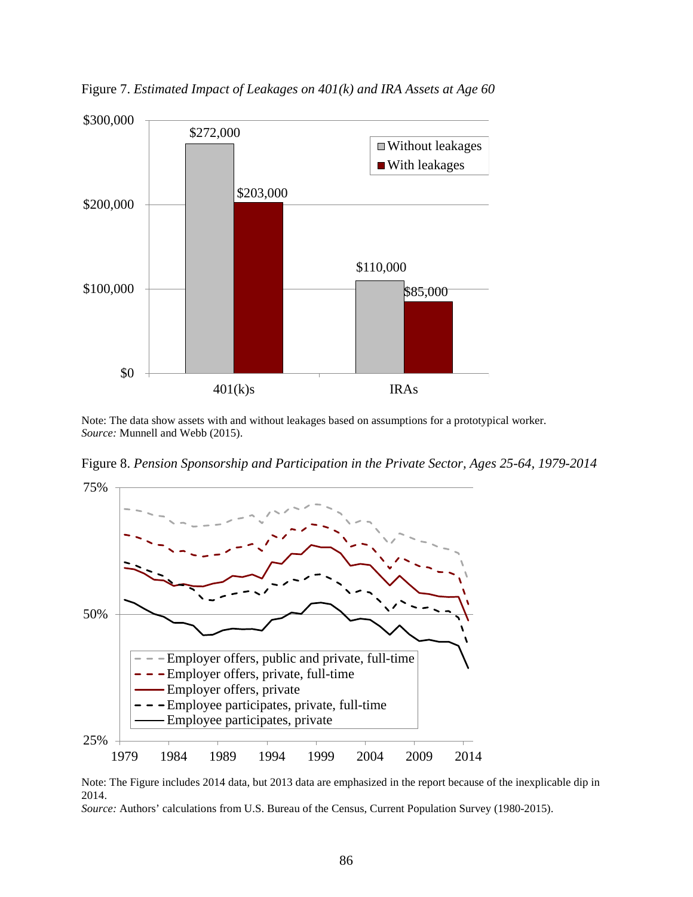

Figure 7. *Estimated Impact of Leakages on 401(k) and IRA Assets at Age 60*

Note: The data show assets with and without leakages based on assumptions for a prototypical worker. *Source:* Munnell and Webb (2015).

Figure 8. *Pension Sponsorship and Participation in the Private Sector, Ages 25-64, 1979-2014*



Note: The Figure includes 2014 data, but 2013 data are emphasized in the report because of the inexplicable dip in 2014.

*Source:* Authors' calculations from U.S. Bureau of the Census, Current Population Survey (1980-2015).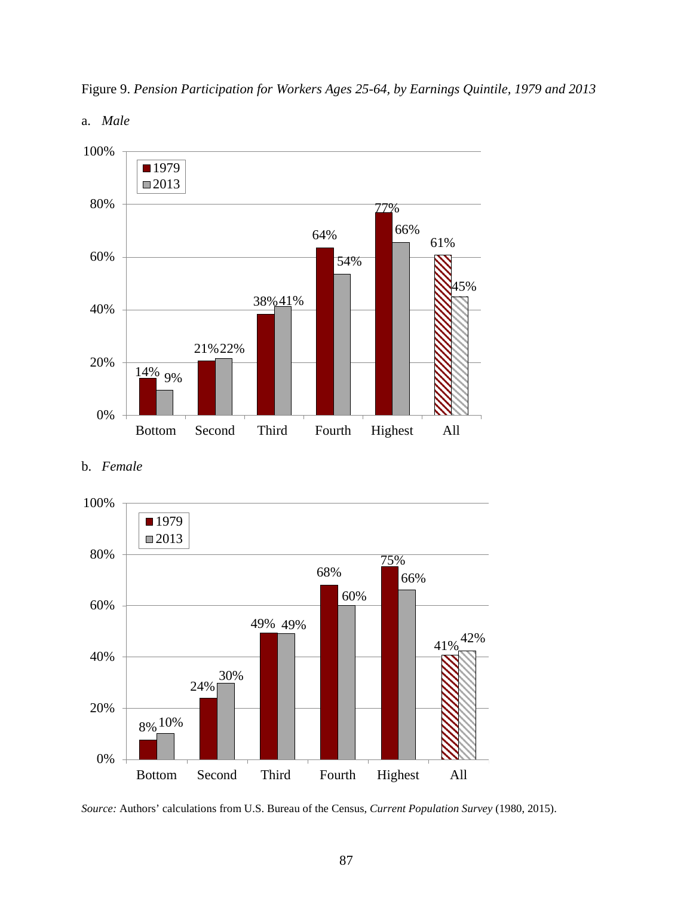





b. *Female*



*Source:* Authors' calculations from U.S. Bureau of the Census, *Current Population Survey* (1980, 2015).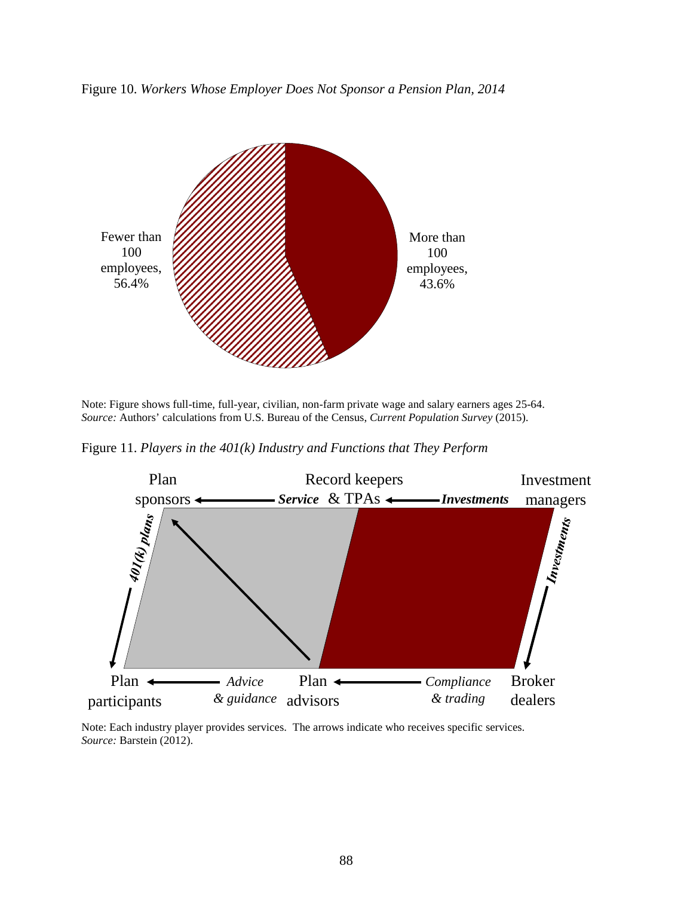



Note: Figure shows full-time, full-year, civilian, non-farm private wage and salary earners ages 25-64. *Source:* Authors' calculations from U.S. Bureau of the Census, *Current Population Survey* (2015).

Figure 11. *Players in the 401(k) Industry and Functions that They Perform*



Note: Each industry player provides services. The arrows indicate who receives specific services. *Source:* Barstein (2012).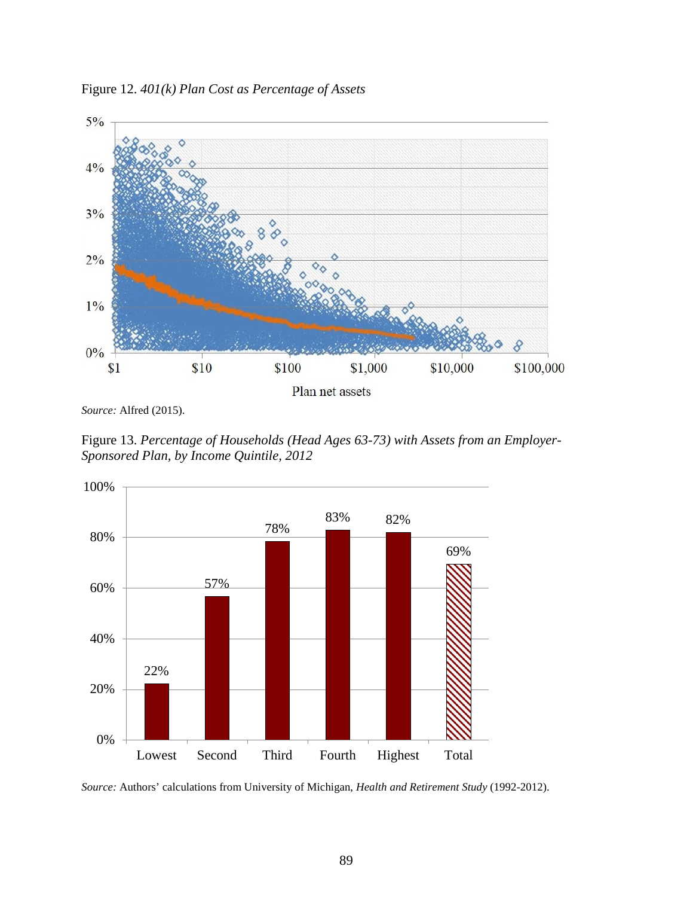Figure 12. *401(k) Plan Cost as Percentage of Assets*



*Source:* Alfred (2015).

Figure 13. *Percentage of Households (Head Ages 63-73) with Assets from an Employer-Sponsored Plan, by Income Quintile, 2012*



*Source:* Authors' calculations from University of Michigan, *Health and Retirement Study* (1992-2012).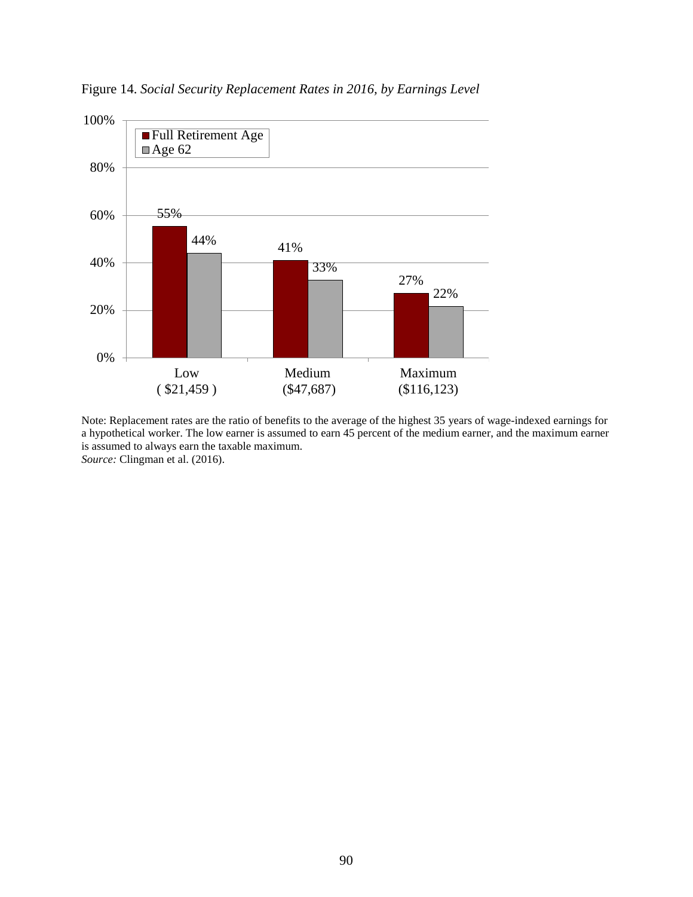

Figure 14. *Social Security Replacement Rates in 2016, by Earnings Level*

Note: Replacement rates are the ratio of benefits to the average of the highest 35 years of wage-indexed earnings for a hypothetical worker. The low earner is assumed to earn 45 percent of the medium earner, and the maximum earner is assumed to always earn the taxable maximum. *Source:* Clingman et al. (2016).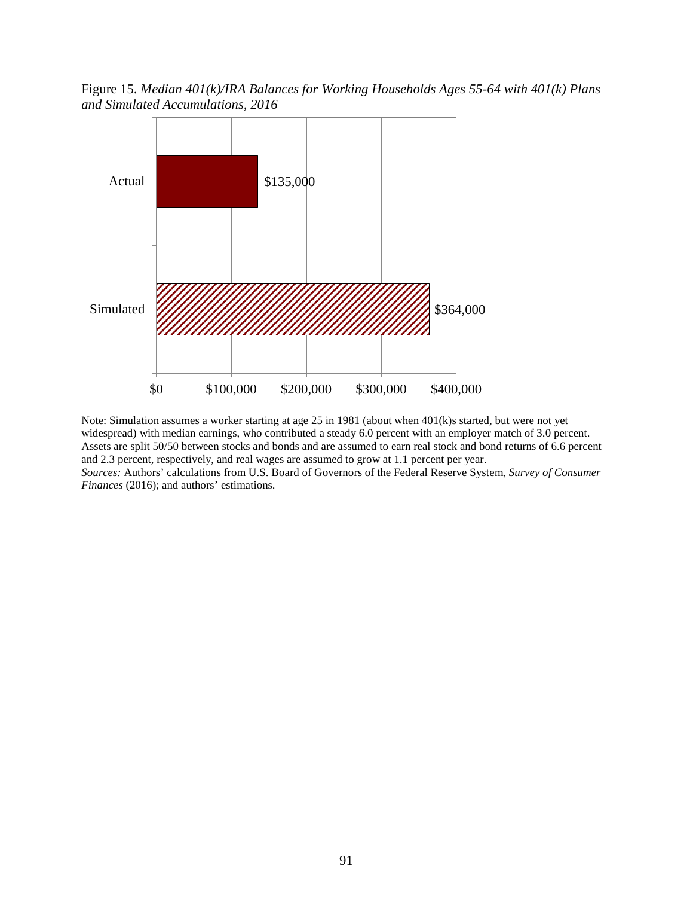Figure 15. *Median 401(k)/IRA Balances for Working Households Ages 55-64 with 401(k) Plans and Simulated Accumulations, 2016*



Note: Simulation assumes a worker starting at age 25 in 1981 (about when 401(k)s started, but were not yet widespread) with median earnings, who contributed a steady 6.0 percent with an employer match of 3.0 percent. Assets are split 50/50 between stocks and bonds and are assumed to earn real stock and bond returns of 6.6 percent and 2.3 percent, respectively, and real wages are assumed to grow at 1.1 percent per year. *Sources:* Authors' calculations from U.S. Board of Governors of the Federal Reserve System, *Survey of Consumer* 

*Finances* (2016); and authors' estimations.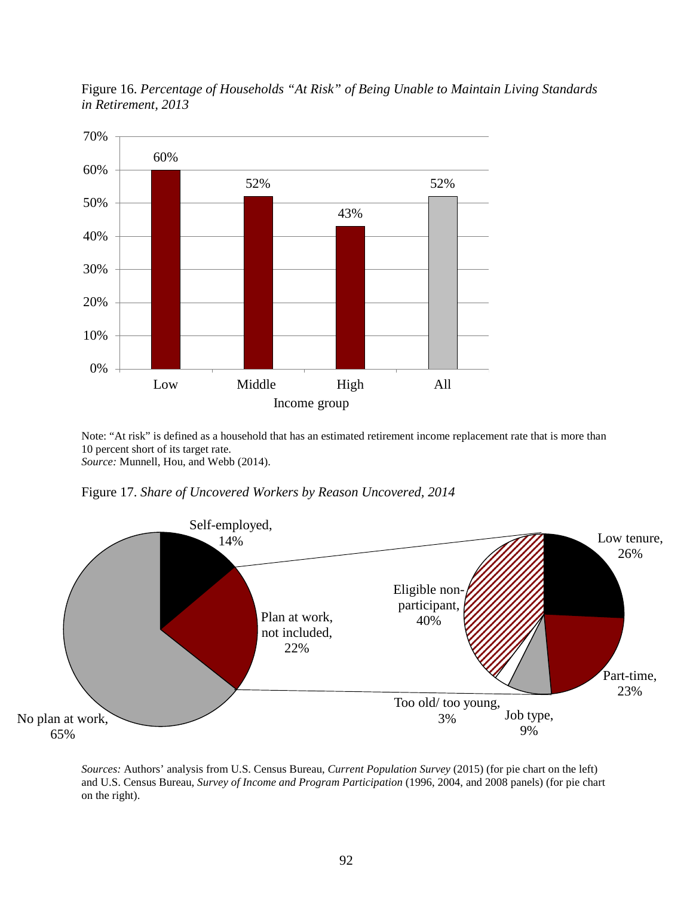

Figure 16. *Percentage of Households "At Risk" of Being Unable to Maintain Living Standards in Retirement, 2013*

Note: "At risk" is defined as a household that has an estimated retirement income replacement rate that is more than 10 percent short of its target rate. *Source:* Munnell, Hou, and Webb (2014).

Figure 17. *Share of Uncovered Workers by Reason Uncovered, 2014*



*Sources:* Authors' analysis from U.S. Census Bureau, *Current Population Survey* (2015) (for pie chart on the left) and U.S. Census Bureau, *Survey of Income and Program Participation* (1996, 2004, and 2008 panels) (for pie chart on the right).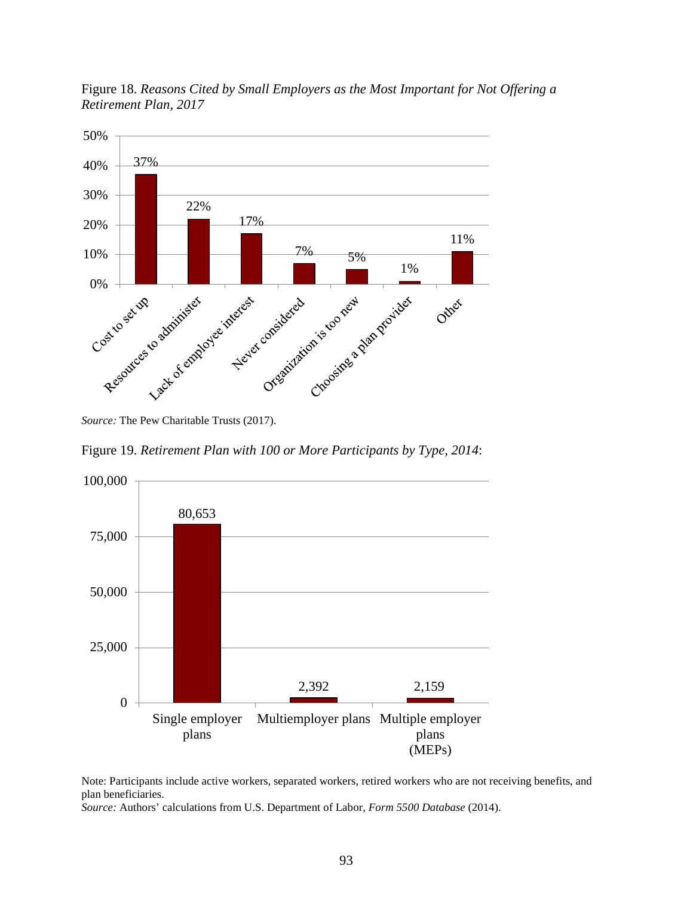

Figure 18. *Reasons Cited by Small Employers as the Most Important for Not Offering a Retirement Plan, 2017*

*Source:* The Pew Charitable Trusts (2017).

Figure 19. *Retirement Plan with 100 or More Participants by Type, 2014*:



Note: Participants include active workers, separated workers, retired workers who are not receiving benefits, and plan beneficiaries.

*Source:* Authors' calculations from U.S. Department of Labor, *Form 5500 Database* (2014).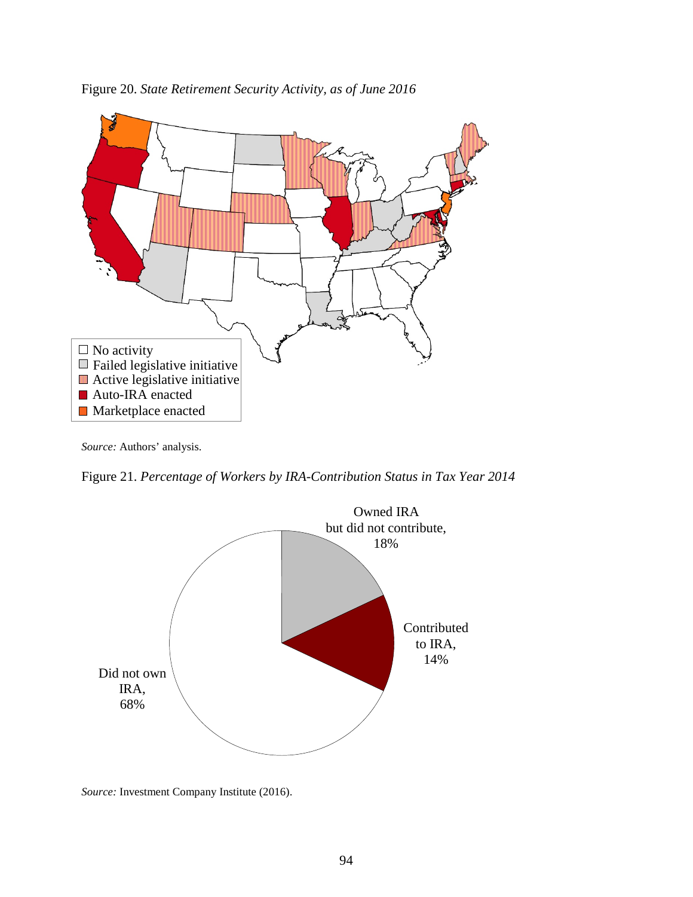

Figure 20. *State Retirement Security Activity, as of June 2016*

*Source:* Authors' analysis.

Figure 21. *Percentage of Workers by IRA-Contribution Status in Tax Year 2014*



*Source:* Investment Company Institute (2016).